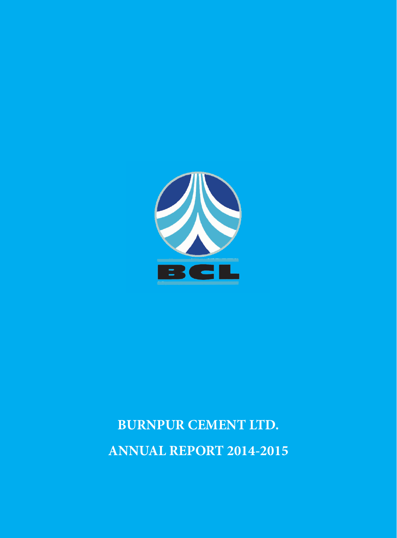

# **BURNPUR CEMENT LTD. ANNUAL REPORT 2014-2015**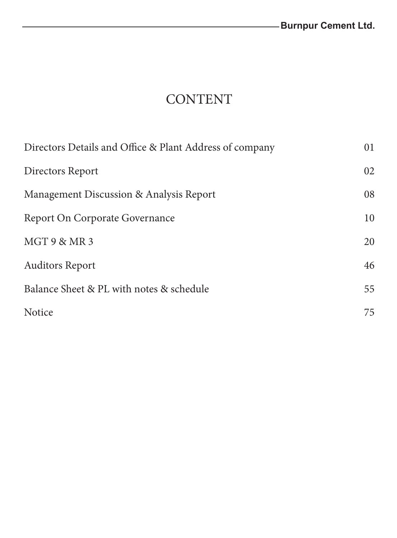# **CONTENT**

| Directors Details and Office & Plant Address of company | 01 |
|---------------------------------------------------------|----|
| Directors Report                                        | 02 |
| Management Discussion & Analysis Report                 | 08 |
| <b>Report On Corporate Governance</b>                   | 10 |
| MGT 9 & MR 3                                            | 20 |
| <b>Auditors Report</b>                                  | 46 |
| Balance Sheet & PL with notes & schedule                | 55 |
| Notice                                                  | 75 |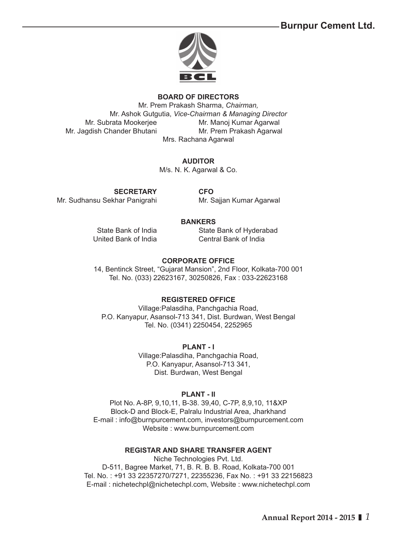**Burnpur Cement Ltd.**



#### **BOARD OF DIRECTORS**

Mr. Prem Prakash Sharma, *Chairman,*  Mr. Ashok Gutgutia, *Vice-Chairman & Managing Director* Mr. Subrata Mookerjee Mr. Manoj Kumar Agarwal Mr. Jagdish Chander Bhutani Mr. Prem Prakash Agarwal Mrs. Rachana Agarwal

#### **AUDITOR**

M/s. N. K. Agarwal & Co.

**SECRETARY CFO**

Mr. Sudhansu Sekhar Panigrahi Mr. Sajjan Kumar Agarwal

### **BANKERS**

 State Bank of India State Bank of Hyderabad United Bank of India Central Bank of India

#### **CORPORATE OFFICE**

14, Bentinck Street, "Gujarat Mansion", 2nd Floor, Kolkata-700 001 Tel. No. (033) 22623167, 30250826, Fax : 033-22623168

### **REGISTERED OFFICE**

Village:Palasdiha, Panchgachia Road, P.O. Kanyapur, Asansol-713 341, Dist. Burdwan, West Bengal Tel. No. (0341) 2250454, 2252965

### **PLANT - I**

Village:Palasdiha, Panchgachia Road, P.O. Kanyapur, Asansol-713 341, Dist. Burdwan, West Bengal

#### **PLANT - II**

Plot No. A-8P, 9,10,11, B-38. 39,40, C-7P, 8,9,10, 11&XP Block-D and Block-E, Palralu Industrial Area, Jharkhand E-mail : info@burnpurcement.com, investors@burnpurcement.com Website : www.burnpurcement.com

#### **REGISTAR AND SHARE TRANSFER AGENT**

Niche Technologies Pvt. Ltd. D-511, Bagree Market, 71, B. R. B. B. Road, Kolkata-700 001 Tel. No. : +91 33 22357270/7271, 22355236, Fax No. : +91 33 22156823 E-mail : nichetechpl@nichetechpl.com, Website : www.nichetechpl.com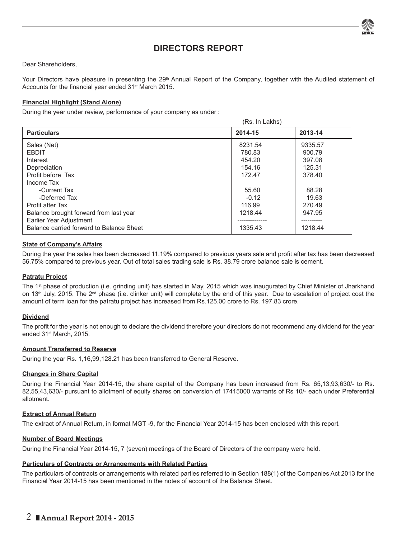

# **DIRECTORS REPORT**

Dear Shareholders,

Your Directors have pleasure in presenting the 29<sup>th</sup> Annual Report of the Company, together with the Audited statement of Accounts for the financial year ended 31<sup>st</sup> March 2015.

#### **Financial Highlight (Stand Alone)**

During the year under review, performance of your company as under :

|                                                                                                               | (Rs. In Lakhs)              |                             |
|---------------------------------------------------------------------------------------------------------------|-----------------------------|-----------------------------|
| <b>Particulars</b>                                                                                            | 2014-15                     | 2013-14                     |
| Sales (Net)<br><b>EBDIT</b><br>Interest                                                                       | 8231.54<br>780.83<br>454.20 | 9335.57<br>900.79<br>397.08 |
| Depreciation<br>Profit before Tax<br>Income Tax                                                               | 154.16<br>172.47            | 125.31<br>378.40            |
| -Current Tax<br>-Deferred Tax<br>Profit after Tax                                                             | 55.60<br>$-0.12$<br>116.99  | 88.28<br>19.63<br>270.49    |
| Balance brought forward from last year<br>Earlier Year Adjustment<br>Balance carried forward to Balance Sheet | 1218.44<br>1335.43          | 947.95<br>1218.44           |

#### **State of Company's Affairs**

During the year the sales has been decreased 11.19% compared to previous years sale and profit after tax has been decreased 56.75% compared to previous year. Out of total sales trading sale is Rs. 38.79 crore balance sale is cement.

#### **Patratu Project**

The 1st phase of production (i.e. grinding unit) has started in May, 2015 which was inaugurated by Chief Minister of Jharkhand on 13<sup>th</sup> July, 2015. The 2<sup>nd</sup> phase (i.e. clinker unit) will complete by the end of this year. Due to escalation of project cost the amount of term loan for the patratu project has increased from Rs.125.00 crore to Rs. 197.83 crore.

#### **Dividend**

The profit for the year is not enough to declare the dividend therefore your directors do not recommend any dividend for the year ended 31st March, 2015.

#### **Amount Transferred to Reserve**

During the year Rs. 1,16,99,128.21 has been transferred to General Reserve.

#### **Changes in Share Capital**

During the Financial Year 2014-15, the share capital of the Company has been increased from Rs. 65,13,93,630/- to Rs. 82,55,43,630/- pursuant to allotment of equity shares on conversion of 17415000 warrants of Rs 10/- each under Preferential allotment.

#### **Extract of Annual Return**

The extract of Annual Return, in format MGT -9, for the Financial Year 2014-15 has been enclosed with this report*.*

#### **Number of Board Meetings**

During the Financial Year 2014-15, 7 (seven) meetings of the Board of Directors of the company were held.

#### **Particulars of Contracts or Arrangements with Related Parties**

The particulars of contracts or arrangements with related parties referred to in Section 188(1) of the Companies Act 2013 for the Financial Year 2014-15 has been mentioned in the notes of account of the Balance Sheet.

# *2* **Annual Report 2014 - 2015**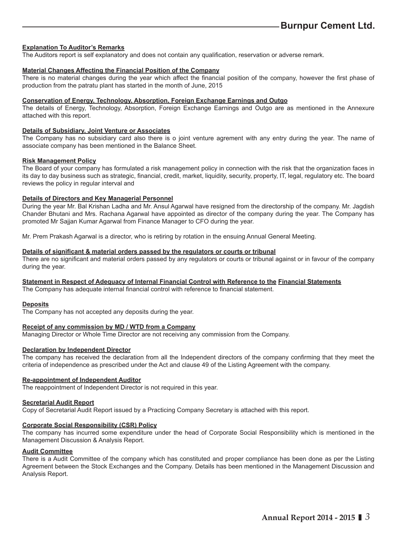#### **Explanation To Auditor's Remarks**

The Auditors report is self explanatory and does not contain any qualification, reservation or adverse remark.

#### **Material Changes Affecting the Financial Position of the Company**

There is no material changes during the year which affect the financial position of the company, however the first phase of production from the patratu plant has started in the month of June, 2015

#### **Conservation of Energy, Technology, Absorption, Foreign Exchange Earnings and Outgo**

The details of Energy, Technology, Absorption, Foreign Exchange Earnings and Outgo are as mentioned in the Annexure attached with this report.

#### **Details of Subsidiary, Joint Venture or Associates**

The Company has no subsidiary card also there is o joint venture agrement with any entry during the year. The name of associate company has been mentioned in the Balance Sheet.

#### **Risk Management Policy**

The Board of your company has formulated a risk management policy in connection with the risk that the organization faces in its day to day business such as strategic, financial, credit, market, liquidity, security, property, IT, legal, regulatory etc. The board reviews the policy in regular interval and

#### **Details of Directors and Key Managerial Personnel**

During the year Mr. Bal Krishan Ladha and Mr. Ansul Agarwal have resigned from the directorship of the company. Mr. Jagdish Chander Bhutani and Mrs. Rachana Agarwal have appointed as director of the company during the year. The Company has promoted Mr Sajjan Kumar Agarwal from Finance Manager to CFO during the year.

Mr. Prem Prakash Agarwal is a director, who is retiring by rotation in the ensuing Annual General Meeting.

#### **Details of signifi cant & material orders passed by the regulators or courts or tribunal**

There are no significant and material orders passed by any regulators or courts or tribunal against or in favour of the company during the year.

#### **Statement in Respect of Adequacy of Internal Financial Control with Reference to the Financial Statements**

The Company has adequate internal financial control with reference to financial statement.

#### **Deposits**

The Company has not accepted any deposits during the year.

#### **Receipt of any commission by MD / WTD from a Company**

Managing Director or Whole Time Director are not receiving any commission from the Company.

#### **Declaration by Independent Director**

The company has received the declaration from all the Independent directors of the company confirming that they meet the criteria of independence as prescribed under the Act and clause 49 of the Listing Agreement with the company.

#### **Re-appointment of Independent Auditor**

The reappointment of Independent Director is not required in this year.

#### **Secretarial Audit Report**

Copy of Secretarial Audit Report issued by a Practicing Company Secretary is attached with this report.

#### **Corporate Social Responsibility (CSR) Policy**

The company has incurred some expenditure under the head of Corporate Social Responsibility which is mentioned in the Management Discussion & Analysis Report.

#### **Audit Committee**

There is a Audit Committee of the company which has constituted and proper compliance has been done as per the Listing Agreement between the Stock Exchanges and the Company. Details has been mentioned in the Management Discussion and Analysis Report.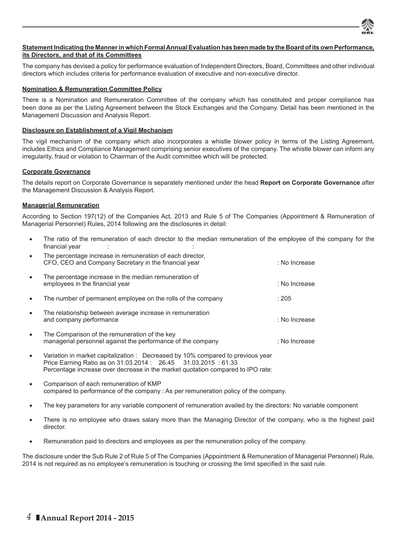

#### **Statement Indicating the Manner in which Formal Annual Evaluation has been made by the Board of its own Performance, its Directors, and that of its Committees**

The company has devised a policy for performance evaluation of Independent Directors, Board, Committees and other individual directors which includes criteria for performance evaluation of executive and non-executive director.

#### **Nomination & Remuneration Committee Policy**

There is a Nomination and Remuneration Committee of the company which has constituted and proper compliance has been done as per the Listing Agreement between the Stock Exchanges and the Company. Detail has been mentioned in the Management Discussion and Analysis Report.

#### **Disclosure on Establishment of a Vigil Mechanism**

The vigil mechanism of the company which also incorporates a whistle blower policy in terms of the Listing Agreement, includes Ethics and Compliance Management comprising senior executives of the company. The whistle blower can inform any irregularity, fraud or violation to Chairman of the Audit committee which will be protected.

#### **Corporate Governance**

The details report on Corporate Governance is separately mentioned under the head **Report on Corporate Governance** after the Management Discussion & Analysis Report.

#### **Managerial Remuneration**

According to Section 197(12) of the Companies Act, 2013 and Rule 5 of The Companies (Appointment & Remuneration of Managerial Personnel) Rules, 2014 following are the disclosures in detail:

 The ratio of the remuneration of each director to the median remuneration of the employee of the company for the financial year :

|                                              | The percentage increase in the median remuneration of                                                        |               |
|----------------------------------------------|--------------------------------------------------------------------------------------------------------------|---------------|
| $\bullet$<br>employees in the financial year |                                                                                                              | : No Increase |
|                                              | The number of permanent employee on the rolls of the company                                                 | : 205         |
| and company performance                      | The relationship between average increase in remuneration                                                    | · No Increase |
|                                              | The Comparison of the remuneration of the key<br>managerial personnel against the performance of the company | : No Increase |

- Variation in market capitalization : Decreased by 10% compared to previous year Price Earning Ratio as on 31.03.2014 : 26.45 31.03.2015 : 61.33 Percentage increase over decrease in the market quotation compared to IPO rate:
- Comparison of each remuneration of KMP compared to performance of the company : As per remuneration policy of the company.
- The key parameters for any variable component of remuneration availed by the directors: No variable component
- There is no employee who draws salary more than the Managing Director of the company, who is the highest paid director.
- Remuneration paid to directors and employees as per the remuneration policy of the company.

The disclosure under the Sub Rule 2 of Rule 5 of The Companies (Appointment & Remuneration of Managerial Personnel) Rule, 2014 is not required as no employee's remuneration is touching or crossing the limit specified in the said rule.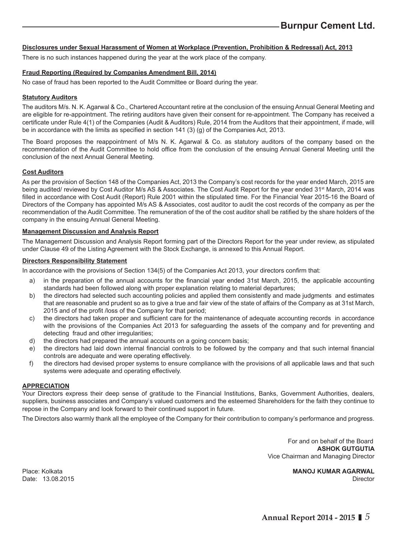#### **Disclosures under Sexual Harassment of Women at Workplace (Prevention, Prohibition & Redressal) Act, 2013**

There is no such instances happened during the year at the work place of the company.

#### **Fraud Reporting (Required by Companies Amendment Bill, 2014)**

No case of fraud has been reported to the Audit Committee or Board during the year.

#### **Statutory Auditors**

The auditors M/s. N. K. Agarwal & Co., Chartered Accountant retire at the conclusion of the ensuing Annual General Meeting and are eligible for re-appointment. The retiring auditors have given their consent for re-appointment. The Company has received a certificate under Rule 4(1) of the Companies (Audit & Auditors) Rule, 2014 from the Auditors that their appointment, if made, will be in accordance with the limits as specified in section  $141$  (3) (g) of the Companies Act, 2013.

The Board proposes the reappointment of M/s N. K. Agarwal & Co. as statutory auditors of the company based on the recommendation of the Audit Committee to hold office from the conclusion of the ensuing Annual General Meeting until the conclusion of the next Annual General Meeting.

#### **Cost Auditors**

As per the provision of Section 148 of the Companies Act, 2013 the Company's cost records for the year ended March, 2015 are being audited/ reviewed by Cost Auditor M/s AS & Associates. The Cost Audit Report for the year ended 31<sup>st</sup> March, 2014 was filled in accordance with Cost Audit (Report) Rule 2001 within the stipulated time. For the Financial Year 2015-16 the Board of Directors of the Company has appointed M/s AS & Associates, cost auditor to audit the cost records of the company as per the recommendation of the Audit Committee. The remuneration of the of the cost auditor shall be ratified by the share holders of the company in the ensuing Annual General Meeting.

#### **Management Discussion and Analysis Report**

The Management Discussion and Analysis Report forming part of the Directors Report for the year under review, as stipulated under Clause 49 of the Listing Agreement with the Stock Exchange, is annexed to this Annual Report.

#### **Directors Responsibility Statement**

In accordance with the provisions of Section 134(5) of the Companies Act 2013, your directors confirm that:

- a) in the preparation of the annual accounts for the financial year ended 31st March, 2015, the applicable accounting standards had been followed along with proper explanation relating to material departures;
- b) the directors had selected such accounting policies and applied them consistently and made judgments and estimates that are reasonable and prudent so as to give a true and fair view of the state of affairs of the Company as at 31st March, 2015 and of the profit /loss of the Company for that period;
- c) the directors had taken proper and sufficient care for the maintenance of adequate accounting records in accordance with the provisions of the Companies Act 2013 for safeguarding the assets of the company and for preventing and detecting fraud and other irregularities;
- d) the directors had prepared the annual accounts on a going concern basis;
- e) the directors had laid down internal financial controls to be followed by the company and that such internal financial controls are adequate and were operating effectively.
- f) the directors had devised proper systems to ensure compliance with the provisions of all applicable laws and that such systems were adequate and operating effectively.

#### **APPRECIATION**

Your Directors express their deep sense of gratitude to the Financial Institutions, Banks, Government Authorities, dealers, suppliers, business associates and Company's valued customers and the esteemed Shareholders for the faith they continue to repose in the Company and look forward to their continued support in future.

The Directors also warmly thank all the employee of the Company for their contribution to company's performance and progress.

 For and on behalf of the Board **ASHOK GUTGUTIA** Vice Chairman and Managing Director

Place: Kolkata **MANOJ KUMAR AGARWAL** Date: 13.08.2015 Director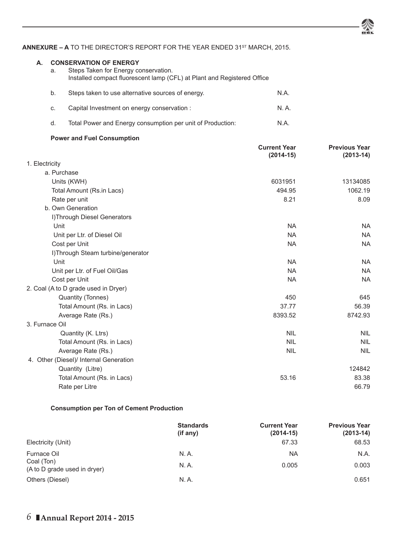#### ANNEXURE – A TO THE DIRECTOR'S REPORT FOR THE YEAR ENDED 31<sup>ST</sup> MARCH, 2015.

Installed compact fluorescent lamp (CFL) at Plant and Registered Office b. Steps taken to use alternative sources of energy. Steps taken to use alternative sources of energy.

**A. CONSERVATION OF ENERGY**

a. Steps Taken for Energy conservation.

| C.                                 | Capital Investment on energy conservation :                | N.A.                |                      |
|------------------------------------|------------------------------------------------------------|---------------------|----------------------|
| d.                                 | Total Power and Energy consumption per unit of Production: | N.A.                |                      |
|                                    | <b>Power and Fuel Consumption</b>                          |                     |                      |
|                                    |                                                            | <b>Current Year</b> | <b>Previous Year</b> |
|                                    |                                                            | $(2014 - 15)$       | $(2013-14)$          |
| 1. Electricity<br>a. Purchase      |                                                            |                     |                      |
| Units (KWH)                        |                                                            | 6031951             | 13134085             |
|                                    | Total Amount (Rs.in Lacs)                                  | 494.95              | 1062.19              |
|                                    |                                                            | 8.21                | 8.09                 |
| Rate per unit<br>b. Own Generation |                                                            |                     |                      |
|                                    | I) Through Diesel Generators                               |                     |                      |
| Unit                               |                                                            | <b>NA</b>           | <b>NA</b>            |
|                                    | Unit per Ltr. of Diesel Oil                                | <b>NA</b>           | <b>NA</b>            |
| Cost per Unit                      |                                                            | <b>NA</b>           | <b>NA</b>            |
|                                    | I)Through Steam turbine/generator                          |                     |                      |
| Unit                               |                                                            | <b>NA</b>           | <b>NA</b>            |
|                                    | Unit per Ltr. of Fuel Oil/Gas                              | <b>NA</b>           | <b>NA</b>            |
| Cost per Unit                      |                                                            | <b>NA</b>           | <b>NA</b>            |
|                                    | 2. Coal (A to D grade used in Dryer)                       |                     |                      |
|                                    | Quantity (Tonnes)                                          | 450                 | 645                  |
|                                    | Total Amount (Rs. in Lacs)                                 | 37.77               | 56.39                |
|                                    | Average Rate (Rs.)                                         | 8393.52             | 8742.93              |
| 3. Furnace Oil                     |                                                            |                     |                      |
|                                    | Quantity (K. Ltrs)                                         | <b>NIL</b>          | <b>NIL</b>           |
|                                    | Total Amount (Rs. in Lacs)                                 | <b>NIL</b>          | <b>NIL</b>           |
|                                    | Average Rate (Rs.)                                         | <b>NIL</b>          | <b>NIL</b>           |
|                                    | 4. Other (Diesel)/ Internal Generation                     |                     |                      |
|                                    | Quantity (Litre)                                           |                     | 124842               |
|                                    | Total Amount (Rs. in Lacs)                                 | 53.16               | 83.38                |
|                                    | Rate per Litre                                             |                     | 66.79                |

#### **Consumption per Ton of Cement Production**

|                                            | <b>Standards</b><br>(i f an y) | <b>Current Year</b><br>$(2014 - 15)$ | <b>Previous Year</b><br>$(2013-14)$ |
|--------------------------------------------|--------------------------------|--------------------------------------|-------------------------------------|
| Electricity (Unit)                         |                                | 67.33                                | 68.53                               |
| Furnace Oil                                | N.A.                           | <b>NA</b>                            | N.A.                                |
| Coal (Ton)<br>(A to D grade used in dryer) | N. A.                          | 0.005                                | 0.003                               |
| Others (Diesel)                            | N. A.                          |                                      | 0.651                               |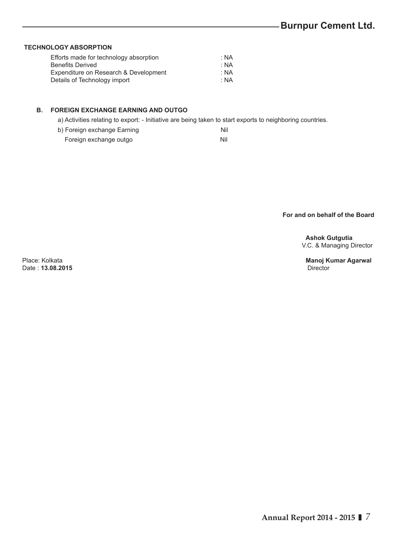#### **TECHNOLOGY ABSORPTION**

| Efforts made for technology absorption | : NA |
|----------------------------------------|------|
| <b>Benefits Derived</b>                | · NA |
| Expenditure on Research & Development  | : NA |
| Details of Technology import           | · NA |

### **B. FOREIGN EXCHANGE EARNING AND OUTGO**

a) Activities relating to export: - Initiative are being taken to start exports to neighboring countries.

| b) Foreign exchange Earning |  |
|-----------------------------|--|
|-----------------------------|--|

Foreign exchange outgo Nil

### **For and on behalf of the Board**

 **Ashok Gutgutia** V.C. & Managing Director

Date: **13.08.2015** 

Place: Kolkata **Manoj Kumar Agarwal**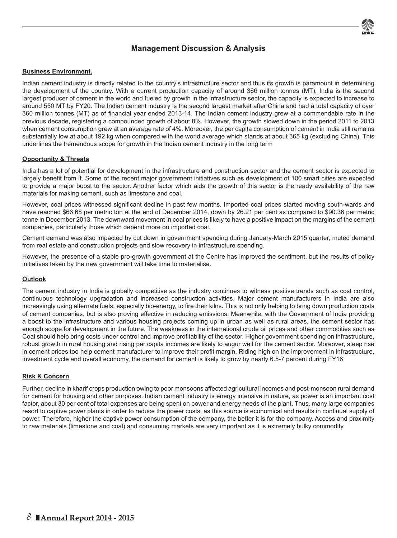# **Management Discussion & Analysis**

#### **Business Environment.**

Indian cement industry is directly related to the country's infrastructure sector and thus its growth is paramount in determining the development of the country. With a current production capacity of around 366 million tonnes (MT), India is the second largest producer of cement in the world and fueled by growth in the infrastructure sector, the capacity is expected to increase to around 550 MT by FY20. The Indian cement industry is the second largest market after China and had a total capacity of over 360 million tonnes (MT) as of financial year ended 2013-14. The Indian cement industry grew at a commendable rate in the previous decade, registering a compounded growth of about 8%. However, the growth slowed down in the period 2011 to 2013 when cement consumption grew at an average rate of 4%. Moreover, the per capita consumption of cement in India still remains substantially low at about 192 kg when compared with the world average which stands at about 365 kg (excluding China). This underlines the tremendous scope for growth in the Indian cement industry in the long term

#### **Opportunity & Threats**

India has a lot of potential for development in the infrastructure and construction sector and the cement sector is expected to largely benefit from it. Some of the recent major government initiatives such as development of 100 smart cities are expected to provide a major boost to the sector. Another factor which aids the growth of this sector is the ready availability of the raw materials for making cement, such as limestone and coal.

However, coal prices witnessed significant decline in past few months. Imported coal prices started moving south-wards and have reached \$66.68 per metric ton at the end of December 2014, down by 26.21 per cent as compared to \$90.36 per metric tonne in December 2013. The downward movement in coal prices is likely to have a positive impact on the margins of the cement companies, particularly those which depend more on imported coal.

Cement demand was also impacted by cut down in government spending during January-March 2015 quarter, muted demand from real estate and construction projects and slow recovery in infrastructure spending.

However, the presence of a stable pro-growth government at the Centre has improved the sentiment, but the results of policy initiatives taken by the new government will take time to materialise.

#### **Outlook**

The cement industry in India is globally competitive as the industry continues to witness positive trends such as cost control, continuous technology upgradation and increased construction activities. Major cement manufacturers in India are also increasingly using alternate fuels, especially bio-energy, to fire their kilns. This is not only helping to bring down production costs of cement companies, but is also proving effective in reducing emissions. Meanwhile, with the Government of India providing a boost to the infrastructure and various housing projects coming up in urban as well as rural areas, the cement sector has enough scope for development in the future. The weakness in the international crude oil prices and other commodities such as Coal should help bring costs under control and improve profitability of the sector. Higher government spending on infrastructure, robust growth in rural housing and rising per capita incomes are likely to augur well for the cement sector. Moreover, steep rise in cement prices too help cement manufacturer to improve their profit margin. Riding high on the improvement in infrastructure, investment cycle and overall economy, the demand for cement is likely to grow by nearly 6.5-7 percent during FY16

#### **Risk & Concern**

Further, decline in kharif crops production owing to poor monsoons affected agricultural incomes and post-monsoon rural demand for cement for housing and other purposes. Indian cement industry is energy intensive in nature, as power is an important cost factor, about 30 per cent of total expenses are being spent on power and energy needs of the plant. Thus, many large companies resort to captive power plants in order to reduce the power costs, as this source is economical and results in continual supply of power. Therefore, higher the captive power consumption of the company, the better it is for the company. Access and proximity to raw materials (limestone and coal) and consuming markets are very important as it is extremely bulky commodity.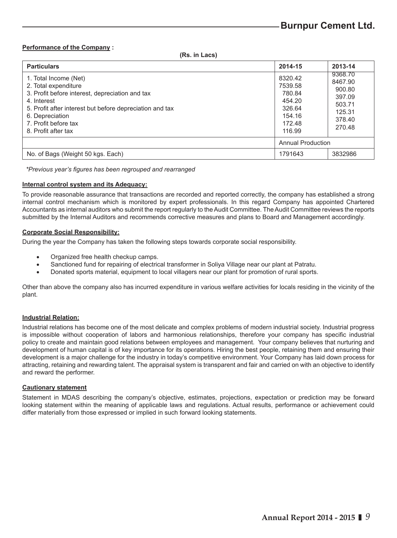#### **Performance of the Company :**

 **(Rs. in Lacs)**

| <b>Particulars</b>                                                                                                                                                                                                                            | 2014-15                                                                        | 2013-14                                                                        |
|-----------------------------------------------------------------------------------------------------------------------------------------------------------------------------------------------------------------------------------------------|--------------------------------------------------------------------------------|--------------------------------------------------------------------------------|
| 1. Total Income (Net)<br>2. Total expenditure<br>3. Profit before interest, depreciation and tax<br>4. Interest<br>5. Profit after interest but before depreciation and tax<br>6. Depreciation<br>7. Profit before tax<br>8. Profit after tax | 8320.42<br>7539.58<br>780.84<br>454.20<br>326.64<br>154.16<br>172.48<br>116.99 | 9368.70<br>8467.90<br>900.80<br>397.09<br>503.71<br>125.31<br>378.40<br>270.48 |
|                                                                                                                                                                                                                                               | Annual Production                                                              |                                                                                |
| No. of Bags (Weight 50 kgs. Each)                                                                                                                                                                                                             | 1791643                                                                        | 3832986                                                                        |

*\*Previous year's fi gures has been regrouped and rearranged*

#### **Internal control system and its Adequacy:**

To provide reasonable assurance that transactions are recorded and reported correctly, the company has established a strong internal control mechanism which is monitored by expert professionals. In this regard Company has appointed Chartered Accountants as internal auditors who submit the report regularly to the Audit Committee. The Audit Committee reviews the reports submitted by the Internal Auditors and recommends corrective measures and plans to Board and Management accordingly.

#### **Corporate Social Responsibility:**

During the year the Company has taken the following steps towards corporate social responsibility.

- Organized free health checkup camps.
- Sanctioned fund for repairing of electrical transformer in Soliya Village near our plant at Patratu.
- Donated sports material, equipment to local villagers near our plant for promotion of rural sports.

Other than above the company also has incurred expenditure in various welfare activities for locals residing in the vicinity of the plant.

#### **Industrial Relation:**

Industrial relations has become one of the most delicate and complex problems of modern industrial society. Industrial progress is impossible without cooperation of labors and harmonious relationships, therefore your company has specific industrial policy to create and maintain good relations between employees and management. Your company believes that nurturing and development of human capital is of key importance for its operations. Hiring the best people, retaining them and ensuring their development is a major challenge for the industry in today's competitive environment. Your Company has laid down process for attracting, retaining and rewarding talent. The appraisal system is transparent and fair and carried on with an objective to identify and reward the performer.

#### **Cautionary statement**

Statement in MDAS describing the company's objective, estimates, projections, expectation or prediction may be forward looking statement within the meaning of applicable laws and regulations. Actual results, performance or achievement could differ materially from those expressed or implied in such forward looking statements.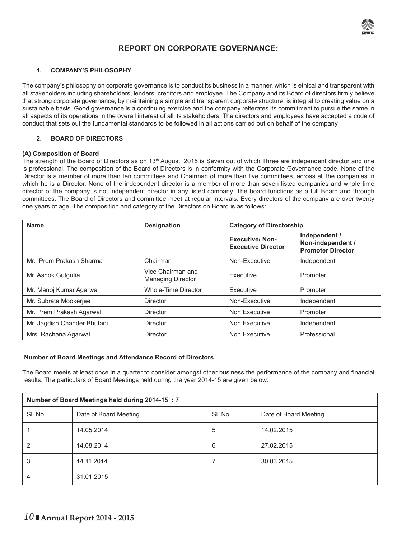

# **REPORT ON CORPORATE GOVERNANCE:**

#### **1. COMPANY'S PHILOSOPHY**

The company's philosophy on corporate governance is to conduct its business in a manner, which is ethical and transparent with all stakeholders including shareholders, lenders, creditors and employee. The Company and its Board of directors firmly believe that strong corporate governance, by maintaining a simple and transparent corporate structure, is integral to creating value on a sustainable basis. Good governance is a continuing exercise and the company reiterates its commitment to pursue the same in all aspects of its operations in the overall interest of all its stakeholders. The directors and employees have accepted a code of conduct that sets out the fundamental standards to be followed in all actions carried out on behalf of the company.

#### **2. BOARD OF DIRECTORS**

#### **(A) Composition of Board**

The strength of the Board of Directors as on 13<sup>th</sup> August, 2015 is Seven out of which Three are independent director and one is professional. The composition of the Board of Directors is in conformity with the Corporate Governance code. None of the Director is a member of more than ten committees and Chairman of more than five committees, across all the companies in which he is a Director. None of the independent director is a member of more than seven listed companies and whole time director of the company is not independent director in any listed company. The board functions as a full Board and through committees. The Board of Directors and committee meet at regular intervals. Every directors of the company are over twenty one years of age. The composition and category of the Directors on Board is as follows:

| <b>Name</b>                 | <b>Designation</b>                            | <b>Category of Directorship</b>                    |                                                                |
|-----------------------------|-----------------------------------------------|----------------------------------------------------|----------------------------------------------------------------|
|                             |                                               | <b>Executive/Non-</b><br><b>Executive Director</b> | Independent /<br>Non-independent /<br><b>Promoter Director</b> |
| Mr. Prem Prakash Sharma     | Chairman                                      | Non-Executive                                      | Independent                                                    |
| Mr. Ashok Gutgutia          | Vice Chairman and<br><b>Managing Director</b> | Executive                                          | Promoter                                                       |
| Mr. Manoj Kumar Agarwal     | Whole-Time Director                           | Executive                                          | Promoter                                                       |
| Mr. Subrata Mookerjee       | Director                                      | Non-Executive                                      | Independent                                                    |
| Mr. Prem Prakash Agarwal    | Director                                      | Non Executive                                      | Promoter                                                       |
| Mr. Jagdish Chander Bhutani | <b>Director</b>                               | Non Executive                                      | Independent                                                    |
| Mrs. Rachana Agarwal        | Director                                      | Non Executive                                      | Professional                                                   |

#### **Number of Board Meetings and Attendance Record of Directors**

The Board meets at least once in a quarter to consider amongst other business the performance of the company and financial results. The particulars of Board Meetings held during the year 2014-15 are given below:

| Number of Board Meetings held during 2014-15 : 7 |                       |         |                       |  |  |
|--------------------------------------------------|-----------------------|---------|-----------------------|--|--|
| SI. No.                                          | Date of Board Meeting | SI. No. | Date of Board Meeting |  |  |
|                                                  | 14.05.2014            | 5       | 14.02.2015            |  |  |
| 2                                                | 14.08.2014            | 6       | 27.02.2015            |  |  |
| 3                                                | 14.11.2014            |         | 30.03.2015            |  |  |
|                                                  | 31.01.2015            |         |                       |  |  |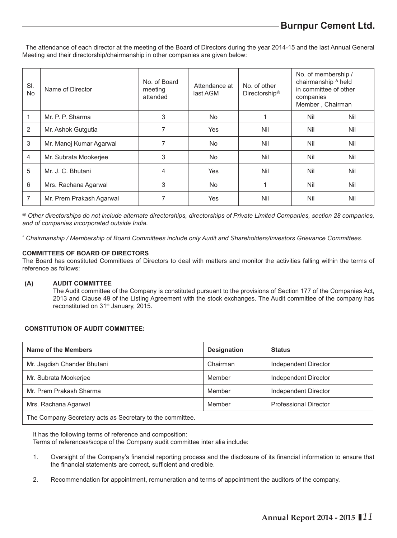The attendance of each director at the meeting of the Board of Directors during the year 2014-15 and the last Annual General Meeting and their directorship/chairmanship in other companies are given below:

| SI.<br><b>No</b> | Name of Director         | No. of Board<br>meeting<br>attended | Attendance at<br>last AGM | No. of other<br>Directorship <sup>®</sup> | No. of membership /<br>chairmanship ^ held<br>in committee of other<br>companies<br>Member, Chairman |     |
|------------------|--------------------------|-------------------------------------|---------------------------|-------------------------------------------|------------------------------------------------------------------------------------------------------|-----|
| 1                | Mr. P. P. Sharma         | 3                                   | <b>No</b>                 |                                           | Nil                                                                                                  | Nil |
| 2                | Mr. Ashok Gutgutia       | 7                                   | <b>Yes</b>                | Nil                                       | Nil                                                                                                  | Nil |
| 3                | Mr. Manoj Kumar Agarwal  | 7                                   | <b>No</b>                 | Nil                                       | Nil                                                                                                  | Nil |
| $\overline{4}$   | Mr. Subrata Mookerjee    | 3                                   | <b>No</b>                 | Nil                                       | Nil                                                                                                  | Nil |
| 5                | Mr. J. C. Bhutani        | 4                                   | <b>Yes</b>                | Nil                                       | Nil                                                                                                  | Nil |
| 6                | Mrs. Rachana Agarwal     | 3                                   | <b>No</b>                 |                                           | Nil                                                                                                  | Nil |
| 7                | Mr. Prem Prakash Agarwal |                                     | Yes                       | Nil                                       | Nil                                                                                                  | Nil |

*@ Other directorships do not include alternate directorships, directorships of Private Limited Companies, section 28 companies, and of companies incorporated outside India.*

*^ Chairmanship / Membership of Board Committees include only Audit and Shareholders/Investors Grievance Committees.*

#### **COMMITTEES OF BOARD OF DIRECTORS**

The Board has constituted Committees of Directors to deal with matters and monitor the activities falling within the terms of reference as follows:

#### **(A) AUDIT COMMITTEE**

 The Audit committee of the Company is constituted pursuant to the provisions of Section 177 of the Companies Act, 2013 and Clause 49 of the Listing Agreement with the stock exchanges. The Audit committee of the company has reconstituted on 31<sup>st</sup> January, 2015.

#### **CONSTITUTION OF AUDIT COMMITTEE:**

| Name of the Members                                       | <b>Designation</b> | <b>Status</b>                |
|-----------------------------------------------------------|--------------------|------------------------------|
| Mr. Jagdish Chander Bhutani                               | Chairman           | Independent Director         |
| Mr. Subrata Mookerjee                                     | Member             | Independent Director         |
| Mr. Prem Prakash Sharma                                   | Member             | Independent Director         |
| Mrs. Rachana Agarwal                                      | Member             | <b>Professional Director</b> |
| The Company Secretary acts as Secretary to the committee. |                    |                              |

It has the following terms of reference and composition: Terms of references/scope of the Company audit committee inter alia include:

- 1. Oversight of the Company's financial reporting process and the disclosure of its financial information to ensure that the financial statements are correct, sufficient and credible.
- 2. Recommendation for appointment, remuneration and terms of appointment the auditors of the company.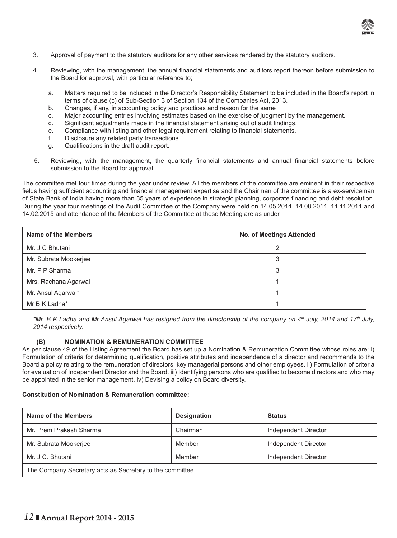

- 3. Approval of payment to the statutory auditors for any other services rendered by the statutory auditors.
- 4. Reviewing, with the management, the annual financial statements and auditors report thereon before submission to the Board for approval, with particular reference to;
	- a. Matters required to be included in the Director's Responsibility Statement to be included in the Board's report in terms of clause (c) of Sub-Section 3 of Section 134 of the Companies Act, 2013.
	- b. Changes, if any, in accounting policy and practices and reason for the same
	- c. Major accounting entries involving estimates based on the exercise of judgment by the management.
	- d. Significant adjustments made in the financial statement arising out of audit findings.
	- e. Compliance with listing and other legal requirement relating to financial statements.
	- f. Disclosure any related party transactions.
	- g. Qualifications in the draft audit report.
- 5. Reviewing, with the management, the quarterly financial statements and annual financial statements before submission to the Board for approval.

The committee met four times during the year under review. All the members of the committee are eminent in their respective fields having sufficient accounting and financial management expertise and the Chairman of the committee is a ex-serviceman of State Bank of India having more than 35 years of experience in strategic planning, corporate financing and debt resolution. During the year four meetings of the Audit Committee of the Company were held on 14.05.2014, 14.08.2014, 14.11.2014 and 14.02.2015 and attendance of the Members of the Committee at these Meeting are as under

| Name of the Members   | No. of Meetings Attended |
|-----------------------|--------------------------|
| Mr. J C Bhutani       |                          |
| Mr. Subrata Mookerjee |                          |
| Mr. P P Sharma        |                          |
| Mrs. Rachana Agarwal  |                          |
| Mr. Ansul Agarwal*    |                          |
| Mr B K Ladha*         |                          |

*\*Mr. B K Ladha and Mr Ansul Agarwal has resigned from the directorship of the company on 4th July, 2014 and 17th July, 2014 respectively.*

#### **(B) NOMINATION & REMUNERATION COMMITTEE**

As per clause 49 of the Listing Agreement the Board has set up a Nomination & Remuneration Committee whose roles are: i) Formulation of criteria for determining qualification, positive attributes and independence of a director and recommends to the Board a policy relating to the remuneration of directors, key managerial persons and other employees. ii) Formulation of criteria for evaluation of Independent Director and the Board. iii) Identifying persons who are qualified to become directors and who may be appointed in the senior management. iv) Devising a policy on Board diversity.

#### **Constitution of Nomination & Remuneration committee:**

| Name of the Members                                       | <b>Designation</b> | <b>Status</b>        |  |
|-----------------------------------------------------------|--------------------|----------------------|--|
| Mr. Prem Prakash Sharma                                   | Chairman           | Independent Director |  |
| Mr. Subrata Mookerjee                                     | Member             | Independent Director |  |
| Mr. J C. Bhutani                                          | Member             | Independent Director |  |
| The Company Secretary acts as Secretary to the committee. |                    |                      |  |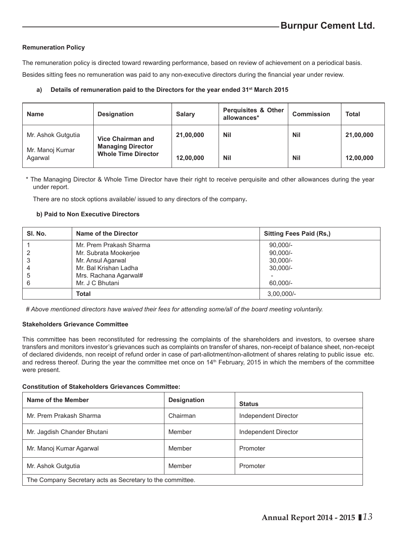#### **Remuneration Policy**

The remuneration policy is directed toward rewarding performance, based on review of achievement on a periodical basis.

Besides sitting fees no remuneration was paid to any non-executive directors during the financial year under review.

#### a) Details of remuneration paid to the Directors for the year ended 31<sup>st</sup> March 2015

| <b>Name</b>                | <b>Designation</b>                                     | Salary    | <b>Perquisites &amp; Other</b><br>allowances* | Commission | <b>Total</b> |
|----------------------------|--------------------------------------------------------|-----------|-----------------------------------------------|------------|--------------|
| Mr. Ashok Gutgutia         | <b>Vice Chairman and</b>                               | 21,00,000 | <b>Nil</b>                                    | <b>Nil</b> | 21,00,000    |
| Mr. Manoj Kumar<br>Agarwal | <b>Managing Director</b><br><b>Whole Time Director</b> | 12,00,000 | <b>Nil</b>                                    | Nil        | 12,00,000    |

\* The Managing Director & Whole Time Director have their right to receive perquisite and other allowances during the year under report.

There are no stock options available/ issued to any directors of the company**.**

#### **b) Paid to Non Executive Directors**

| SI. No. | Name of the Director    | Sitting Fees Paid (Rs.) |
|---------|-------------------------|-------------------------|
|         | Mr. Prem Prakash Sharma | $90.000/-$              |
|         | Mr. Subrata Mookerjee   | $90.000/-$              |
| 3       | Mr. Ansul Agarwal       | $30.000/-$              |
|         | Mr. Bal Krishan Ladha   | $30.000/-$              |
| 5       | Mrs. Rachana Agarwal#   |                         |
| 6       | Mr. J C Bhutani         | 60.000/-                |
|         | <b>Total</b>            | $3.00.000/-$            |

*# Above mentioned directors have waived their fees for attending some/all of the board meeting voluntarily.*

#### **Stakeholders Grievance Committee**

This committee has been reconstituted for redressing the complaints of the shareholders and investors, to oversee share transfers and monitors investor's grievances such as complaints on transfer of shares, non-receipt of balance sheet, non-receipt of declared dividends, non receipt of refund order in case of part-allotment/non-allotment of shares relating to public issue etc. and redress thereof. During the year the committee met once on 14<sup>th</sup> February, 2015 in which the members of the committee were present.

#### **Constitution of Stakeholders Grievances Committee:**

| Name of the Member                                        | Designation | <b>Status</b>        |  |
|-----------------------------------------------------------|-------------|----------------------|--|
| Mr. Prem Prakash Sharma                                   | Chairman    | Independent Director |  |
| Mr. Jagdish Chander Bhutani                               | Member      | Independent Director |  |
| Mr. Manoj Kumar Agarwal                                   | Member      | Promoter             |  |
| Mr. Ashok Gutgutia                                        | Member      | Promoter             |  |
| The Company Secretary acts as Secretary to the committee. |             |                      |  |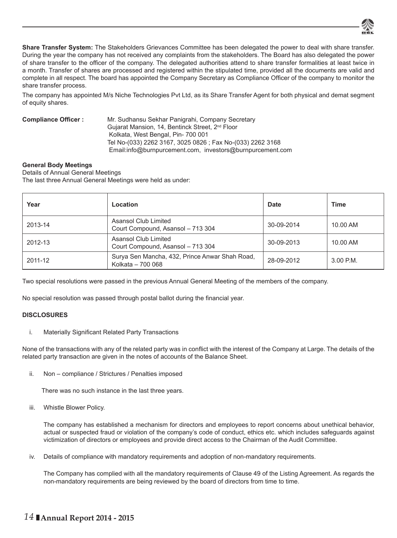

**Share Transfer System:** The Stakeholders Grievances Committee has been delegated the power to deal with share transfer. During the year the company has not received any complaints from the stakeholders. The Board has also delegated the power of share transfer to the officer of the company. The delegated authorities attend to share transfer formalities at least twice in a month. Transfer of shares are processed and registered within the stipulated time, provided all the documents are valid and complete in all respect. The board has appointed the Company Secretary as Compliance Officer of the company to monitor the share transfer process.

The company has appointed M/s Niche Technologies Pvt Ltd, as its Share Transfer Agent for both physical and demat segment of equity shares.

| <b>Compliance Officer:</b> | Mr. Sudhansu Sekhar Panigrahi, Company Secretary            |
|----------------------------|-------------------------------------------------------------|
|                            | Gujarat Mansion, 14, Bentinck Street, 2 <sup>nd</sup> Floor |
|                            | Kolkata, West Bengal, Pin-700 001                           |
|                            | Tel No-(033) 2262 3167, 3025 0826 ; Fax No-(033) 2262 3168  |
|                            | Email:info@burnpurcement.com, investors@burnpurcement.com   |

#### **General Body Meetings**

Details of Annual General Meetings The last three Annual General Meetings were held as under:

| Year    | Location                                                            | <b>Date</b> | Time        |
|---------|---------------------------------------------------------------------|-------------|-------------|
| 2013-14 | Asansol Club Limited<br>Court Compound, Asansol - 713 304           | 30-09-2014  | 10.00 AM    |
| 2012-13 | Asansol Club Limited<br>Court Compound, Asansol - 713 304           | 30-09-2013  | 10.00 AM    |
| 2011-12 | Surya Sen Mancha, 432, Prince Anwar Shah Road,<br>Kolkata - 700 068 | 28-09-2012  | $3.00$ P.M. |

Two special resolutions were passed in the previous Annual General Meeting of the members of the company.

No special resolution was passed through postal ballot during the financial year.

#### **DISCLOSURES**

i. Materially Significant Related Party Transactions

None of the transactions with any of the related party was in conflict with the interest of the Company at Large. The details of the related party transaction are given in the notes of accounts of the Balance Sheet.

ii. Non – compliance / Strictures / Penalties imposed

There was no such instance in the last three years.

iii. Whistle Blower Policy.

The company has established a mechanism for directors and employees to report concerns about unethical behavior, actual or suspected fraud or violation of the company's code of conduct, ethics etc. which includes safeguards against victimization of directors or employees and provide direct access to the Chairman of the Audit Committee.

iv. Details of compliance with mandatory requirements and adoption of non-mandatory requirements.

The Company has complied with all the mandatory requirements of Clause 49 of the Listing Agreement. As regards the non-mandatory requirements are being reviewed by the board of directors from time to time.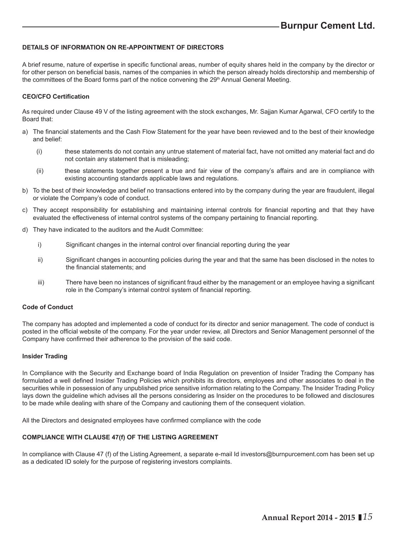#### **DETAILS OF INFORMATION ON RE-APPOINTMENT OF DIRECTORS**

A brief resume, nature of expertise in specific functional areas, number of equity shares held in the company by the director or for other person on beneficial basis, names of the companies in which the person already holds directorship and membership of the committees of the Board forms part of the notice convening the 29<sup>th</sup> Annual General Meeting.

#### **CEO/CFO Certifi cation**

As required under Clause 49 V of the listing agreement with the stock exchanges, Mr. Sajjan Kumar Agarwal, CFO certify to the Board that:

- a) The financial statements and the Cash Flow Statement for the year have been reviewed and to the best of their knowledge and belief:
	- (i) these statements do not contain any untrue statement of material fact, have not omitted any material fact and do not contain any statement that is misleading;
	- (ii) these statements together present a true and fair view of the company's affairs and are in compliance with existing accounting standards applicable laws and regulations.
- b) To the best of their knowledge and belief no transactions entered into by the company during the year are fraudulent, illegal or violate the Company's code of conduct.
- c) They accept responsibility for establishing and maintaining internal controls for financial reporting and that they have evaluated the effectiveness of internal control systems of the company pertaining to financial reporting.
- d) They have indicated to the auditors and the Audit Committee:
	- i) Significant changes in the internal control over financial reporting during the year
	- ii) Significant changes in accounting policies during the year and that the same has been disclosed in the notes to the financial statements: and
	- iii) There have been no instances of significant fraud either by the management or an employee having a significant role in the Company's internal control system of financial reporting.

#### **Code of Conduct**

The company has adopted and implemented a code of conduct for its director and senior management. The code of conduct is posted in the official website of the company. For the year under review, all Directors and Senior Management personnel of the Company have confirmed their adherence to the provision of the said code.

#### **Insider Trading**

In Compliance with the Security and Exchange board of India Regulation on prevention of Insider Trading the Company has formulated a well defined Insider Trading Policies which prohibits its directors, employees and other associates to deal in the securities while in possession of any unpublished price sensitive information relating to the Company. The Insider Trading Policy lays down the guideline which advises all the persons considering as Insider on the procedures to be followed and disclosures to be made while dealing with share of the Company and cautioning them of the consequent violation.

All the Directors and designated employees have confirmed compliance with the code

#### **COMPLIANCE WITH CLAUSE 47(f) OF THE LISTING AGREEMENT**

In compliance with Clause 47 (f) of the Listing Agreement, a separate e-mail Id investors@burnpurcement.com has been set up as a dedicated ID solely for the purpose of registering investors complaints.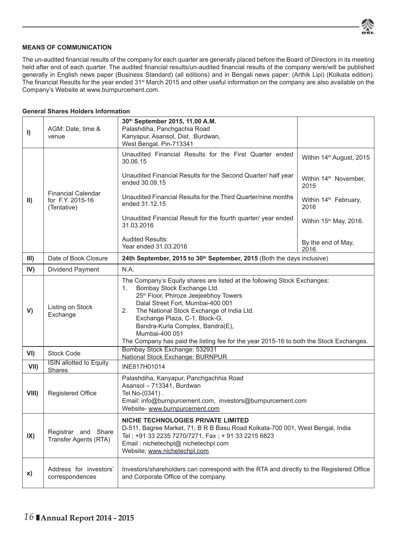

#### **MEANS OF COMMUNICATION**

The un-audited financial results of the company for each quarter are generally placed before the Board of Directors in its meeting held after end of each quarter. The audited financial results/un-audited financial results of the company were/will be published generally in English news paper (Business Standard) (all editions) and in Bengali news paper: (Arthik Lipi) (Kolkata edition). The financial Results for the year ended 31<sup>st</sup> March 2015 and other useful information on the company are also available on the Company's Website at www.burnpurcement.com.

#### **General Shares Holders Information**

| $\vert$       | AGM: Date, time &<br>venue                                   | 30th September 2015, 11.00 A.M.<br>Palashdiha, Panchgachia Road<br>Kanyapur, Asansol, Dist. : Burdwan,<br>West Bengal, Pin-713341                                                                                                                                                                                                                                                                                              |                                           |  |
|---------------|--------------------------------------------------------------|--------------------------------------------------------------------------------------------------------------------------------------------------------------------------------------------------------------------------------------------------------------------------------------------------------------------------------------------------------------------------------------------------------------------------------|-------------------------------------------|--|
|               |                                                              | Unaudited Financial Results for the First Quarter ended<br>30.06.15                                                                                                                                                                                                                                                                                                                                                            | Within 14 <sup>th</sup> August, 2015      |  |
|               |                                                              | Unaudited Financial Results for the Second Quarter/ half year<br>ended 30.09.15                                                                                                                                                                                                                                                                                                                                                | Within 14 <sup>th</sup> November,<br>2015 |  |
| $\mathsf{II}$ | <b>Financial Calendar</b><br>for F.Y. 2015-16<br>(Tentative) | Unaudited Financial Results for the Third Quarter/nine months<br>ended 31.12.15                                                                                                                                                                                                                                                                                                                                                | Within 14 <sup>th</sup> February,<br>2016 |  |
|               |                                                              | Unaudited Financial Result for the fourth quarter/ year ended<br>31.03.2016                                                                                                                                                                                                                                                                                                                                                    | Within 15 <sup>th</sup> May, 2016.        |  |
|               |                                                              | <b>Audited Results:</b><br>Year ended 31.03.2016                                                                                                                                                                                                                                                                                                                                                                               | By the end of May,<br>2016.               |  |
| III)          | Date of Book Closure                                         | 24th September, 2015 to 30 <sup>th</sup> September, 2015 (Both the days inclusive)                                                                                                                                                                                                                                                                                                                                             |                                           |  |
| IV)           | Dividend Payment                                             | N.A.                                                                                                                                                                                                                                                                                                                                                                                                                           |                                           |  |
| V)            | Listing on Stock<br>Exchange                                 | The Company's Equity shares are listed at the following Stock Exchanges:<br>Bombay Stock Exchange Ltd.<br>1.<br>25th Floor, Phiroze Jeejeebhoy Towers<br>Dalal Street Fort, Mumbai-400 001<br>2.<br>The National Stock Exchange of India Ltd.<br>Exchange Plaza, C-1, Block-G,<br>Bandra-Kurla Complex, Bandra(E),<br>Mumbai-400 051<br>The Company has paid the listing fee for the year 2015-16 to both the Stock Exchanges. |                                           |  |
| VI)           | <b>Stock Code</b>                                            | Bombay Stock Exchange: 532931<br>National Stock Exchange: BURNPUR                                                                                                                                                                                                                                                                                                                                                              |                                           |  |
| VII)          | <b>ISIN allotted to Equity</b><br><b>Shares</b>              | INE817H01014                                                                                                                                                                                                                                                                                                                                                                                                                   |                                           |  |
| <b>VIII</b> ) | Registered Office                                            | Palashdiha, Kanyapur, Panchgachhia Road<br>Asansol - 713341, Burdwan<br>Tel No-(0341).<br>Email: info@burnpurcement.com, investors@burnpurcement.com<br>Website- www.burnpurcement.com                                                                                                                                                                                                                                         |                                           |  |
| IX)           | Registrar and Share<br>Transfer Agents (RTA)                 | NICHE TECHNOLOGIES PRIVATE LIMITED<br>D-511, Bagree Market, 71, B R B Basu Road Kolkata-700 001, West Bengal, India<br>Tel; +91 33 2235 7270/7271, Fax; + 91 33 2215 6823<br>Email: nichetechpl@ nichetechpl.com<br>Website; www.nichetechpl.com                                                                                                                                                                               |                                           |  |
| X)            | Address for investors'<br>correspondences                    | Investors/shareholders can correspond with the RTA and directly to the Registered Office<br>and Corporate Office of the company.                                                                                                                                                                                                                                                                                               |                                           |  |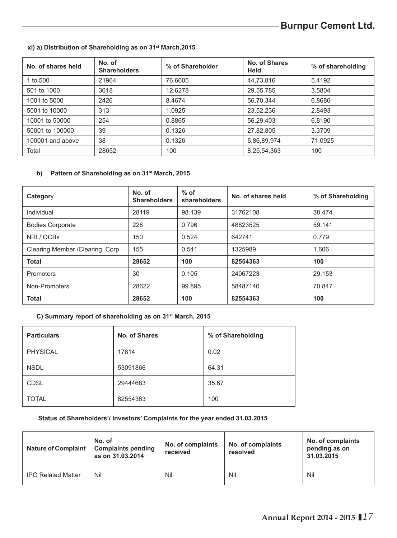# **Burnpur Cement Ltd.**

#### **xi) a) Distribution of Shareholding as on 31st March,2015**

| No. of shares held | No. of<br><b>Shareholders</b> | % of Shareholder | No. of Shares<br>Held | % of shareholding |
|--------------------|-------------------------------|------------------|-----------------------|-------------------|
| 1 to 500           | 21964                         | 76.6605          | 44,73,816             | 5.4192            |
| 501 to 1000        | 3618                          | 12.6278          | 29,55,785             | 3.5804            |
| 1001 to 5000       | 2426                          | 8.4674           | 56,70,344             | 6.8686            |
| 5001 to 10000      | 313                           | 1.0925           | 23,52,236             | 2.8493            |
| 10001 to 50000     | 254                           | 0.8865           | 56,29,403             | 6.8190            |
| 50001 to 100000    | 39                            | 0.1326           | 27,82,805             | 3.3709            |
| 100001 and above   | 38                            | 0.1326           | 5,86,89,974           | 71.0925           |
| Total              | 28652                         | 100              | 8,25,54,363           | 100               |

#### **b) Pattern of Shareholding as on 31st March, 2015**

| Category                          | No. of<br><b>Shareholders</b> | $%$ of<br>shareholders | No. of shares held | % of Shareholding |
|-----------------------------------|-------------------------------|------------------------|--------------------|-------------------|
| Individual                        | 28119                         | 98.139                 | 31762108           | 38.474            |
| <b>Bodies Corporate</b>           | 228                           | 0.796                  | 48823525           | 59.141            |
| NRI / OCBs                        | 150                           | 0.524                  | 642741             | 0.779             |
| Clearing Member / Clearing. Corp. | 155                           | 0.541                  | 1325989            | 1.606             |
| <b>Total</b>                      | 28652                         | 100                    | 82554363           | 100               |
| Promoters                         | 30                            | 0.105                  | 24067223           | 29.153            |
| Non-Promoters                     | 28622                         | 99.895                 | 58487140           | 70.847            |
| <b>Total</b>                      | 28652                         | 100                    | 82554363           | 100               |

### **C) Summary report of shareholding as on 31st March, 2015**

| <b>Particulars</b> | No. of Shares | % of Shareholding |
|--------------------|---------------|-------------------|
| <b>PHYSICAL</b>    | 17814         | 0.02              |
| <b>NSDL</b>        | 53091866      | 64.31             |
| <b>CDSL</b>        | 29444683      | 35.67             |
| <b>TOTAL</b>       | 82554363      | 100               |

#### **Status of Shareholders'/ Investors' Complaints for the year ended 31.03.2015**

| <b>Nature of Complaint</b> | No. of<br><b>Complaints pending</b><br>as on 31.03.2014 | No. of complaints<br>received | No. of complaints<br>resolved | No. of complaints<br>pending as on<br>31.03.2015 |
|----------------------------|---------------------------------------------------------|-------------------------------|-------------------------------|--------------------------------------------------|
| <b>IPO Related Matter</b>  | Nil                                                     | Nil                           | Nil                           | Nil                                              |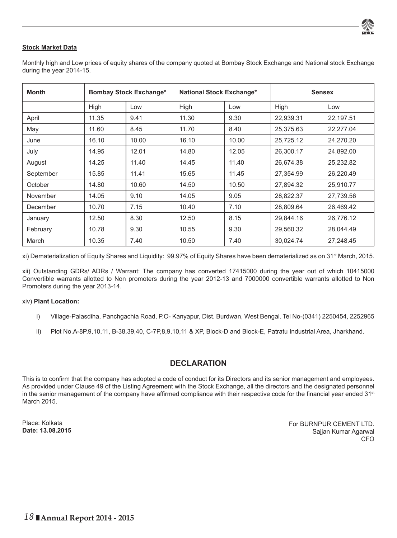

#### **Stock Market Data**

Monthly high and Low prices of equity shares of the company quoted at Bombay Stock Exchange and National stock Exchange during the year 2014-15.

| <b>Month</b> | <b>Bombay Stock Exchange*</b> |       | National Stock Exchange* |       | <b>Sensex</b> |           |  |
|--------------|-------------------------------|-------|--------------------------|-------|---------------|-----------|--|
|              | High                          | Low   | High                     | Low   | High          | Low       |  |
| April        | 11.35                         | 9.41  | 11.30                    | 9.30  | 22,939.31     | 22,197.51 |  |
| May          | 11.60                         | 8.45  | 11.70                    | 8.40  | 25,375.63     | 22,277.04 |  |
| June         | 16.10                         | 10.00 | 16.10                    | 10.00 | 25,725.12     | 24,270.20 |  |
| July         | 14.95                         | 12.01 | 14.80                    | 12.05 | 26,300.17     | 24,892.00 |  |
| August       | 14.25                         | 11.40 | 14.45                    | 11.40 | 26,674.38     | 25,232.82 |  |
| September    | 15.85                         | 11.41 | 15.65                    | 11.45 | 27,354.99     | 26,220.49 |  |
| October      | 14.80                         | 10.60 | 14.50                    | 10.50 | 27,894.32     | 25,910.77 |  |
| November     | 14.05                         | 9.10  | 14.05                    | 9.05  | 28.822.37     | 27.739.56 |  |
| December     | 10.70                         | 7.15  | 10.40                    | 7.10  | 28,809.64     | 26.469.42 |  |
| January      | 12.50                         | 8.30  | 12.50                    | 8.15  | 29,844.16     | 26,776.12 |  |
| February     | 10.78                         | 9.30  | 10.55                    | 9.30  | 29,560.32     | 28,044.49 |  |
| March        | 10.35                         | 7.40  | 10.50                    | 7.40  | 30.024.74     | 27.248.45 |  |

xi) Dematerialization of Equity Shares and Liquidity: 99.97% of Equity Shares have been dematerialized as on 31<sup>st</sup> March, 2015.

xii) Outstanding GDRs/ ADRs / Warrant: The company has converted 17415000 during the year out of which 10415000 Convertible warrants allotted to Non promoters during the year 2012-13 and 7000000 convertible warrants allotted to Non Promoters during the year 2013-14.

#### xiv) **Plant Location:**

- i) Village-Palasdiha, Panchgachia Road, P.O- Kanyapur, Dist. Burdwan, West Bengal. Tel No-(0341) 2250454, 2252965
- ii) Plot No.A-8P,9,10,11, B-38,39,40, C-7P,8,9,10,11 & XP, Block-D and Block-E, Patratu Industrial Area, Jharkhand.

#### **DECLARATION**

This is to confirm that the company has adopted a code of conduct for its Directors and its senior management and employees. As provided under Clause 49 of the Listing Agreement with the Stock Exchange, all the directors and the designated personnel in the senior management of the company have affirmed compliance with their respective code for the financial year ended 31<sup>st</sup> March 2015.

Place: Kolkata **Date: 13.08.2015** For BURNPUR CEMENT LTD. Sajjan Kumar Agarwal CFO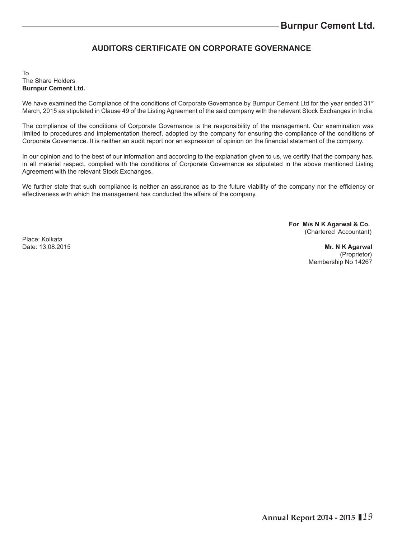# **AUDITORS CERTIFICATE ON CORPORATE GOVERNANCE**

#### To The Share Holders **Burnpur Cement Ltd.**

We have examined the Compliance of the conditions of Corporate Governance by Burnpur Cement Ltd for the year ended 31<sup>st</sup> March, 2015 as stipulated in Clause 49 of the Listing Agreement of the said company with the relevant Stock Exchanges in India.

The compliance of the conditions of Corporate Governance is the responsibility of the management. Our examination was limited to procedures and implementation thereof, adopted by the company for ensuring the compliance of the conditions of Corporate Governance. It is neither an audit report nor an expression of opinion on the financial statement of the company.

In our opinion and to the best of our information and according to the explanation given to us, we certify that the company has, in all material respect, complied with the conditions of Corporate Governance as stipulated in the above mentioned Listing Agreement with the relevant Stock Exchanges.

We further state that such compliance is neither an assurance as to the future viability of the company nor the efficiency or effectiveness with which the management has conducted the affairs of the company.

> **For M/s N K Agarwal & Co.** (Chartered Accountant)

Place: Kolkata<br>Date: 13 08 2015

**Mr. N K Agarwal**  (Proprietor) Membership No 14267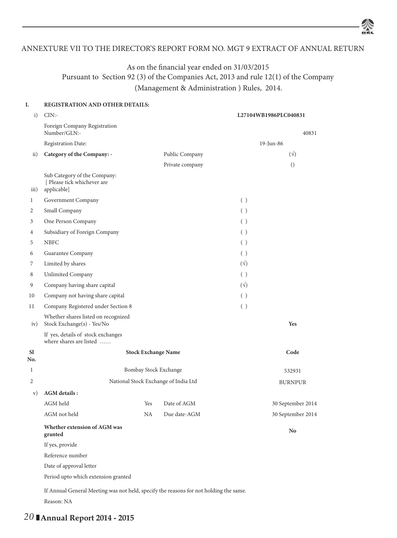#### ANNEXTURE VII TO THE DIRECTOR'S REPORT FORM NO. MGT 9 EXTRACT OF ANNUAL RETURN

# As on the financial year ended on 31/03/2015 Pursuant to Section 92 (3) of the Companies Act, 2013 and rule 12(1) of the Company (Management & Administration ) Rules, 2014.

#### **I. REGISTRATION AND OTHER DETAILS:**

| i)             | CIN:                                                                                  |                            |                                      |              | L27104WB1986PLC040831 |
|----------------|---------------------------------------------------------------------------------------|----------------------------|--------------------------------------|--------------|-----------------------|
|                | Foreign Company Registration<br>Number/GLN:-                                          |                            |                                      |              | 40831                 |
|                | Registration Date:                                                                    |                            |                                      |              | 19-Jun-86             |
| $\mathbf{ii}$  | Category of the Company: -                                                            |                            | Public Company                       |              | $(\sqrt{2})$          |
|                |                                                                                       |                            | Private company                      |              | $\left( \right)$      |
| iii)           | Sub Category of the Company:<br>[ Please tick whichever are<br>applicable]            |                            |                                      |              |                       |
| $\mathbf{1}$   | Government Company                                                                    |                            |                                      | ( )          |                       |
| 2              | Small Company                                                                         |                            |                                      | ( )          |                       |
| 3              | One Person Company                                                                    |                            |                                      | ( )          |                       |
| 4              | Subsidiary of Foreign Company                                                         |                            |                                      | ( )          |                       |
| 5              | <b>NBFC</b>                                                                           |                            |                                      | ( )          |                       |
| 6              | Guarantee Company                                                                     |                            |                                      | ( )          |                       |
| 7              | Limited by shares                                                                     |                            |                                      | $(\sqrt{2})$ |                       |
| 8              | Unlimited Company                                                                     |                            |                                      | ( )          |                       |
| 9              | Company having share capital                                                          |                            |                                      | $(\sqrt{2})$ |                       |
| 10             | Company not having share capital                                                      |                            |                                      | ( )          |                       |
| 11             | Company Registered under Section 8                                                    |                            |                                      | ( )          |                       |
| iv)            | Whether shares listed on recognized<br>Stock Exchange(s) - Yes/No                     |                            |                                      |              | Yes                   |
|                | If yes, details of stock exchanges<br>where shares are listed                         |                            |                                      |              |                       |
| Sl<br>No.      |                                                                                       | <b>Stock Exchange Name</b> |                                      |              | Code                  |
| 1              |                                                                                       | Bombay Stock Exchange      |                                      |              | 532931                |
| $\overline{c}$ |                                                                                       |                            | National Stock Exchange of India Ltd |              | <b>BURNPUR</b>        |
| V)             | <b>AGM</b> details :                                                                  |                            |                                      |              |                       |
|                | AGM held                                                                              | Yes                        | Date of AGM                          |              | 30 September 2014     |
|                | AGM not held                                                                          | NA.                        | Due date-AGM                         |              | 30 September 2014     |
|                | Whether extension of AGM was<br>granted                                               |                            |                                      |              | No                    |
|                | If yes, provide                                                                       |                            |                                      |              |                       |
|                | Reference number                                                                      |                            |                                      |              |                       |
|                | Date of approval letter                                                               |                            |                                      |              |                       |
|                | Period upto which extension granted                                                   |                            |                                      |              |                       |
|                | If Annual General Meeting was not held, specify the reasons for not holding the same. |                            |                                      |              |                       |
|                | Reason: NA                                                                            |                            |                                      |              |                       |

# *20* **Annual Report 2014 - 2015**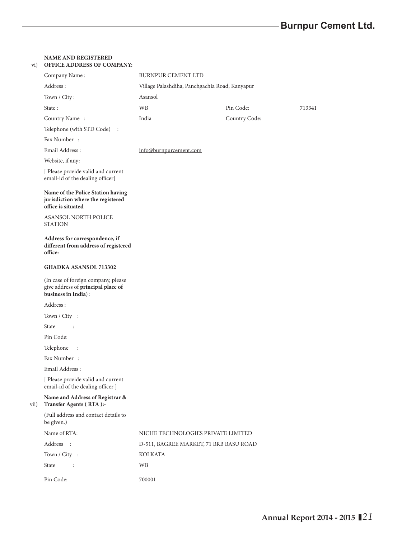| vi)  | <b>NAME AND REGISTERED</b><br><b>OFFICE ADDRESS OF COMPANY:</b>                                  |                                                |               |        |
|------|--------------------------------------------------------------------------------------------------|------------------------------------------------|---------------|--------|
|      | Company Name:                                                                                    | <b>BURNPUR CEMENT LTD</b>                      |               |        |
|      | Address:                                                                                         | Village Palashdiha, Panchgachia Road, Kanyapur |               |        |
|      | Town / City:                                                                                     | Asansol                                        |               |        |
|      | State:                                                                                           | WB                                             | Pin Code:     | 713341 |
|      | Country Name:                                                                                    | India                                          | Country Code: |        |
|      | Telephone (with STD Code) :                                                                      |                                                |               |        |
|      | Fax Number:                                                                                      |                                                |               |        |
|      | Email Address:                                                                                   | info@burnpurcement.com                         |               |        |
|      | Website, if any:                                                                                 |                                                |               |        |
|      | [ Please provide valid and current<br>email-id of the dealing officer]                           |                                                |               |        |
|      | Name of the Police Station having<br>jurisdiction where the registered<br>office is situated     |                                                |               |        |
|      | <b>ASANSOL NORTH POLICE</b><br><b>STATION</b>                                                    |                                                |               |        |
|      | Address for correspondence, if<br>different from address of registered<br>office:                |                                                |               |        |
|      | <b>GHADKA ASANSOL 713302</b>                                                                     |                                                |               |        |
|      | (In case of foreign company, please<br>give address of principal place of<br>business in India): |                                                |               |        |
|      | Address:                                                                                         |                                                |               |        |
|      | Town / City :                                                                                    |                                                |               |        |
|      | State<br>$\sim$ 1                                                                                |                                                |               |        |
|      | Pin Code:                                                                                        |                                                |               |        |
|      | Telephone<br>$\ddot{\phantom{a}}$                                                                |                                                |               |        |
|      | Fax Number:                                                                                      |                                                |               |        |
|      | Email Address:                                                                                   |                                                |               |        |
|      | [ Please provide valid and current<br>email-id of the dealing officer ]                          |                                                |               |        |
| vii) | Name and Address of Registrar &<br>Transfer Agents (RTA):-                                       |                                                |               |        |
|      | (Full address and contact details to<br>be given.)                                               |                                                |               |        |
|      | Name of RTA:                                                                                     | NICHE TECHNOLOGIES PRIVATE LIMITED             |               |        |
|      | Address :                                                                                        | D-511, BAGREE MARKET, 71 BRB BASU ROAD         |               |        |
|      | Town / City :                                                                                    | KOLKATA                                        |               |        |
|      | State<br>$\sim 10$                                                                               | WB                                             |               |        |
|      | Pin Code:                                                                                        | 700001                                         |               |        |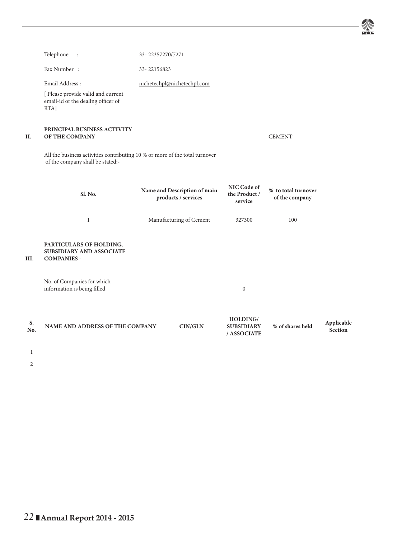坌

|           | Telephone :                                                                                                     | 33-22357270/7271            |                                                     |                                              |                                       |                       |
|-----------|-----------------------------------------------------------------------------------------------------------------|-----------------------------|-----------------------------------------------------|----------------------------------------------|---------------------------------------|-----------------------|
|           | Fax Number:                                                                                                     | 33-22156823                 |                                                     |                                              |                                       |                       |
|           | Email Address:                                                                                                  | nichetechpl@nichetechpl.com |                                                     |                                              |                                       |                       |
|           | [ Please provide valid and current<br>email-id of the dealing officer of<br>RTA]                                |                             |                                                     |                                              |                                       |                       |
| Н.        | PRINCIPAL BUSINESS ACTIVITY<br><b>OF THE COMPANY</b>                                                            |                             |                                                     |                                              | <b>CEMENT</b>                         |                       |
|           | All the business activities contributing 10 % or more of the total turnover<br>of the company shall be stated:- |                             |                                                     |                                              |                                       |                       |
|           | Sl. No.                                                                                                         |                             | Name and Description of main<br>products / services | NIC Code of<br>the Product /<br>service      | % to total turnover<br>of the company |                       |
|           | $\mathbf{1}$                                                                                                    |                             | Manufacturing of Cement                             | 327300                                       | 100                                   |                       |
| III.      | PARTICULARS OF HOLDING,<br>SUBSIDIARY AND ASSOCIATE<br><b>COMPANIES -</b>                                       |                             |                                                     |                                              |                                       |                       |
|           | No. of Companies for which<br>information is being filled                                                       |                             |                                                     | $\mathbf{0}$                                 |                                       |                       |
| S.<br>No. | NAME AND ADDRESS OF THE COMPANY                                                                                 |                             | CIN/GLN                                             | HOLDING/<br><b>SUBSIDIARY</b><br>/ ASSOCIATE | % of shares held                      | Applicable<br>Section |

1

 $2 \left( \frac{1}{2} \right)$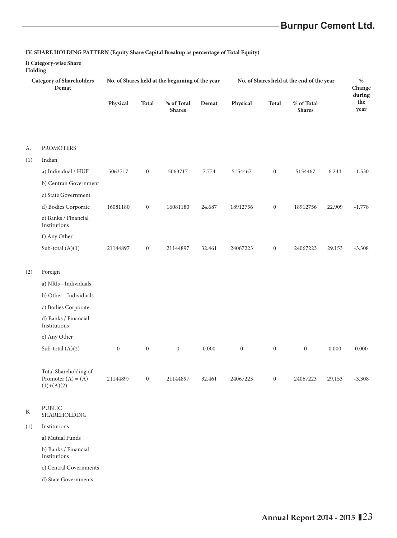# **Burnpur Cement Ltd.**

#### **IV. SHARE HOLDING PATTERN (Equity Share Capital Breakup as percentage of Total Equity)**

#### **i) Category-wise Share**

**Holding**

| <b>Category of Shareholders</b><br>Demat |                                                               |                  |                  | No. of Shares held at the beginning of the year |        | No. of Shares held at the end of the year |                  |                             |        | $\%$<br>Change        |
|------------------------------------------|---------------------------------------------------------------|------------------|------------------|-------------------------------------------------|--------|-------------------------------------------|------------------|-----------------------------|--------|-----------------------|
|                                          |                                                               | Physical         | <b>Total</b>     | $\%$ of Total<br><b>Shares</b>                  | Demat  | Physical                                  | Total            | % of Total<br><b>Shares</b> |        | during<br>the<br>year |
|                                          |                                                               |                  |                  |                                                 |        |                                           |                  |                             |        |                       |
| А.                                       | <b>PROMOTERS</b>                                              |                  |                  |                                                 |        |                                           |                  |                             |        |                       |
| (1)                                      | Indian                                                        |                  |                  |                                                 |        |                                           |                  |                             |        |                       |
|                                          | a) Individual / HUF                                           | 5063717          | $\boldsymbol{0}$ | 5063717                                         | 7.774  | 5154467                                   | $\boldsymbol{0}$ | 5154467                     | 6.244  | $-1.530$              |
|                                          | b) Centran Government                                         |                  |                  |                                                 |        |                                           |                  |                             |        |                       |
|                                          | c) State Government                                           |                  |                  |                                                 |        |                                           |                  |                             |        |                       |
|                                          | d) Bodies Corporate                                           | 16081180         | $\boldsymbol{0}$ | 16081180                                        | 24.687 | 18912756                                  | $\mathbf{0}$     | 18912756                    | 22.909 | $-1.778$              |
|                                          | e) Banks / Financial<br>Institutions                          |                  |                  |                                                 |        |                                           |                  |                             |        |                       |
|                                          | f) Any Other                                                  |                  |                  |                                                 |        |                                           |                  |                             |        |                       |
|                                          | Sub-total $(A)(1)$                                            | 21144897         | $\boldsymbol{0}$ | 21144897                                        | 32.461 | 24067223                                  | $\boldsymbol{0}$ | 24067223                    | 29.153 | $-3.308$              |
| (2)                                      | Foreign                                                       |                  |                  |                                                 |        |                                           |                  |                             |        |                       |
|                                          | a) NRIs - Individuals                                         |                  |                  |                                                 |        |                                           |                  |                             |        |                       |
|                                          | b) Other - Individuals                                        |                  |                  |                                                 |        |                                           |                  |                             |        |                       |
|                                          | c) Bodies Corporate                                           |                  |                  |                                                 |        |                                           |                  |                             |        |                       |
|                                          | d) Banks / Financial<br>Institutions                          |                  |                  |                                                 |        |                                           |                  |                             |        |                       |
|                                          | e) Any Other                                                  |                  |                  |                                                 |        |                                           |                  |                             |        |                       |
|                                          | Sub-total $(A)(2)$                                            | $\boldsymbol{0}$ | $\boldsymbol{0}$ | $\boldsymbol{0}$                                | 0.000  | $\boldsymbol{0}$                          | $\boldsymbol{0}$ | $\boldsymbol{0}$            | 0.000  | 0.000                 |
|                                          | Total Shareholding of<br>Promoter $(A) = (A)$<br>$(1)+(A)(2)$ | 21144897         | $\boldsymbol{0}$ | 21144897                                        | 32.461 | 24067223                                  | $\boldsymbol{0}$ | 24067223                    | 29.153 | $-3.308$              |
| Β.                                       | PUBLIC<br>SHAREHOLDING                                        |                  |                  |                                                 |        |                                           |                  |                             |        |                       |

#### (1) Institutions

a) Mutual Funds

b) Banks / Financial Institutions

c) Central Governments

d) State Governments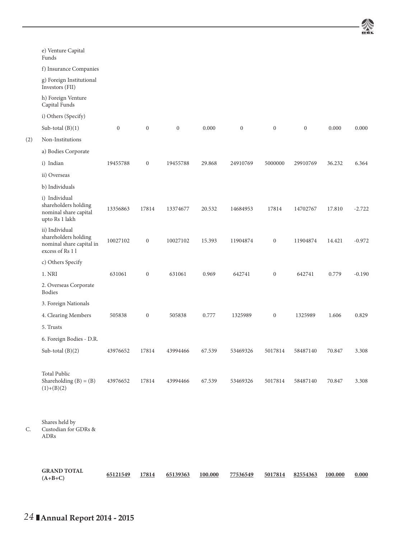

|     | e) Venture Capital<br>Funds                                                           |              |                  |              |        |                  |                  |              |        |          |
|-----|---------------------------------------------------------------------------------------|--------------|------------------|--------------|--------|------------------|------------------|--------------|--------|----------|
|     | f) Insurance Companies                                                                |              |                  |              |        |                  |                  |              |        |          |
|     | g) Foreign Institutional<br>Investors (FII)                                           |              |                  |              |        |                  |                  |              |        |          |
|     | h) Foreign Venture<br>Capital Funds                                                   |              |                  |              |        |                  |                  |              |        |          |
|     | i) Others (Specify)                                                                   |              |                  |              |        |                  |                  |              |        |          |
|     | Sub-total $(B)(1)$                                                                    | $\mathbf{0}$ | $\mathbf{0}$     | $\mathbf{0}$ | 0.000  | $\boldsymbol{0}$ | $\mathbf{0}$     | $\mathbf{0}$ | 0.000  | 0.000    |
| (2) | Non-Institutions                                                                      |              |                  |              |        |                  |                  |              |        |          |
|     | a) Bodies Corporate                                                                   |              |                  |              |        |                  |                  |              |        |          |
|     | i) Indian                                                                             | 19455788     | $\overline{0}$   | 19455788     | 29.868 | 24910769         | 5000000          | 29910769     | 36.232 | 6.364    |
|     | ii) Overseas                                                                          |              |                  |              |        |                  |                  |              |        |          |
|     | b) Individuals                                                                        |              |                  |              |        |                  |                  |              |        |          |
|     | i) Individual<br>shareholders holding<br>nominal share capital<br>upto Rs 1 lakh      | 13356863     | 17814            | 13374677     | 20.532 | 14684953         | 17814            | 14702767     | 17.810 | $-2.722$ |
|     | ii) Individual<br>shareholders holding<br>nominal share capital in<br>excess of Rs 11 | 10027102     | $\boldsymbol{0}$ | 10027102     | 15.393 | 11904874         | $\boldsymbol{0}$ | 11904874     | 14.421 | $-0.972$ |
|     | c) Others Specify                                                                     |              |                  |              |        |                  |                  |              |        |          |
|     | 1. NRI                                                                                | 631061       | $\mathbf{0}$     | 631061       | 0.969  | 642741           | $\mathbf{0}$     | 642741       | 0.779  | $-0.190$ |
|     | 2. Overseas Corporate<br>Bodies                                                       |              |                  |              |        |                  |                  |              |        |          |
|     | 3. Foreign Nationals                                                                  |              |                  |              |        |                  |                  |              |        |          |
|     | 4. Clearing Members                                                                   | 505838       | $\boldsymbol{0}$ | 505838       | 0.777  | 1325989          | $\boldsymbol{0}$ | 1325989      | 1.606  | 0.829    |
|     | 5. Trusts                                                                             |              |                  |              |        |                  |                  |              |        |          |
|     | 6. Foreign Bodies - D.R.                                                              |              |                  |              |        |                  |                  |              |        |          |
|     | Sub-total $(B)(2)$                                                                    | 43976652     | 17814            | 43994466     | 67.539 | 53469326         | 5017814          | 58487140     | 70.847 | 3.308    |
|     | <b>Total Public</b><br>Shareholding $(B) = (B)$<br>$(1)+(B)(2)$                       | 43976652     | 17814            | 43994466     | 67.539 | 53469326         | 5017814          | 58487140     | 70.847 | 3.308    |
|     | Shares held by                                                                        |              |                  |              |        |                  |                  |              |        |          |

C. Custodian for GDRs & ADRs

| <b>GRAND TOTAL</b> |          |       |          |         |          |         |          |         |       |
|--------------------|----------|-------|----------|---------|----------|---------|----------|---------|-------|
| $(A+B+C)$          | 65121549 | 17814 | 65139363 | 100.000 | 77536549 | 5017814 | 82554363 | 100.000 | 0.000 |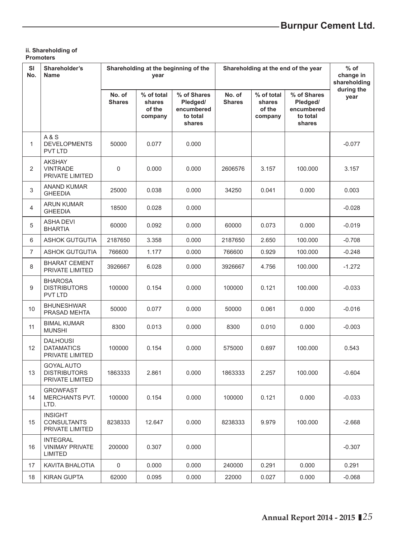#### **ii. Shareholding of Promoters**

| SI<br>No.      | Shareholder's<br><b>Name</b>                                | Shareholding at the beginning of the<br>year |                                           |                                                             |                         | Shareholding at the end of the year       | $%$ of<br>change in<br>shareholding                         |                    |
|----------------|-------------------------------------------------------------|----------------------------------------------|-------------------------------------------|-------------------------------------------------------------|-------------------------|-------------------------------------------|-------------------------------------------------------------|--------------------|
|                |                                                             | No. of<br><b>Shares</b>                      | % of total<br>shares<br>of the<br>company | % of Shares<br>Pledged/<br>encumbered<br>to total<br>shares | No. of<br><b>Shares</b> | % of total<br>shares<br>of the<br>company | % of Shares<br>Pledged/<br>encumbered<br>to total<br>shares | during the<br>year |
| 1              | A & S<br><b>DEVELOPMENTS</b><br><b>PVT LTD</b>              | 50000                                        | 0.077                                     | 0.000                                                       |                         |                                           |                                                             | $-0.077$           |
| 2              | <b>AKSHAY</b><br><b>VINTRADE</b><br>PRIVATE LIMITED         | $\mathsf 0$                                  | 0.000                                     | 0.000                                                       | 2606576                 | 3.157                                     | 100.000                                                     | 3.157              |
| 3              | ANAND KUMAR<br><b>GHEEDIA</b>                               | 25000                                        | 0.038                                     | 0.000                                                       | 34250                   | 0.041                                     | 0.000                                                       | 0.003              |
| 4              | ARUN KUMAR<br><b>GHEEDIA</b>                                | 18500                                        | 0.028                                     | 0.000                                                       |                         |                                           |                                                             | $-0.028$           |
| 5              | <b>ASHA DEVI</b><br><b>BHARTIA</b>                          | 60000                                        | 0.092                                     | 0.000                                                       | 60000                   | 0.073                                     | 0.000                                                       | $-0.019$           |
| 6              | <b>ASHOK GUTGUTIA</b>                                       | 2187650                                      | 3.358                                     | 0.000                                                       | 2187650                 | 2.650                                     | 100.000                                                     | $-0.708$           |
| $\overline{7}$ | <b>ASHOK GUTGUTIA</b>                                       | 766600                                       | 1.177                                     | 0.000                                                       | 766600                  | 0.929                                     | 100.000                                                     | $-0.248$           |
| 8              | <b>BHARAT CEMENT</b><br>PRIVATE LIMITED                     | 3926667                                      | 6.028                                     | 0.000                                                       | 3926667                 | 4.756                                     | 100.000                                                     | $-1.272$           |
| 9              | <b>BHAROSA</b><br><b>DISTRIBUTORS</b><br><b>PVT LTD</b>     | 100000                                       | 0.154                                     | 0.000                                                       | 100000                  | 0.121                                     | 100.000                                                     | $-0.033$           |
| 10             | <b>BHUNESHWAR</b><br>PRASAD MEHTA                           | 50000                                        | 0.077                                     | 0.000                                                       | 50000                   | 0.061                                     | 0.000                                                       | $-0.016$           |
| 11             | <b>BIMAL KUMAR</b><br><b>MUNSHI</b>                         | 8300                                         | 0.013                                     | 0.000                                                       | 8300                    | 0.010                                     | 0.000                                                       | $-0.003$           |
| 12             | <b>DALHOUSI</b><br><b>DATAMATICS</b><br>PRIVATE LIMITED     | 100000                                       | 0.154                                     | 0.000                                                       | 575000                  | 0.697                                     | 100.000                                                     | 0.543              |
| 13             | <b>GOYAL AUTO</b><br><b>DISTRIBUTORS</b><br>PRIVATE LIMITED | 1863333                                      | 2.861                                     | 0.000                                                       | 1863333                 | 2.257                                     | 100.000                                                     | $-0.604$           |
| 14             | <b>GROWFAST</b><br><b>MERCHANTS PVT.</b><br>LTD.            | 100000                                       | 0.154                                     | 0.000                                                       | 100000                  | 0.121                                     | 0.000                                                       | $-0.033$           |
| 15             | <b>INSIGHT</b><br><b>CONSULTANTS</b><br>PRIVATE LIMITED     | 8238333                                      | 12.647                                    | 0.000                                                       | 8238333                 | 9.979                                     | 100.000                                                     | $-2.668$           |
| 16             | <b>INTEGRAL</b><br><b>VINIMAY PRIVATE</b><br>LIMITED        | 200000                                       | 0.307                                     | 0.000                                                       |                         |                                           |                                                             | $-0.307$           |
| 17             | KAVITA BHALOTIA                                             | 0                                            | 0.000                                     | 0.000                                                       | 240000                  | 0.291                                     | 0.000                                                       | 0.291              |
| 18             | <b>KIRAN GUPTA</b>                                          | 62000                                        | 0.095                                     | 0.000                                                       | 22000                   | 0.027                                     | 0.000                                                       | $-0.068$           |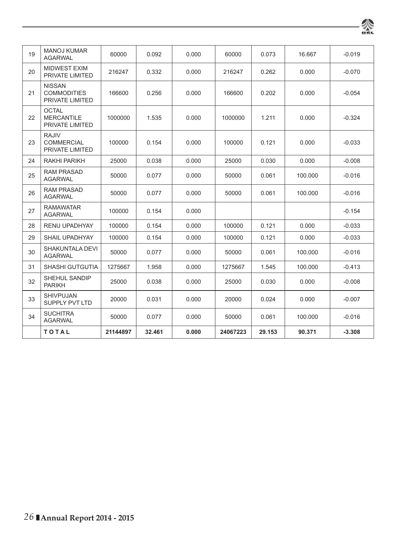| 19 | <b>MANOJ KUMAR</b><br><b>AGARWAL</b>                   | 60000    | 0.092  | 0.000 | 60000    | 0.073  | 16.667  | $-0.019$ |
|----|--------------------------------------------------------|----------|--------|-------|----------|--------|---------|----------|
| 20 | <b>MIDWEST EXIM</b><br>PRIVATE LIMITED                 | 216247   | 0.332  | 0.000 | 216247   | 0.262  | 0.000   | $-0.070$ |
| 21 | <b>NISSAN</b><br><b>COMMODITIES</b><br>PRIVATE LIMITED | 166600   | 0.256  | 0.000 | 166600   | 0.202  | 0.000   | $-0.054$ |
| 22 | <b>OCTAL</b><br><b>MERCANTILE</b><br>PRIVATE LIMITED   | 1000000  | 1.535  | 0.000 | 1000000  | 1.211  | 0.000   | $-0.324$ |
| 23 | <b>RAJIV</b><br><b>COMMERCIAL</b><br>PRIVATE LIMITED   | 100000   | 0.154  | 0.000 | 100000   | 0.121  | 0.000   | $-0.033$ |
| 24 | RAKHI PARIKH                                           | 25000    | 0.038  | 0.000 | 25000    | 0.030  | 0.000   | $-0.008$ |
| 25 | <b>RAM PRASAD</b><br><b>AGARWAL</b>                    | 50000    | 0.077  | 0.000 | 50000    | 0.061  | 100.000 | $-0.016$ |
| 26 | <b>RAM PRASAD</b><br><b>AGARWAL</b>                    | 50000    | 0.077  | 0.000 | 50000    | 0.061  | 100.000 | $-0.016$ |
| 27 | <b>RAMAWATAR</b><br><b>AGARWAL</b>                     | 100000   | 0.154  | 0.000 |          |        |         | $-0.154$ |
| 28 | <b>RENU UPADHYAY</b>                                   | 100000   | 0.154  | 0.000 | 100000   | 0.121  | 0.000   | $-0.033$ |
| 29 | <b>SHAIL UPADHYAY</b>                                  | 100000   | 0.154  | 0.000 | 100000   | 0.121  | 0.000   | $-0.033$ |
| 30 | SHAKUNTALA DEVI<br><b>AGARWAL</b>                      | 50000    | 0.077  | 0.000 | 50000    | 0.061  | 100.000 | $-0.016$ |
| 31 | <b>SHASHI GUTGUTIA</b>                                 | 1275667  | 1.958  | 0.000 | 1275667  | 1.545  | 100.000 | $-0.413$ |
| 32 | SHEHUL SANDIP<br><b>PARIKH</b>                         | 25000    | 0.038  | 0.000 | 25000    | 0.030  | 0.000   | $-0.008$ |
| 33 | <b>SHIVPUJAN</b><br><b>SUPPLY PVT LTD</b>              | 20000    | 0.031  | 0.000 | 20000    | 0.024  | 0.000   | $-0.007$ |
| 34 | <b>SUCHITRA</b><br><b>AGARWAL</b>                      | 50000    | 0.077  | 0.000 | 50000    | 0.061  | 100.000 | $-0.016$ |
|    | <b>TOTAL</b>                                           | 21144897 | 32.461 | 0.000 | 24067223 | 29.153 | 90.371  | $-3.308$ |

粂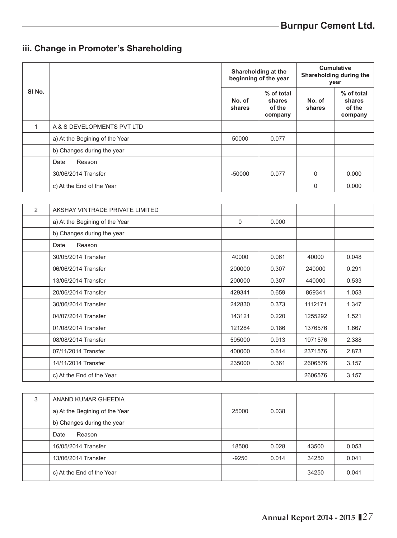# **iii. Change in Promoter's Shareholding**

|                   |                                 |                  | Shareholding at the<br>beginning of the year | <b>Cumulative</b><br>Shareholding during the<br>year |                                           |
|-------------------|---------------------------------|------------------|----------------------------------------------|------------------------------------------------------|-------------------------------------------|
| SI <sub>No.</sub> |                                 | No. of<br>shares | % of total<br>shares<br>of the<br>company    | No. of<br>shares                                     | % of total<br>shares<br>of the<br>company |
| $\mathbf{1}$      | A & S DEVELOPMENTS PVT LTD      |                  |                                              |                                                      |                                           |
|                   | a) At the Begining of the Year  | 50000            | 0.077                                        |                                                      |                                           |
|                   | b) Changes during the year      |                  |                                              |                                                      |                                           |
|                   | Reason<br>Date                  |                  |                                              |                                                      |                                           |
|                   | 30/06/2014 Transfer             | $-50000$         | 0.077                                        | $\Omega$                                             | 0.000                                     |
|                   | c) At the End of the Year       |                  |                                              | $\Omega$                                             | 0.000                                     |
|                   |                                 |                  |                                              |                                                      |                                           |
| 2                 | AKSHAY VINTRADE PRIVATE LIMITED |                  |                                              |                                                      |                                           |
|                   | a) At the Begining of the Year  | $\mathbf 0$      | 0.000                                        |                                                      |                                           |
|                   | b) Changes during the year      |                  |                                              |                                                      |                                           |
|                   | Reason<br>Date                  |                  |                                              |                                                      |                                           |
|                   | 30/05/2014 Transfer             | 40000            | 0.061                                        | 40000                                                | 0.048                                     |
|                   | 06/06/2014 Transfer             | 200000           | 0.307                                        | 240000                                               | 0.291                                     |
|                   | 13/06/2014 Transfer             | 200000           | 0.307                                        | 440000                                               | 0.533                                     |
|                   | 20/06/2014 Transfer             | 429341           | 0.659                                        | 869341                                               | 1.053                                     |
|                   | 30/06/2014 Transfer             | 242830           | 0.373                                        | 1112171                                              | 1.347                                     |
|                   | 04/07/2014 Transfer             | 143121           | 0.220                                        | 1255292                                              | 1.521                                     |
|                   | 01/08/2014 Transfer             | 121284           | 0.186                                        | 1376576                                              | 1.667                                     |
|                   | 08/08/2014 Transfer             | 595000           | 0.913                                        | 1971576                                              | 2.388                                     |

| 08/08/2014 Transfer       | 595000 | 0.913 | 1971576 | 2.388 |
|---------------------------|--------|-------|---------|-------|
| 07/11/2014 Transfer       | 400000 | 0.614 | 2371576 | 2.873 |
| 14/11/2014 Transfer       | 235000 | 0.361 | 2606576 | 3.157 |
| c) At the End of the Year |        |       | 2606576 | 3.157 |

| 3 | ANAND KUMAR GHEEDIA            |         |       |       |       |
|---|--------------------------------|---------|-------|-------|-------|
|   | a) At the Begining of the Year | 25000   | 0.038 |       |       |
|   | b) Changes during the year     |         |       |       |       |
|   | Date<br>Reason                 |         |       |       |       |
|   | 16/05/2014 Transfer            | 18500   | 0.028 | 43500 | 0.053 |
|   | 13/06/2014 Transfer            | $-9250$ | 0.014 | 34250 | 0.041 |
|   | c) At the End of the Year      |         |       | 34250 | 0.041 |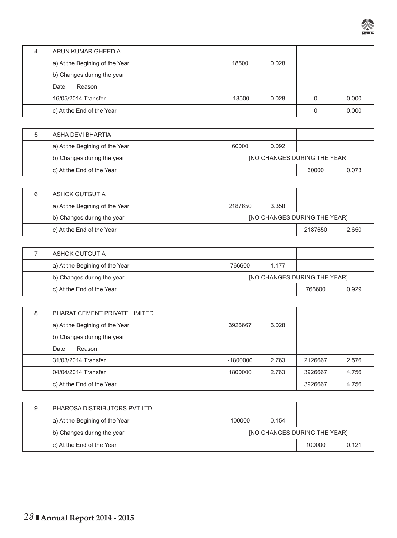

| ARUN KUMAR GHEEDIA             |          |       |       |
|--------------------------------|----------|-------|-------|
| a) At the Begining of the Year | 18500    | 0.028 |       |
| b) Changes during the year     |          |       |       |
| Date<br>Reason                 |          |       |       |
| 16/05/2014 Transfer            | $-18500$ | 0.028 | 0.000 |
| c) At the End of the Year      |          |       | 0.000 |

| ASHA DEVI BHARTIA              |                                     |       |       |       |  |
|--------------------------------|-------------------------------------|-------|-------|-------|--|
| a) At the Begining of the Year | 60000                               | 0.092 |       |       |  |
| b) Changes during the year     | <b>INO CHANGES DURING THE YEARI</b> |       |       |       |  |
| c) At the End of the Year      |                                     |       | 60000 | 0.073 |  |

| ASHOK GUTGUTIA                 |                              |       |         |       |  |
|--------------------------------|------------------------------|-------|---------|-------|--|
| a) At the Begining of the Year | 2187650                      | 3.358 |         |       |  |
| b) Changes during the year     | INO CHANGES DURING THE YEARI |       |         |       |  |
| c) At the End of the Year      |                              |       | 2187650 | 2.650 |  |

| ASHOK GUTGUTIA                 |                                     |       |        |       |  |
|--------------------------------|-------------------------------------|-------|--------|-------|--|
| a) At the Begining of the Year | 766600                              | 1.177 |        |       |  |
| b) Changes during the year     | <b>INO CHANGES DURING THE YEARI</b> |       |        |       |  |
| c) At the End of the Year      |                                     |       | 766600 | 0.929 |  |

| 8 | <b>BHARAT CEMENT PRIVATE LIMITED</b> |            |       |         |       |
|---|--------------------------------------|------------|-------|---------|-------|
|   | a) At the Begining of the Year       | 3926667    | 6.028 |         |       |
|   | b) Changes during the year           |            |       |         |       |
|   | Date<br>Reason                       |            |       |         |       |
|   | 31/03/2014 Transfer                  | $-1800000$ | 2.763 | 2126667 | 2.576 |
|   | 04/04/2014 Transfer                  | 1800000    | 2.763 | 3926667 | 4.756 |
|   | c) At the End of the Year            |            |       | 3926667 | 4.756 |

| 9 | BHAROSA DISTRIBUTORS PVT LTD   |                                     |       |        |       |  |
|---|--------------------------------|-------------------------------------|-------|--------|-------|--|
|   | a) At the Begining of the Year | 100000                              | 0.154 |        |       |  |
|   | b) Changes during the year     | <b>INO CHANGES DURING THE YEARI</b> |       |        |       |  |
|   | c) At the End of the Year      |                                     |       | 100000 | 0.121 |  |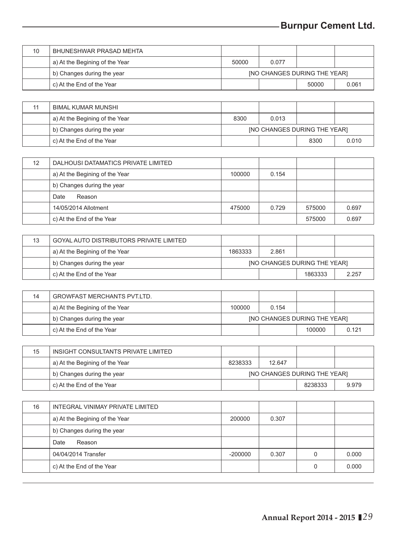| 10 | BHUNESHWAR PRASAD MEHTA        |                              |       |       |       |  |
|----|--------------------------------|------------------------------|-------|-------|-------|--|
|    | a) At the Begining of the Year | 50000                        | 0.077 |       |       |  |
|    | b) Changes during the year     | INO CHANGES DURING THE YEARI |       |       |       |  |
|    | c) At the End of the Year      |                              |       | 50000 | 0.061 |  |

| 11 | BIMAL KUMAR MUNSHI             |                                     |       |      |       |  |
|----|--------------------------------|-------------------------------------|-------|------|-------|--|
|    | a) At the Begining of the Year | 8300                                | 0.013 |      |       |  |
|    | b) Changes during the year     | <b>INO CHANGES DURING THE YEARI</b> |       |      |       |  |
|    | c) At the End of the Year      |                                     |       | 8300 | 0.010 |  |

| 12 | DALHOUSI DATAMATICS PRIVATE LIMITED |        |       |        |       |
|----|-------------------------------------|--------|-------|--------|-------|
|    | a) At the Begining of the Year      | 100000 | 0.154 |        |       |
|    | b) Changes during the year          |        |       |        |       |
|    | Date<br>Reason                      |        |       |        |       |
|    | 14/05/2014 Allotment                | 475000 | 0.729 | 575000 | 0.697 |
|    | c) At the End of the Year           |        |       | 575000 | 0.697 |

| 13 | GOYAL AUTO DISTRIBUTORS PRIVATE LIMITED |                                     |       |         |       |  |
|----|-----------------------------------------|-------------------------------------|-------|---------|-------|--|
|    | a) At the Begining of the Year          | 1863333                             | 2.861 |         |       |  |
|    | b) Changes during the year              | <b>INO CHANGES DURING THE YEARI</b> |       |         |       |  |
|    | c) At the End of the Year               |                                     |       | 1863333 | 2.257 |  |

| 14 | <b>GROWFAST MERCHANTS PVT.LTD.</b> |                                     |       |        |       |  |
|----|------------------------------------|-------------------------------------|-------|--------|-------|--|
|    | a) At the Begining of the Year     | 100000                              | 0.154 |        |       |  |
|    | b) Changes during the year         | <b>INO CHANGES DURING THE YEARI</b> |       |        |       |  |
|    | c) At the End of the Year          |                                     |       | 100000 | 0.121 |  |

| 15 | INSIGHT CONSULTANTS PRIVATE LIMITED |                                     |        |         |       |  |
|----|-------------------------------------|-------------------------------------|--------|---------|-------|--|
|    | a) At the Begining of the Year      | 8238333                             | 12.647 |         |       |  |
|    | b) Changes during the year          | <b>INO CHANGES DURING THE YEARI</b> |        |         |       |  |
|    | c) At the End of the Year           |                                     |        | 8238333 | 9.979 |  |

| 16 | INTEGRAL VINIMAY PRIVATE LIMITED |           |       |       |
|----|----------------------------------|-----------|-------|-------|
|    | a) At the Begining of the Year   | 200000    | 0.307 |       |
|    | b) Changes during the year       |           |       |       |
|    | Date<br>Reason                   |           |       |       |
|    | 04/04/2014 Transfer              | $-200000$ | 0.307 | 0.000 |
|    | c) At the End of the Year        |           |       | 0.000 |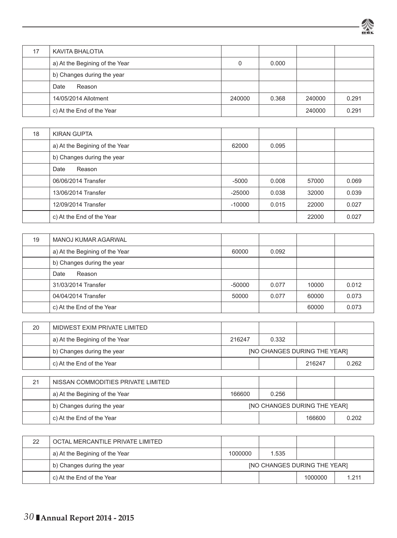

| 17 | KAVITA BHALOTIA                |        |       |        |       |
|----|--------------------------------|--------|-------|--------|-------|
|    | a) At the Begining of the Year |        | 0.000 |        |       |
|    | b) Changes during the year     |        |       |        |       |
|    | Date<br>Reason                 |        |       |        |       |
|    | 14/05/2014 Allotment           | 240000 | 0.368 | 240000 | 0.291 |
|    | c) At the End of the Year      |        |       | 240000 | 0.291 |

| 18 | KIRAN GUPTA                    |          |       |       |       |
|----|--------------------------------|----------|-------|-------|-------|
|    | a) At the Begining of the Year | 62000    | 0.095 |       |       |
|    | b) Changes during the year     |          |       |       |       |
|    | Reason<br>Date                 |          |       |       |       |
|    | 06/06/2014 Transfer            | $-5000$  | 0.008 | 57000 | 0.069 |
|    | 13/06/2014 Transfer            | $-25000$ | 0.038 | 32000 | 0.039 |
|    | 12/09/2014 Transfer            | $-10000$ | 0.015 | 22000 | 0.027 |
|    | c) At the End of the Year      |          |       | 22000 | 0.027 |

| 19 | <b>MANOJ KUMAR AGARWAL</b>     |          |       |       |       |
|----|--------------------------------|----------|-------|-------|-------|
|    | a) At the Begining of the Year | 60000    | 0.092 |       |       |
|    | b) Changes during the year     |          |       |       |       |
|    | Reason<br>Date                 |          |       |       |       |
|    | 31/03/2014 Transfer            | $-50000$ | 0.077 | 10000 | 0.012 |
|    | 04/04/2014 Transfer            | 50000    | 0.077 | 60000 | 0.073 |
|    | c) At the End of the Year      |          |       | 60000 | 0.073 |

| 20 | MIDWEST EXIM PRIVATE LIMITED       |                                     |       |                              |       |  |
|----|------------------------------------|-------------------------------------|-------|------------------------------|-------|--|
|    | a) At the Begining of the Year     | 216247                              | 0.332 |                              |       |  |
|    | b) Changes during the year         |                                     |       | [NO CHANGES DURING THE YEAR] |       |  |
|    | c) At the End of the Year          |                                     |       | 216247                       | 0.262 |  |
|    |                                    |                                     |       |                              |       |  |
| 21 | NISSAN COMMODITIES PRIVATE LIMITED |                                     |       |                              |       |  |
|    | a) At the Begining of the Year     | 166600                              | 0.256 |                              |       |  |
|    | b) Changes during the year         | <b>INO CHANGES DURING THE YEARI</b> |       |                              |       |  |
|    | c) At the End of the Year          |                                     |       | 166600                       | 0.202 |  |

| 22 | OCTAL MERCANTILE PRIVATE LIMITED |                                     |       |         |         |  |
|----|----------------------------------|-------------------------------------|-------|---------|---------|--|
|    | a) At the Begining of the Year   | 1000000                             | 1.535 |         |         |  |
|    | b) Changes during the year       | <b>INO CHANGES DURING THE YEARI</b> |       |         |         |  |
|    | c) At the End of the Year        |                                     |       | 1000000 | 1 2 1 1 |  |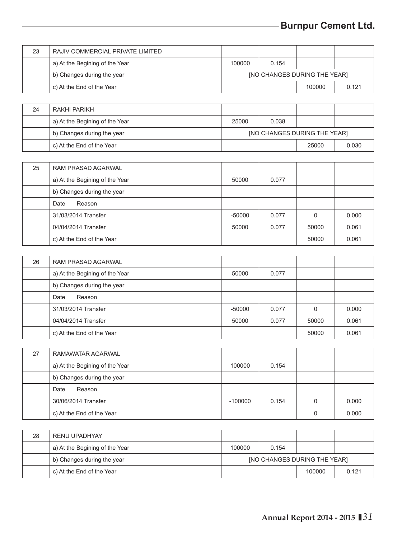| 23 | RAJIV COMMERCIAL PRIVATE LIMITED |                              |       |        |       |  |
|----|----------------------------------|------------------------------|-------|--------|-------|--|
|    | a) At the Begining of the Year   | 100000                       | 0.154 |        |       |  |
|    | b) Changes during the year       | [NO CHANGES DURING THE YEAR] |       |        |       |  |
|    | c) At the End of the Year        |                              |       | 100000 | 0.121 |  |

| 24 | RAKHI PARIKH                   |                                     |       |       |       |  |
|----|--------------------------------|-------------------------------------|-------|-------|-------|--|
|    | a) At the Begining of the Year | 25000                               | 0.038 |       |       |  |
|    | b) Changes during the year     | <b>INO CHANGES DURING THE YEARI</b> |       |       |       |  |
|    | c) At the End of the Year      |                                     |       | 25000 | 0.030 |  |

| 25 | RAM PRASAD AGARWAL             |          |       |       |       |
|----|--------------------------------|----------|-------|-------|-------|
|    | a) At the Begining of the Year | 50000    | 0.077 |       |       |
|    | b) Changes during the year     |          |       |       |       |
|    | Reason<br>Date                 |          |       |       |       |
|    | 31/03/2014 Transfer            | $-50000$ | 0.077 | 0     | 0.000 |
|    | 04/04/2014 Transfer            | 50000    | 0.077 | 50000 | 0.061 |
|    | c) At the End of the Year      |          |       | 50000 | 0.061 |

| 26 | RAM PRASAD AGARWAL             |          |       |       |       |
|----|--------------------------------|----------|-------|-------|-------|
|    | a) At the Begining of the Year | 50000    | 0.077 |       |       |
|    | b) Changes during the year     |          |       |       |       |
|    | Date<br>Reason                 |          |       |       |       |
|    | 31/03/2014 Transfer            | $-50000$ | 0.077 |       | 0.000 |
|    | 04/04/2014 Transfer            | 50000    | 0.077 | 50000 | 0.061 |
|    | c) At the End of the Year      |          |       | 50000 | 0.061 |

| 27 | RAMAWATAR AGARWAL              |           |       |   |       |
|----|--------------------------------|-----------|-------|---|-------|
|    | a) At the Begining of the Year | 100000    | 0.154 |   |       |
|    | b) Changes during the year     |           |       |   |       |
|    | Date<br>Reason                 |           |       |   |       |
|    | 30/06/2014 Transfer            | $-100000$ | 0.154 |   | 0.000 |
|    | c) At the End of the Year      |           |       | 0 | 0.000 |

| 28 | RENU UPADHYAY                  |                                     |       |        |       |  |
|----|--------------------------------|-------------------------------------|-------|--------|-------|--|
|    | a) At the Begining of the Year | 100000                              | 0.154 |        |       |  |
|    | b) Changes during the year     | <b>INO CHANGES DURING THE YEARI</b> |       |        |       |  |
|    | c) At the End of the Year      |                                     |       | 100000 | 0.121 |  |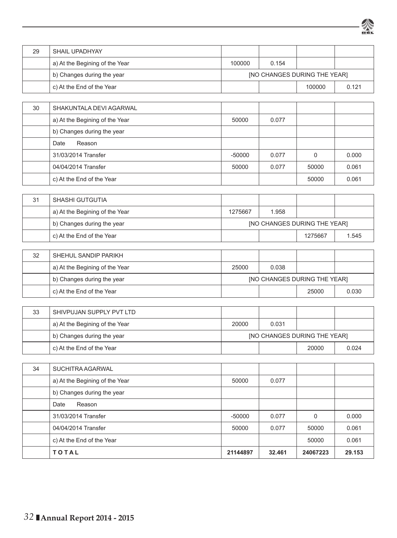| 29 | SHAIL UPADHYAY                               |          |                                     |                                     |       |  |
|----|----------------------------------------------|----------|-------------------------------------|-------------------------------------|-------|--|
|    | a) At the Begining of the Year               | 100000   | 0.154                               |                                     |       |  |
|    | b) Changes during the year                   |          |                                     | <b>INO CHANGES DURING THE YEAR]</b> |       |  |
|    | c) At the End of the Year                    |          |                                     | 100000                              | 0.121 |  |
|    |                                              |          |                                     |                                     |       |  |
| 30 | SHAKUNTALA DEVI AGARWAL                      |          |                                     |                                     |       |  |
|    | a) At the Begining of the Year               | 50000    | 0.077                               |                                     |       |  |
|    | b) Changes during the year<br>Date<br>Reason |          |                                     |                                     |       |  |
|    | 31/03/2014 Transfer                          | $-50000$ |                                     | $\mathbf 0$                         | 0.000 |  |
|    | 04/04/2014 Transfer                          |          | 0.077                               | 50000                               | 0.061 |  |
|    | c) At the End of the Year                    | 50000    | 0.077                               | 50000                               | 0.061 |  |
|    |                                              |          |                                     |                                     |       |  |
| 31 | SHASHI GUTGUTIA                              |          |                                     |                                     |       |  |
|    | a) At the Begining of the Year               | 1275667  | 1.958                               |                                     |       |  |
|    | b) Changes during the year                   |          | [NO CHANGES DURING THE YEAR]        |                                     |       |  |
|    | c) At the End of the Year                    |          |                                     | 1275667                             | 1.545 |  |
| 32 | SHEHUL SANDIP PARIKH                         |          |                                     |                                     |       |  |
|    | a) At the Begining of the Year               | 25000    | 0.038                               |                                     |       |  |
|    | b) Changes during the year                   |          | <b>INO CHANGES DURING THE YEAR]</b> |                                     |       |  |
|    | c) At the End of the Year                    |          |                                     | 25000                               | 0.030 |  |
|    |                                              |          |                                     |                                     |       |  |
| 33 | SHIVPUJAN SUPPLY PVT LTD                     |          |                                     |                                     |       |  |
|    | a) At the Begining of the Year               | 20000    | 0.031                               |                                     |       |  |
|    | b) Changes during the year                   |          | <b>INO CHANGES DURING THE YEAR]</b> |                                     |       |  |
|    | c) At the End of the Year                    |          |                                     | 20000                               | 0.024 |  |
| 34 | <b>SUCHITRA AGARWAL</b>                      |          |                                     |                                     |       |  |
|    | a) At the Begining of the Year               | 50000    | 0.077                               |                                     |       |  |
|    | b) Changes during the year                   |          |                                     |                                     |       |  |
|    | Date<br>Reason                               |          |                                     |                                     |       |  |
|    | 31/03/2014 Transfer                          | $-50000$ | 0.077                               | $\mathsf 0$                         | 0.000 |  |
|    | 04/04/2014 Transfer                          | 50000    | 0.077                               | 50000                               | 0.061 |  |

烾

c) At the End of the Year 50000 0.061  **T O T A L 21144897 32.461 24067223 29.153**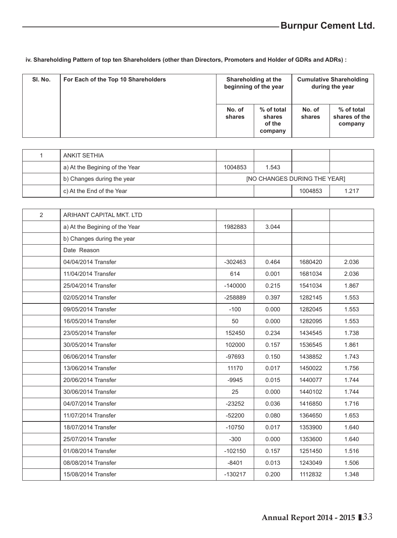**iv. Shareholding Pattern of top ten Shareholders (other than Directors, Promoters and Holder of GDRs and ADRs) :**

| SI. No. | For Each of the Top 10 Shareholders | Shareholding at the<br>beginning of the year |                                           | <b>Cumulative Shareholding</b><br>during the year |                                        |
|---------|-------------------------------------|----------------------------------------------|-------------------------------------------|---------------------------------------------------|----------------------------------------|
|         |                                     | No. of<br>shares                             | % of total<br>shares<br>of the<br>company | No. of<br>shares                                  | % of total<br>shares of the<br>company |

| ANKIT SETHIA                   |                                     |       |         |       |  |
|--------------------------------|-------------------------------------|-------|---------|-------|--|
| a) At the Begining of the Year | 1004853                             | 1.543 |         |       |  |
| b) Changes during the year     | <b>INO CHANGES DURING THE YEARI</b> |       |         |       |  |
| c) At the End of the Year      |                                     |       | 1004853 | 1.217 |  |

| 2 | ARIHANT CAPITAL MKT. LTD       |           |       |         |       |
|---|--------------------------------|-----------|-------|---------|-------|
|   | a) At the Begining of the Year | 1982883   | 3.044 |         |       |
|   | b) Changes during the year     |           |       |         |       |
|   | Date Reason                    |           |       |         |       |
|   | 04/04/2014 Transfer            | $-302463$ | 0.464 | 1680420 | 2.036 |
|   | 11/04/2014 Transfer            | 614       | 0.001 | 1681034 | 2.036 |
|   | 25/04/2014 Transfer            | $-140000$ | 0.215 | 1541034 | 1.867 |
|   | 02/05/2014 Transfer            | -258889   | 0.397 | 1282145 | 1.553 |
|   | 09/05/2014 Transfer            | $-100$    | 0.000 | 1282045 | 1.553 |
|   | 16/05/2014 Transfer            | 50        | 0.000 | 1282095 | 1.553 |
|   | 23/05/2014 Transfer            | 152450    | 0.234 | 1434545 | 1.738 |
|   | 30/05/2014 Transfer            | 102000    | 0.157 | 1536545 | 1.861 |
|   | 06/06/2014 Transfer            | $-97693$  | 0.150 | 1438852 | 1.743 |
|   | 13/06/2014 Transfer            | 11170     | 0.017 | 1450022 | 1.756 |
|   | 20/06/2014 Transfer            | $-9945$   | 0.015 | 1440077 | 1.744 |
|   | 30/06/2014 Transfer            | 25        | 0.000 | 1440102 | 1.744 |
|   | 04/07/2014 Transfer            | $-23252$  | 0.036 | 1416850 | 1.716 |
|   | 11/07/2014 Transfer            | $-52200$  | 0.080 | 1364650 | 1.653 |
|   | 18/07/2014 Transfer            | $-10750$  | 0.017 | 1353900 | 1.640 |
|   | 25/07/2014 Transfer            | $-300$    | 0.000 | 1353600 | 1.640 |
|   | 01/08/2014 Transfer            | $-102150$ | 0.157 | 1251450 | 1.516 |
|   | 08/08/2014 Transfer            | $-8401$   | 0.013 | 1243049 | 1.506 |
|   | 15/08/2014 Transfer            | $-130217$ | 0.200 | 1112832 | 1.348 |
|   |                                |           |       |         |       |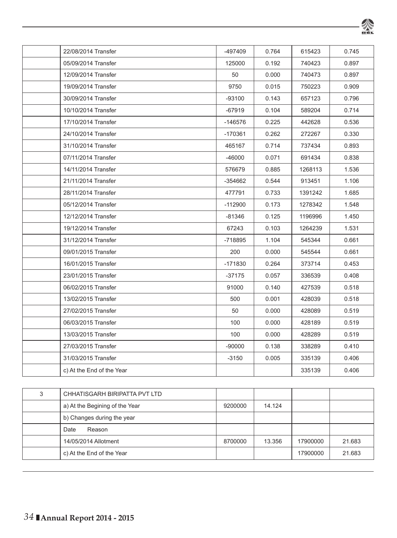| 22/08/2014 Transfer |                           | -497409   | 0.764 | 615423  | 0.745 |
|---------------------|---------------------------|-----------|-------|---------|-------|
| 05/09/2014 Transfer |                           | 125000    | 0.192 | 740423  | 0.897 |
| 12/09/2014 Transfer |                           | 50        | 0.000 | 740473  | 0.897 |
| 19/09/2014 Transfer |                           | 9750      | 0.015 | 750223  | 0.909 |
| 30/09/2014 Transfer |                           | -93100    | 0.143 | 657123  | 0.796 |
| 10/10/2014 Transfer |                           | $-67919$  | 0.104 | 589204  | 0.714 |
| 17/10/2014 Transfer |                           | -146576   | 0.225 | 442628  | 0.536 |
| 24/10/2014 Transfer |                           | $-170361$ | 0.262 | 272267  | 0.330 |
| 31/10/2014 Transfer |                           | 465167    | 0.714 | 737434  | 0.893 |
| 07/11/2014 Transfer |                           | -46000    | 0.071 | 691434  | 0.838 |
| 14/11/2014 Transfer |                           | 576679    | 0.885 | 1268113 | 1.536 |
| 21/11/2014 Transfer |                           | -354662   | 0.544 | 913451  | 1.106 |
| 28/11/2014 Transfer |                           | 477791    | 0.733 | 1391242 | 1.685 |
| 05/12/2014 Transfer |                           | $-112900$ | 0.173 | 1278342 | 1.548 |
| 12/12/2014 Transfer |                           | -81346    | 0.125 | 1196996 | 1.450 |
| 19/12/2014 Transfer |                           | 67243     | 0.103 | 1264239 | 1.531 |
| 31/12/2014 Transfer |                           | -718895   | 1.104 | 545344  | 0.661 |
| 09/01/2015 Transfer |                           | 200       | 0.000 | 545544  | 0.661 |
| 16/01/2015 Transfer |                           | -171830   | 0.264 | 373714  | 0.453 |
| 23/01/2015 Transfer |                           | -37175    | 0.057 | 336539  | 0.408 |
| 06/02/2015 Transfer |                           | 91000     | 0.140 | 427539  | 0.518 |
| 13/02/2015 Transfer |                           | 500       | 0.001 | 428039  | 0.518 |
| 27/02/2015 Transfer |                           | 50        | 0.000 | 428089  | 0.519 |
| 06/03/2015 Transfer |                           | 100       | 0.000 | 428189  | 0.519 |
| 13/03/2015 Transfer |                           | 100       | 0.000 | 428289  | 0.519 |
| 27/03/2015 Transfer |                           | $-90000$  | 0.138 | 338289  | 0.410 |
| 31/03/2015 Transfer |                           | $-3150$   | 0.005 | 335139  | 0.406 |
|                     | c) At the End of the Year |           |       | 335139  | 0.406 |

粂

| 3 | CHHATISGARH BIRIPATTA PVT LTD  |         |        |          |        |
|---|--------------------------------|---------|--------|----------|--------|
|   | a) At the Begining of the Year | 9200000 | 14.124 |          |        |
|   | b) Changes during the year     |         |        |          |        |
|   | Reason<br>Date                 |         |        |          |        |
|   | 14/05/2014 Allotment           | 8700000 | 13.356 | 17900000 | 21.683 |
|   | c) At the End of the Year      |         |        | 17900000 | 21.683 |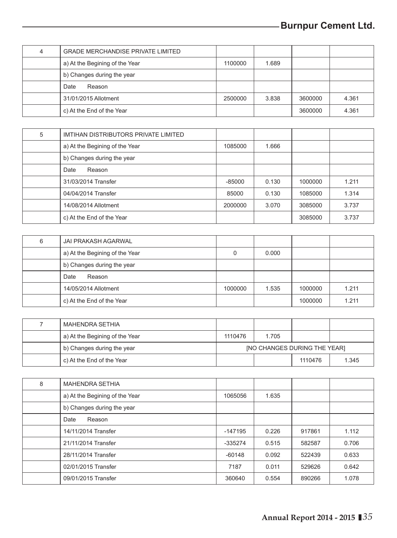| <b>GRADE MERCHANDISE PRIVATE LIMITED</b> |         |       |         |       |
|------------------------------------------|---------|-------|---------|-------|
| a) At the Begining of the Year           | 1100000 | 1.689 |         |       |
| b) Changes during the year               |         |       |         |       |
| Date<br>Reason                           |         |       |         |       |
| 31/01/2015 Allotment                     | 2500000 | 3.838 | 3600000 | 4.361 |
| c) At the End of the Year                |         |       | 3600000 | 4.361 |

| 5 | IMTIHAN DISTRIBUTORS PRIVATE LIMITED |          |       |         |       |
|---|--------------------------------------|----------|-------|---------|-------|
|   | a) At the Begining of the Year       | 1085000  | 1.666 |         |       |
|   | b) Changes during the year           |          |       |         |       |
|   | Reason<br>Date                       |          |       |         |       |
|   | 31/03/2014 Transfer                  | $-85000$ | 0.130 | 1000000 | 1.211 |
|   | 04/04/2014 Transfer                  | 85000    | 0.130 | 1085000 | 1.314 |
|   | 14/08/2014 Allotment                 | 2000000  | 3.070 | 3085000 | 3.737 |
|   | c) At the End of the Year            |          |       | 3085000 | 3.737 |

| 6 | JAI PRAKASH AGARWAL            |         |       |         |       |
|---|--------------------------------|---------|-------|---------|-------|
|   | a) At the Begining of the Year |         | 0.000 |         |       |
|   | b) Changes during the year     |         |       |         |       |
|   | Date<br>Reason                 |         |       |         |       |
|   | 14/05/2014 Allotment           | 1000000 | 1.535 | 1000000 | 1.211 |
|   | c) At the End of the Year      |         |       | 1000000 | 1.211 |

| MAHENDRA SETHIA                |                                     |       |         |       |  |
|--------------------------------|-------------------------------------|-------|---------|-------|--|
| a) At the Begining of the Year | 1110476                             | 1.705 |         |       |  |
| b) Changes during the year     | <b>INO CHANGES DURING THE YEARI</b> |       |         |       |  |
| c) At the End of the Year      |                                     |       | 1110476 | 1.345 |  |

| 8 | <b>MAHENDRA SETHIA</b>         |           |       |        |       |
|---|--------------------------------|-----------|-------|--------|-------|
|   | a) At the Begining of the Year | 1065056   | 1.635 |        |       |
|   | b) Changes during the year     |           |       |        |       |
|   | Date<br>Reason                 |           |       |        |       |
|   | 14/11/2014 Transfer            | -147195   | 0.226 | 917861 | 1.112 |
|   | 21/11/2014 Transfer            | $-335274$ | 0.515 | 582587 | 0.706 |
|   | 28/11/2014 Transfer            | $-60148$  | 0.092 | 522439 | 0.633 |
|   | 02/01/2015 Transfer            | 7187      | 0.011 | 529626 | 0.642 |
|   | 09/01/2015 Transfer            | 360640    | 0.554 | 890266 | 1.078 |
|   |                                |           |       |        |       |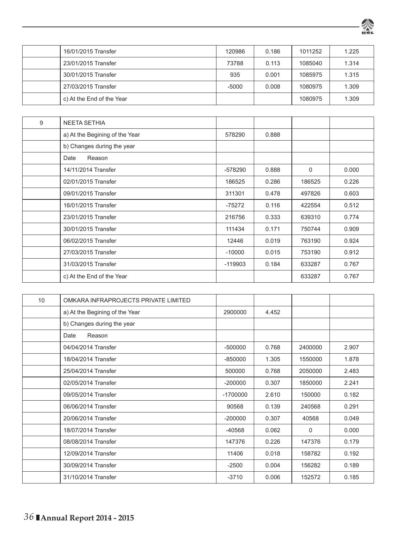

| 16/01/2015 Transfer       | 120986  | 0.186 | 1011252 | 1.225 |
|---------------------------|---------|-------|---------|-------|
| 23/01/2015 Transfer       | 73788   | 0.113 | 1085040 | 1.314 |
| 30/01/2015 Transfer       | 935     | 0.001 | 1085975 | 1.315 |
| 27/03/2015 Transfer       | $-5000$ | 0.008 | 1080975 | 1.309 |
| c) At the End of the Year |         |       | 1080975 | 1.309 |

| 9 | <b>NEETA SETHIA</b>            |           |       |        |       |
|---|--------------------------------|-----------|-------|--------|-------|
|   | a) At the Begining of the Year | 578290    | 0.888 |        |       |
|   | b) Changes during the year     |           |       |        |       |
|   | Reason<br>Date                 |           |       |        |       |
|   | 14/11/2014 Transfer            | $-578290$ | 0.888 | 0      | 0.000 |
|   | 02/01/2015 Transfer            | 186525    | 0.286 | 186525 | 0.226 |
|   | 09/01/2015 Transfer            | 311301    | 0.478 | 497826 | 0.603 |
|   | 16/01/2015 Transfer            | $-75272$  | 0.116 | 422554 | 0.512 |
|   | 23/01/2015 Transfer            | 216756    | 0.333 | 639310 | 0.774 |
|   | 30/01/2015 Transfer            | 111434    | 0.171 | 750744 | 0.909 |
|   | 06/02/2015 Transfer            | 12446     | 0.019 | 763190 | 0.924 |
|   | 27/03/2015 Transfer            | $-10000$  | 0.015 | 753190 | 0.912 |
|   | 31/03/2015 Transfer            | $-119903$ | 0.184 | 633287 | 0.767 |
|   | c) At the End of the Year      |           |       | 633287 | 0.767 |

| 10 | OMKARA INFRAPROJECTS PRIVATE LIMITED |            |       |          |       |
|----|--------------------------------------|------------|-------|----------|-------|
|    | a) At the Begining of the Year       | 2900000    | 4.452 |          |       |
|    | b) Changes during the year           |            |       |          |       |
|    | Date<br>Reason                       |            |       |          |       |
|    | 04/04/2014 Transfer                  | $-500000$  | 0.768 | 2400000  | 2.907 |
|    | 18/04/2014 Transfer                  | $-850000$  | 1.305 | 1550000  | 1.878 |
|    | 25/04/2014 Transfer                  | 500000     | 0.768 | 2050000  | 2.483 |
|    | 02/05/2014 Transfer                  | $-200000$  | 0.307 | 1850000  | 2.241 |
|    | 09/05/2014 Transfer                  | $-1700000$ | 2.610 | 150000   | 0.182 |
|    | 06/06/2014 Transfer                  | 90568      | 0.139 | 240568   | 0.291 |
|    | 20/06/2014 Transfer                  | $-200000$  | 0.307 | 40568    | 0.049 |
|    | 18/07/2014 Transfer                  | $-40568$   | 0.062 | $\Omega$ | 0.000 |
|    | 08/08/2014 Transfer                  | 147376     | 0.226 | 147376   | 0.179 |
|    | 12/09/2014 Transfer                  | 11406      | 0.018 | 158782   | 0.192 |
|    | 30/09/2014 Transfer                  | $-2500$    | 0.004 | 156282   | 0.189 |
|    | 31/10/2014 Transfer                  | $-3710$    | 0.006 | 152572   | 0.185 |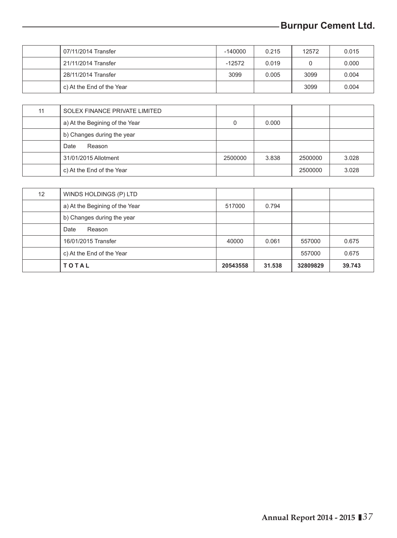# **-Burnpur Cement Ltd.**

| 07/11/2014 Transfer       | $-140000$ | 0.215 | 12572 | 0.015 |
|---------------------------|-----------|-------|-------|-------|
| 21/11/2014 Transfer       | $-12572$  | 0.019 |       | 0.000 |
| 28/11/2014 Transfer       | 3099      | 0.005 | 3099  | 0.004 |
| c) At the End of the Year |           |       | 3099  | 0.004 |

| 11 | SOLEX FINANCE PRIVATE LIMITED  |         |       |         |       |
|----|--------------------------------|---------|-------|---------|-------|
|    | a) At the Begining of the Year |         | 0.000 |         |       |
|    | b) Changes during the year     |         |       |         |       |
|    | Reason<br>Date                 |         |       |         |       |
|    | 31/01/2015 Allotment           | 2500000 | 3.838 | 2500000 | 3.028 |
|    | c) At the End of the Year      |         |       | 2500000 | 3.028 |

|    | <b>TOTAL</b>                   | 20543558 | 31.538 | 32809829 | 39.743 |
|----|--------------------------------|----------|--------|----------|--------|
|    | c) At the End of the Year      |          |        | 557000   | 0.675  |
|    | 16/01/2015 Transfer            | 40000    | 0.061  | 557000   | 0.675  |
|    | Date<br>Reason                 |          |        |          |        |
|    | b) Changes during the year     |          |        |          |        |
|    | a) At the Begining of the Year | 517000   | 0.794  |          |        |
| 12 | WINDS HOLDINGS (P) LTD         |          |        |          |        |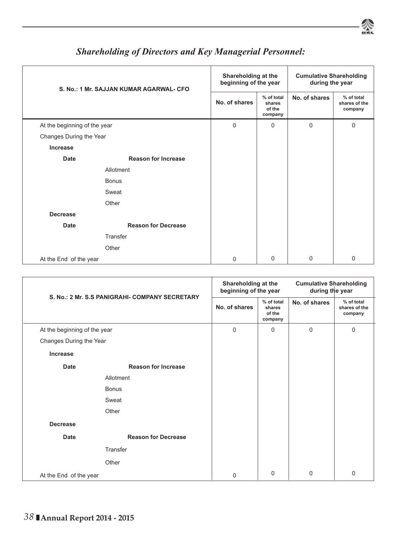

| S. No.: 1 Mr. SAJJAN KUMAR AGARWAL- CFO |                            |               | Shareholding at the<br>beginning of the year |               | <b>Cumulative Shareholding</b><br>during the year |
|-----------------------------------------|----------------------------|---------------|----------------------------------------------|---------------|---------------------------------------------------|
|                                         |                            | No. of shares | % of total<br>shares<br>of the<br>company    | No. of shares | % of total<br>shares of the<br>company            |
| At the beginning of the year            |                            | $\Omega$      | $\Omega$                                     | $\Omega$      | 0                                                 |
| Changes During the Year                 |                            |               |                                              |               |                                                   |
| Increase                                |                            |               |                                              |               |                                                   |
| Date                                    | <b>Reason for Increase</b> |               |                                              |               |                                                   |
|                                         | Allotment                  |               |                                              |               |                                                   |
|                                         | <b>Bonus</b>               |               |                                              |               |                                                   |
|                                         | Sweat                      |               |                                              |               |                                                   |
|                                         | Other                      |               |                                              |               |                                                   |
| <b>Decrease</b>                         |                            |               |                                              |               |                                                   |
| Date                                    | <b>Reason for Decrease</b> |               |                                              |               |                                                   |
|                                         | Transfer                   |               |                                              |               |                                                   |
|                                         | Other                      |               |                                              |               |                                                   |
| At the End of the year                  |                            | 0             | $\Omega$                                     | 0             | 0                                                 |

# *Shareholding of Directors and Key Managerial Personnel:*

| S. No.: 2 Mr. S.S PANIGRAHI- COMPANY SECRETARY |                            | Shareholding at the<br>beginning of the year |                                           | <b>Cumulative Shareholding</b><br>during the year |                                        |
|------------------------------------------------|----------------------------|----------------------------------------------|-------------------------------------------|---------------------------------------------------|----------------------------------------|
|                                                |                            | No. of shares                                | % of total<br>shares<br>of the<br>company | No. of shares                                     | % of total<br>shares of the<br>company |
| At the beginning of the year                   |                            | $\Omega$                                     | $\Omega$                                  | $\Omega$                                          | $\mathbf 0$                            |
| Changes During the Year                        |                            |                                              |                                           |                                                   |                                        |
| Increase                                       |                            |                                              |                                           |                                                   |                                        |
| <b>Date</b>                                    | <b>Reason for Increase</b> |                                              |                                           |                                                   |                                        |
|                                                | Allotment                  |                                              |                                           |                                                   |                                        |
|                                                | <b>Bonus</b>               |                                              |                                           |                                                   |                                        |
|                                                | Sweat                      |                                              |                                           |                                                   |                                        |
|                                                | Other                      |                                              |                                           |                                                   |                                        |
| <b>Decrease</b>                                |                            |                                              |                                           |                                                   |                                        |
| Date                                           | <b>Reason for Decrease</b> |                                              |                                           |                                                   |                                        |
|                                                | Transfer                   |                                              |                                           |                                                   |                                        |
|                                                | Other                      |                                              |                                           |                                                   |                                        |
| At the End of the year                         |                            | $\Omega$                                     | $\Omega$                                  | 0                                                 | $\Omega$                               |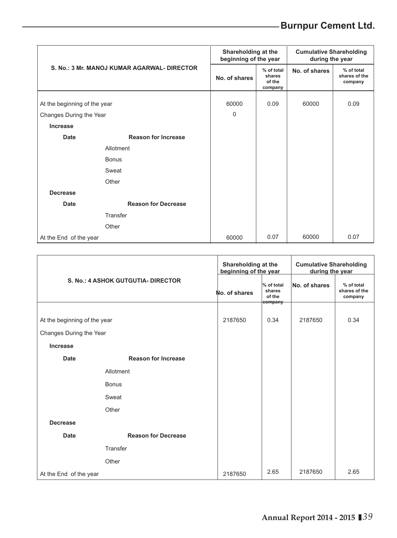# **-Burnpur Cement Ltd.**

|                                             | Shareholding at the<br>beginning of the year |                                           | <b>Cumulative Shareholding</b><br>during the year |                                        |      |
|---------------------------------------------|----------------------------------------------|-------------------------------------------|---------------------------------------------------|----------------------------------------|------|
| S. No.: 3 Mr. MANOJ KUMAR AGARWAL- DIRECTOR | No. of shares                                | % of total<br>shares<br>of the<br>company | No. of shares                                     | % of total<br>shares of the<br>company |      |
| At the beginning of the year                |                                              | 60000                                     | 0.09                                              | 60000                                  | 0.09 |
| Changes During the Year                     | $\Omega$                                     |                                           |                                                   |                                        |      |
| Increase                                    |                                              |                                           |                                                   |                                        |      |
| Date                                        | <b>Reason for Increase</b>                   |                                           |                                                   |                                        |      |
|                                             | Allotment                                    |                                           |                                                   |                                        |      |
|                                             | <b>Bonus</b>                                 |                                           |                                                   |                                        |      |
|                                             | Sweat                                        |                                           |                                                   |                                        |      |
|                                             | Other                                        |                                           |                                                   |                                        |      |
| <b>Decrease</b>                             |                                              |                                           |                                                   |                                        |      |
| Date                                        | <b>Reason for Decrease</b>                   |                                           |                                                   |                                        |      |
|                                             | Transfer                                     |                                           |                                                   |                                        |      |
|                                             | Other                                        |                                           |                                                   |                                        |      |
| At the End of the year                      |                                              | 60000                                     | 0.07                                              | 60000                                  | 0.07 |

| S. No.: 4 ASHOK GUTGUTIA- DIRECTOR |                            |               | Shareholding at the<br>beginning of the year |               | <b>Cumulative Shareholding</b><br>during the year |
|------------------------------------|----------------------------|---------------|----------------------------------------------|---------------|---------------------------------------------------|
|                                    |                            | No. of shares | % of total<br>shares<br>of the<br>company    | No. of shares | % of total<br>shares of the<br>company            |
| At the beginning of the year       | 2187650                    | 0.34          | 2187650                                      | 0.34          |                                                   |
| Changes During the Year            |                            |               |                                              |               |                                                   |
| Increase                           |                            |               |                                              |               |                                                   |
| Date                               | <b>Reason for Increase</b> |               |                                              |               |                                                   |
|                                    | Allotment                  |               |                                              |               |                                                   |
|                                    | <b>Bonus</b>               |               |                                              |               |                                                   |
|                                    | Sweat                      |               |                                              |               |                                                   |
|                                    | Other                      |               |                                              |               |                                                   |
| <b>Decrease</b>                    |                            |               |                                              |               |                                                   |
| Date                               | <b>Reason for Decrease</b> |               |                                              |               |                                                   |
|                                    | Transfer                   |               |                                              |               |                                                   |
|                                    | Other                      |               |                                              |               |                                                   |
| At the End of the year             |                            | 2187650       | 2.65                                         | 2187650       | 2.65                                              |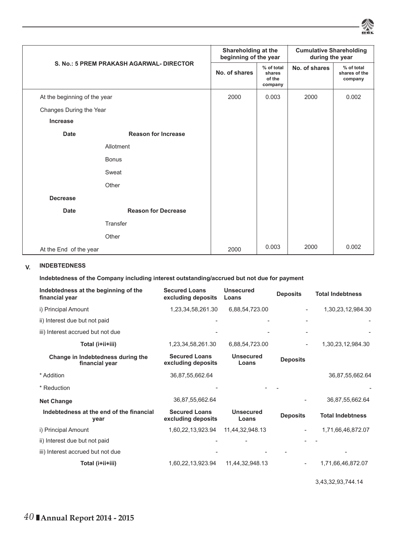

| S. No.: 5 PREM PRAKASH AGARWAL- DIRECTOR |                            |               | Shareholding at the<br>beginning of the year |               | <b>Cumulative Shareholding</b><br>during the year |
|------------------------------------------|----------------------------|---------------|----------------------------------------------|---------------|---------------------------------------------------|
|                                          |                            | No. of shares | % of total<br>shares<br>of the<br>company    | No. of shares | % of total<br>shares of the<br>company            |
| At the beginning of the year             |                            | 2000          | 0.003                                        | 2000          | 0.002                                             |
| Changes During the Year                  |                            |               |                                              |               |                                                   |
| Increase                                 |                            |               |                                              |               |                                                   |
| <b>Date</b>                              | <b>Reason for Increase</b> |               |                                              |               |                                                   |
|                                          | Allotment                  |               |                                              |               |                                                   |
|                                          | <b>Bonus</b>               |               |                                              |               |                                                   |
|                                          | Sweat                      |               |                                              |               |                                                   |
|                                          | Other                      |               |                                              |               |                                                   |
| <b>Decrease</b>                          |                            |               |                                              |               |                                                   |
| Date                                     | <b>Reason for Decrease</b> |               |                                              |               |                                                   |
|                                          | Transfer                   |               |                                              |               |                                                   |
|                                          | Other                      |               |                                              |               |                                                   |
|                                          | At the End of the year     |               |                                              | 2000          | 0.002                                             |

### **V. INDEBTEDNESS**

**Indebtedness of the Company including interest outstanding/accrued but not due for payment**

| Indebtedness at the beginning of the<br>financial year | <b>Secured Loans</b><br>excluding deposits | <b>Unsecured</b><br>Loans | <b>Deposits</b> | <b>Total Indebtness</b> |
|--------------------------------------------------------|--------------------------------------------|---------------------------|-----------------|-------------------------|
| i) Principal Amount                                    | 1,23,34,58,261.30                          | 6,88,54,723.00            |                 | 1,30,23,12,984.30       |
| ii) Interest due but not paid                          |                                            |                           |                 |                         |
| iii) Interest accrued but not due                      |                                            |                           |                 |                         |
| Total (i+ii+iii)                                       | 1,23,34,58,261.30                          | 6,88,54,723.00            |                 | 1,30,23,12,984.30       |
| Change in Indebtedness during the<br>financial year    | <b>Secured Loans</b><br>excluding deposits | <b>Unsecured</b><br>Loans | <b>Deposits</b> |                         |
| * Addition                                             | 36,87,55,662.64                            |                           |                 | 36,87,55,662.64         |
| * Reduction                                            |                                            |                           |                 |                         |
| <b>Net Change</b>                                      | 36,87,55,662.64                            |                           |                 | 36,87,55,662.64         |
| Indebtedness at the end of the financial<br>year       | <b>Secured Loans</b><br>excluding deposits | <b>Unsecured</b><br>Loans | <b>Deposits</b> | <b>Total Indebtness</b> |
| i) Principal Amount                                    | 1,60,22,13,923.94                          | 11,44,32,948.13           |                 | 1,71,66,46,872.07       |
| ii) Interest due but not paid                          |                                            |                           |                 |                         |
| iii) Interest accrued but not due                      |                                            |                           |                 |                         |
| Total (i+ii+iii)                                       | 1,60,22,13,923.94                          | 11,44,32,948.13           |                 | 1,71,66,46,872.07       |

3,43,32,93,744.14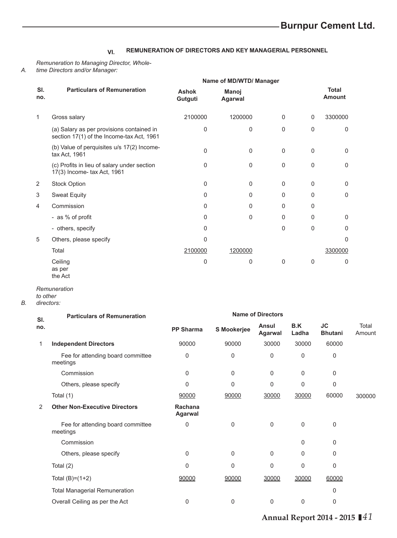### **VI. REMUNERATION OF DIRECTORS AND KEY MANAGERIAL PERSONNEL**

*Remuneration to Managing Director, Wholetime Directors and/or Manager:*

|            |                                                                                        | Name of MD/WTD/ Manager |                  |          |          |                 |
|------------|----------------------------------------------------------------------------------------|-------------------------|------------------|----------|----------|-----------------|
| SI.<br>no. | <b>Particulars of Remuneration</b>                                                     | <b>Ashok</b><br>Gutguti | Manoj<br>Agarwal |          |          | Total<br>Amount |
| 1          | Gross salary                                                                           | 2100000                 | 1200000          | $\Omega$ | $\Omega$ | 3300000         |
|            | (a) Salary as per provisions contained in<br>section 17(1) of the Income-tax Act, 1961 | 0                       | $\Omega$         | $\Omega$ | 0        | 0               |
|            | (b) Value of perquisites u/s 17(2) Income-<br>tax Act, 1961                            | $\mathbf 0$             | $\Omega$         | $\Omega$ | $\Omega$ | $\Omega$        |
|            | (c) Profits in lieu of salary under section<br>17(3) Income- tax Act, 1961             | 0                       | $\Omega$         | 0        | $\Omega$ | 0               |
| 2          | <b>Stock Option</b>                                                                    | $\Omega$                | $\Omega$         | 0        | $\Omega$ | $\Omega$        |
| 3          | <b>Sweat Equity</b>                                                                    | $\Omega$                | $\Omega$         | 0        | $\Omega$ | $\Omega$        |
| 4          | Commission                                                                             | $\Omega$                | $\Omega$         | 0        | $\Omega$ |                 |
|            | - as % of profit                                                                       | 0                       | $\Omega$         | 0        | $\Omega$ | $\Omega$        |
|            | - others, specify                                                                      | 0                       |                  | $\Omega$ | $\Omega$ | $\mathbf 0$     |
| 5          | Others, please specify                                                                 | 0                       |                  |          |          | $\Omega$        |
|            | Total                                                                                  | 2100000                 | 1200000          |          |          | 3300000         |
|            | Ceiling<br>as per                                                                      | 0                       | 0                | $\Omega$ | 0        | $\Omega$        |

*Remuneration* 

the Act

- *to other*
- *B. directors:*

*A.* 

| <b>Particulars of Remuneration</b>            |                    |              |                  |                          |                      |                 |
|-----------------------------------------------|--------------------|--------------|------------------|--------------------------|----------------------|-----------------|
|                                               | <b>PP Sharma</b>   | S Mookerjee  | Ansul<br>Agarwal | B.K<br>Ladha             | JC<br><b>Bhutani</b> | Total<br>Amount |
| <b>Independent Directors</b>                  | 90000              | 90000        | 30000            | 30000                    | 60000                |                 |
| Fee for attending board committee<br>meetings | 0                  | 0            | 0                | 0                        | $\Omega$             |                 |
| Commission                                    | 0                  | 0            | $\Omega$         | 0                        | $\mathbf 0$          |                 |
| Others, please specify                        | 0                  | $\Omega$     | $\Omega$         | 0                        | $\mathbf 0$          |                 |
| Total (1)                                     | 90000              | 90000        | 30000            | 30000                    | 60000                | 300000          |
| <b>Other Non-Executive Directors</b>          | Rachana<br>Agarwal |              |                  |                          |                      |                 |
| Fee for attending board committee<br>meetings | $\Omega$           | $\mathbf{0}$ | $\Omega$         | $\Omega$                 | $\Omega$             |                 |
| Commission                                    |                    |              |                  | 0                        | $\mathbf 0$          |                 |
| Others, please specify                        | 0                  | 0            | $\Omega$         | 0                        | $\Omega$             |                 |
| Total $(2)$                                   | $\Omega$           | $\Omega$     | $\Omega$         | 0                        | $\Omega$             |                 |
| Total $(B)=(1+2)$                             | 90000              | 90000        | 30000            | 30000                    | 60000                |                 |
| <b>Total Managerial Remuneration</b>          |                    |              |                  |                          | $\Omega$             |                 |
| Overall Ceiling as per the Act                | 0                  | 0            | $\Omega$         | 0                        | $\Omega$             |                 |
|                                               |                    |              |                  | <b>Name of Directors</b> |                      |                 |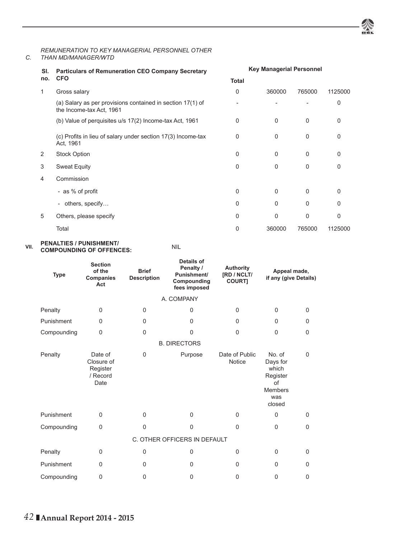

#### *C. THAN MD/MANAGER/WTD REMUNERATION TO KEY MANAGERIAL PERSONNEL OTHER*

| SI. | <b>Particulars of Remuneration CEO Company Secretary</b>                               |              | <b>Key Managerial Personnel</b> |          |          |  |  |
|-----|----------------------------------------------------------------------------------------|--------------|---------------------------------|----------|----------|--|--|
| no. | <b>CFO</b>                                                                             | <b>Total</b> |                                 |          |          |  |  |
| 1   | Gross salary                                                                           | 0            | 360000                          | 765000   | 1125000  |  |  |
|     | (a) Salary as per provisions contained in section 17(1) of<br>the Income-tax Act, 1961 |              |                                 |          | 0        |  |  |
|     | (b) Value of perquisites u/s 17(2) Income-tax Act, 1961                                | $\Omega$     | $\Omega$                        | $\Omega$ | $\Omega$ |  |  |
|     | (c) Profits in lieu of salary under section 17(3) Income-tax<br>Act, 1961              | 0            | 0                               | 0        | 0        |  |  |
| 2   | <b>Stock Option</b>                                                                    | $\Omega$     | $\Omega$                        | 0        | 0        |  |  |
| 3   | <b>Sweat Equity</b>                                                                    | $\Omega$     | $\Omega$                        | 0        | 0        |  |  |
| 4   | Commission                                                                             |              |                                 |          |          |  |  |
|     | - as % of profit                                                                       | $\Omega$     | $\Omega$                        | $\Omega$ | 0        |  |  |
|     | others, specify<br>$\overline{\phantom{a}}$                                            | $\Omega$     | $\Omega$                        | 0        | 0        |  |  |
| 5   | Others, please specify                                                                 | $\Omega$     | $\Omega$                        | $\Omega$ | 0        |  |  |
|     | Total                                                                                  | 0            | 360000                          | 765000   | 1125000  |  |  |

#### **VII. PENALTIES / PUNISHMENT/ PENALTIES / PUNISHMENT/<br>COMPOUNDING OF OFFENCES:** NIL

| <b>Type</b> | <b>Section</b><br>of the<br>Companies<br>Act          | <b>Brief</b><br><b>Description</b> | Details of<br>Penalty /<br>Punishment/<br>Compounding<br>fees imposed | <b>Authority</b><br>[RD / NCLT/<br><b>COURT1</b> | Appeal made,<br>if any (give Details)                                            |             |
|-------------|-------------------------------------------------------|------------------------------------|-----------------------------------------------------------------------|--------------------------------------------------|----------------------------------------------------------------------------------|-------------|
|             |                                                       |                                    | A. COMPANY                                                            |                                                  |                                                                                  |             |
| Penalty     | $\Omega$                                              | $\Omega$                           | $\Omega$                                                              | $\Omega$                                         | 0                                                                                | $\Omega$    |
| Punishment  | $\Omega$                                              | 0                                  | $\Omega$                                                              | 0                                                | 0                                                                                | $\Omega$    |
| Compounding | $\Omega$                                              | $\mathbf 0$                        | $\Omega$                                                              | $\Omega$                                         | 0                                                                                | $\Omega$    |
|             |                                                       |                                    | <b>B. DIRECTORS</b>                                                   |                                                  |                                                                                  |             |
| Penalty     | Date of<br>Closure of<br>Register<br>/ Record<br>Date | $\mathbf 0$                        | Purpose                                                               | Date of Public<br><b>Notice</b>                  | No. of<br>Days for<br>which<br>Register<br>of<br><b>Members</b><br>was<br>closed | $\mathbf 0$ |
| Punishment  | $\Omega$                                              | $\Omega$                           | $\Omega$                                                              | $\Omega$                                         | $\Omega$                                                                         | $\Omega$    |
| Compounding | $\Omega$                                              | $\Omega$                           | $\mathbf{0}$                                                          | $\Omega$                                         | $\Omega$                                                                         | $\Omega$    |
|             |                                                       |                                    | C. OTHER OFFICERS IN DEFAULT                                          |                                                  |                                                                                  |             |
| Penalty     | $\Omega$                                              | $\mathbf 0$                        | 0                                                                     | 0                                                | 0                                                                                | $\Omega$    |
| Punishment  | $\Omega$                                              | $\Omega$                           | $\Omega$                                                              | 0                                                | 0                                                                                | $\Omega$    |
| Compounding | $\Omega$                                              | $\Omega$                           | $\Omega$                                                              | $\Omega$                                         | $\Omega$                                                                         | 0           |
|             |                                                       |                                    |                                                                       |                                                  |                                                                                  |             |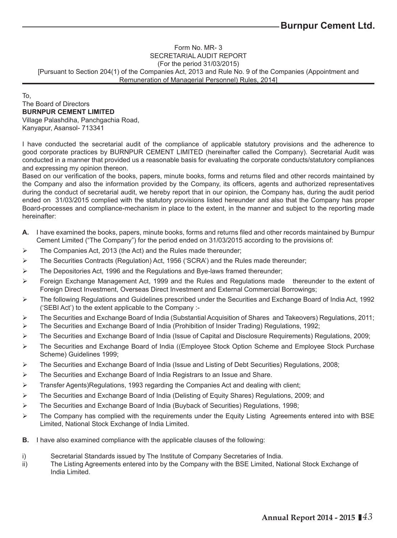### Form No. MR- 3 SECRETARIAL AUDIT REPORT (For the period 31/03/2015) [Pursuant to Section 204(1) of the Companies Act, 2013 and Rule No. 9 of the Companies (Appointment and Remuneration of Managerial Personnel) Rules, 2014]

To, The Board of Directors **BURNPUR CEMENT LIMITED** Village Palashdiha, Panchgachia Road, Kanyapur, Asansol- 713341

I have conducted the secretarial audit of the compliance of applicable statutory provisions and the adherence to good corporate practices by BURNPUR CEMENT LIMITED (hereinafter called the Company). Secretarial Audit was conducted in a manner that provided us a reasonable basis for evaluating the corporate conducts/statutory compliances and expressing my opinion thereon.

Based on our verification of the books, papers, minute books, forms and returns filed and other records maintained by the Company and also the information provided by the Company, its officers, agents and authorized representatives during the conduct of secretarial audit, we hereby report that in our opinion, the Company has, during the audit period ended on 31/03/2015 complied with the statutory provisions listed hereunder and also that the Company has proper Board-processes and compliance-mechanism in place to the extent, in the manner and subject to the reporting made hereinafter:

- A. I have examined the books, papers, minute books, forms and returns filed and other records maintained by Burnpur Cement Limited ("The Company") for the period ended on 31/03/2015 according to the provisions of:
- $\triangleright$  The Companies Act, 2013 (the Act) and the Rules made thereunder;
- $\triangleright$  The Securities Contracts (Regulation) Act, 1956 ('SCRA') and the Rules made thereunder;
- The Depositories Act, 1996 and the Regulations and Bye-laws framed thereunder;
- $\triangleright$  Foreign Exchange Management Act, 1999 and the Rules and Regulations made thereunder to the extent of Foreign Direct Investment, Overseas Direct Investment and External Commercial Borrowings;
- The following Regulations and Guidelines prescribed under the Securities and Exchange Board of India Act, 1992 ('SEBI Act') to the extent applicable to the Company :-
- The Securities and Exchange Board of India (Substantial Acquisition of Shares and Takeovers) Regulations, 2011;
- The Securities and Exchange Board of India (Prohibition of Insider Trading) Regulations, 1992;
- The Securities and Exchange Board of India (Issue of Capital and Disclosure Requirements) Regulations, 2009;
- The Securities and Exchange Board of India ((Employee Stock Option Scheme and Employee Stock Purchase Scheme) Guidelines 1999;
- $\triangleright$  The Securities and Exchange Board of India (Issue and Listing of Debt Securities) Regulations, 2008;
- $\triangleright$  The Securities and Exchange Board of India Registrars to an Issue and Share.
- $\triangleright$  Transfer Agents)Regulations, 1993 regarding the Companies Act and dealing with client;
- $\triangleright$  The Securities and Exchange Board of India (Delisting of Equity Shares) Regulations, 2009; and
- $\triangleright$  The Securities and Exchange Board of India (Buyback of Securities) Regulations, 1998;
- $\triangleright$  The Company has complied with the requirements under the Equity Listing Agreements entered into with BSE Limited, National Stock Exchange of India Limited.
- **B.** I have also examined compliance with the applicable clauses of the following:
- i) Secretarial Standards issued by The Institute of Company Secretaries of India.
- ii) The Listing Agreements entered into by the Company with the BSE Limited, National Stock Exchange of India Limited.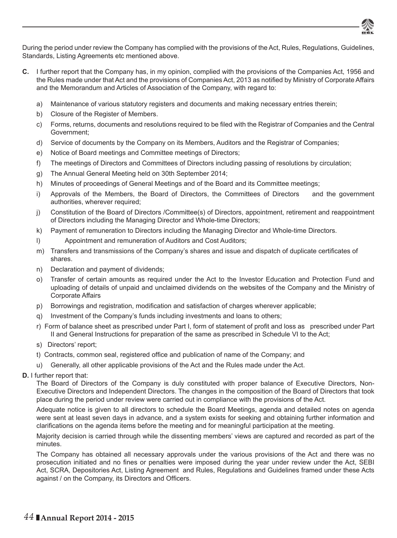

During the period under review the Company has complied with the provisions of the Act, Rules, Regulations, Guidelines, Standards, Listing Agreements etc mentioned above.

- **C.** I further report that the Company has, in my opinion, complied with the provisions of the Companies Act, 1956 and the Rules made under that Act and the provisions of Companies Act, 2013 as notified by Ministry of Corporate Affairs and the Memorandum and Articles of Association of the Company, with regard to:
	- a) Maintenance of various statutory registers and documents and making necessary entries therein;
	- b) Closure of the Register of Members.
	- c) Forms, returns, documents and resolutions required to be filed with the Registrar of Companies and the Central Government;
	- d) Service of documents by the Company on its Members, Auditors and the Registrar of Companies;
	- e) Notice of Board meetings and Committee meetings of Directors;
	- f) The meetings of Directors and Committees of Directors including passing of resolutions by circulation;
	- g) The Annual General Meeting held on 30th September 2014;
	- h) Minutes of proceedings of General Meetings and of the Board and its Committee meetings;
	- i) Approvals of the Members, the Board of Directors, the Committees of Directors and the government authorities, wherever required;
	- j) Constitution of the Board of Directors /Committee(s) of Directors, appointment, retirement and reappointment of Directors including the Managing Director and Whole-time Directors;
	- k) Payment of remuneration to Directors including the Managing Director and Whole-time Directors.
	- l) Appointment and remuneration of Auditors and Cost Auditors;
	- m) Transfers and transmissions of the Company's shares and issue and dispatch of duplicate certificates of shares.
	- n) Declaration and payment of dividends;
	- o) Transfer of certain amounts as required under the Act to the Investor Education and Protection Fund and uploading of details of unpaid and unclaimed dividends on the websites of the Company and the Ministry of Corporate Affairs
	- p) Borrowings and registration, modification and satisfaction of charges wherever applicable;
	- q) Investment of the Company's funds including investments and loans to others;
	- r) Form of balance sheet as prescribed under Part I, form of statement of profit and loss as prescribed under Part II and General Instructions for preparation of the same as prescribed in Schedule VI to the Act;
	- s) Directors' report;
	- t) Contracts, common seal, registered office and publication of name of the Company; and
	- u) Generally, all other applicable provisions of the Act and the Rules made under the Act.
- **D.** I further report that:

 The Board of Directors of the Company is duly constituted with proper balance of Executive Directors, Non-Executive Directors and Independent Directors. The changes in the composition of the Board of Directors that took place during the period under review were carried out in compliance with the provisions of the Act.

Adequate notice is given to all directors to schedule the Board Meetings, agenda and detailed notes on agenda were sent at least seven days in advance, and a system exists for seeking and obtaining further information and clarifications on the agenda items before the meeting and for meaningful participation at the meeting.

Majority decision is carried through while the dissenting members' views are captured and recorded as part of the minutes.

The Company has obtained all necessary approvals under the various provisions of the Act and there was no prosecution initiated and no fines or penalties were imposed during the year under review under the Act, SEBI Act, SCRA, Depositories Act, Listing Agreement and Rules, Regulations and Guidelines framed under these Acts against / on the Company, its Directors and Officers.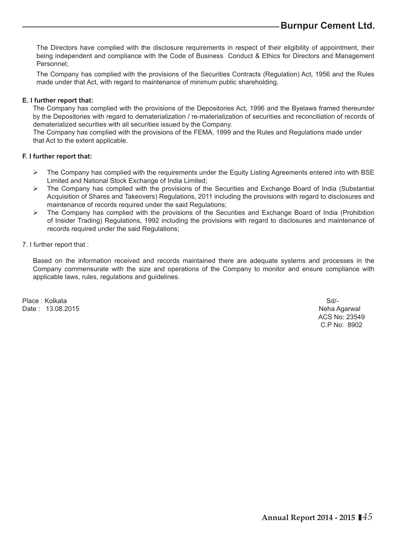The Directors have complied with the disclosure requirements in respect of their eligibility of appointment, their being independent and compliance with the Code of Business Conduct & Ethics for Directors and Management Personnel;

The Company has complied with the provisions of the Securities Contracts (Regulation) Act, 1956 and the Rules made under that Act, with regard to maintenance of minimum public shareholding.

### **E. I further report that:**

The Company has complied with the provisions of the Depositories Act, 1996 and the Byelaws framed thereunder by the Depositories with regard to dematerialization / re-materialization of securities and reconciliation of records of dematerialized securities with all securities issued by the Company.

The Company has complied with the provisions of the FEMA, 1999 and the Rules and Regulations made under that Act to the extent applicable.

### **F. I further report that:**

- $\triangleright$  The Company has complied with the requirements under the Equity Listing Agreements entered into with BSE Limited and National Stock Exchange of India Limited;
- $\triangleright$  The Company has complied with the provisions of the Securities and Exchange Board of India (Substantial Acquisition of Shares and Takeovers) Regulations, 2011 including the provisions with regard to disclosures and maintenance of records required under the said Regulations;
- $\triangleright$  The Company has complied with the provisions of the Securities and Exchange Board of India (Prohibition of Insider Trading) Regulations, 1992 including the provisions with regard to disclosures and maintenance of records required under the said Regulations;

### 7. I further report that :

Based on the information received and records maintained there are adequate systems and processes in the Company commensurate with the size and operations of the Company to monitor and ensure compliance with applicable laws, rules, regulations and guidelines.

Place : Kolkata Sd/-Date : 13.08.2015 Neha Agarwal

 ACS No: 23549 C.P No: 8902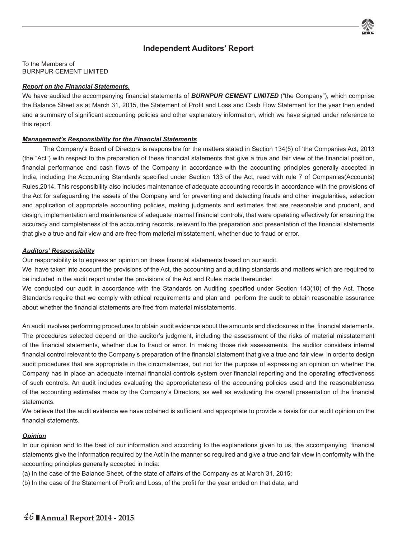## **Independent Auditors' Report**

To the Members of BURNPUR CEMENT LIMITED

### *Report on the Financial Statements.*

We have audited the accompanying financial statements of **BURNPUR CEMENT LIMITED** ("the Company"), which comprise the Balance Sheet as at March 31, 2015, the Statement of Profit and Loss and Cash Flow Statement for the year then ended and a summary of significant accounting policies and other explanatory information, which we have signed under reference to this report.

### *Management's Responsibility for the Financial Statements*

 The Company's Board of Directors is responsible for the matters stated in Section 134(5) of 'the Companies Act, 2013 (the "Act") with respect to the preparation of these financial statements that give a true and fair view of the financial position, financial performance and cash flows of the Company in accordance with the accounting principles generally accepted in India, including the Accounting Standards specified under Section 133 of the Act, read with rule 7 of Companies(Accounts) Rules,2014. This responsibility also includes maintenance of adequate accounting records in accordance with the provisions of the Act for safeguarding the assets of the Company and for preventing and detecting frauds and other irregularities, selection and application of appropriate accounting policies, making judgments and estimates that are reasonable and prudent, and design, implementation and maintenance of adequate internal financial controls, that were operating effectively for ensuring the accuracy and completeness of the accounting records, relevant to the preparation and presentation of the financial statements that give a true and fair view and are free from material misstatement, whether due to fraud or error.

### *Auditors' Responsibility*

Our responsibility is to express an opinion on these financial statements based on our audit.

We have taken into account the provisions of the Act, the accounting and auditing standards and matters which are required to be included in the audit report under the provisions of the Act and Rules made thereunder.

We conducted our audit in accordance with the Standards on Auditing specified under Section 143(10) of the Act. Those Standards require that we comply with ethical requirements and plan and perform the audit to obtain reasonable assurance about whether the financial statements are free from material misstatements.

An audit involves performing procedures to obtain audit evidence about the amounts and disclosures in the financial statements. The procedures selected depend on the auditor's judgment, including the assessment of the risks of material misstatement of the financial statements, whether due to fraud or error. In making those risk assessments, the auditor considers internal financial control relevant to the Company's preparation of the financial statement that give a true and fair view in order to design audit procedures that are appropriate in the circumstances, but not for the purpose of expressing an opinion on whether the Company has in place an adequate internal financial controls system over financial reporting and the operating effectiveness of such controls. An audit includes evaluating the appropriateness of the accounting policies used and the reasonableness of the accounting estimates made by the Company's Directors, as well as evaluating the overall presentation of the financial **statements** 

We believe that the audit evidence we have obtained is sufficient and appropriate to provide a basis for our audit opinion on the financial statements.

## *Opinion*

In our opinion and to the best of our information and according to the explanations given to us, the accompanying financial statements give the information required by the Act in the manner so required and give a true and fair view in conformity with the accounting principles generally accepted in India:

(a) In the case of the Balance Sheet, of the state of affairs of the Company as at March 31, 2015;

(b) In the case of the Statement of Profit and Loss, of the profit for the year ended on that date; and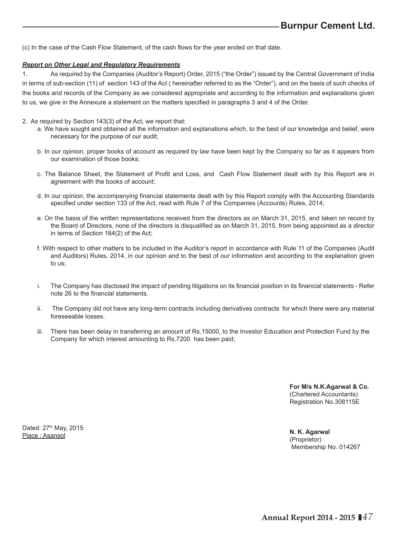(c) In the case of the Cash Flow Statement, of the cash flows for the year ended on that date.

#### *Report on Other Legal and Regulatory Requirements*

1. As required by the Companies (Auditor's Report) Order, 2015 ("the Order") issued by the Central Government of India in terms of sub-section (11) of section 143 of the Act ( hereinafter referred to as the "Order"), and on the basis of such checks of the books and records of the Company as we considered appropriate and according to the information and explanations given to us, we give in the Annexure a statement on the matters specified in paragraphs 3 and 4 of the Order.

- 2. As required by Section 143(3) of the Act, we report that:
	- a. We have sought and obtained all the information and explanations which, to the best of our knowledge and belief, were necessary for the purpose of our audit;
	- b. In our opinion, proper books of account as required by law have been kept by the Company so far as it appears from our examination of those books;
	- c. The Balance Sheet, the Statement of Profit and Loss, and Cash Flow Statement dealt with by this Report are in agreement with the books of account;
	- d. In our opinion, the accompanying financial statements dealt with by this Report comply with the Accounting Standards specified under section 133 of the Act, read with Rule 7 of the Companies (Accounts) Rules, 2014;
	- e. On the basis of the written representations received from the directors as on March 31, 2015, and taken on record by the Board of Directors, none of the directors is disqualified as on March 31, 2015, from being appointed as a director in terms of Section 164(2) of the Act;
	- f. With respect to other matters to be included in the Auditor's report in accordance with Rule 11 of the Companies (Audit and Auditors) Rules, 2014, in our opinion and to the best of our information and according to the explanation given to us;
	- i. The Company has disclosed the impact of pending litigations on its financial position in its financial statements Refer note 26 to the financial statements.
	- ii. The Company did not have any long-term contracts including derivatives contracts for which there were any material foreseeable losses.
	- iii. There has been delay in transferring an amount of Rs.15000, to the Investor Education and Protection Fund by the Company for which interest amounting to Rs.7200 has been paid;

 **For M/s N.K.Agarwal & Co.** (Chartered Accountants) Registration No.308115E

Dated: 27<sup>th</sup> May, 2015 Place : Asansol

 **N. K. Agarwal** (Proprietor) Membership No. 014267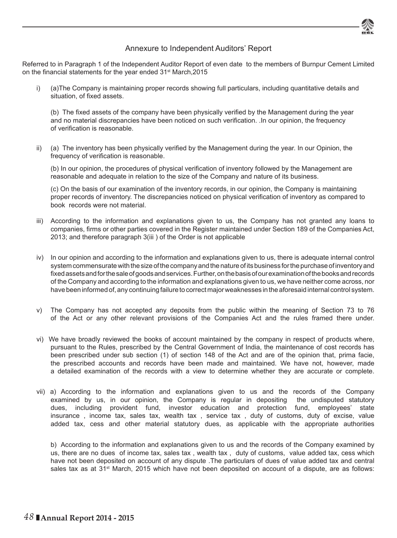

## Annexure to Independent Auditors' Report

Referred to in Paragraph 1 of the Independent Auditor Report of even date to the members of Burnpur Cement Limited on the financial statements for the year ended 31<sup>st</sup> March, 2015

i) (a)The Company is maintaining proper records showing full particulars, including quantitative details and situation, of fixed assets.

(b) The fixed assets of the company have been physically verified by the Management during the year and no material discrepancies have been noticed on such verification. .In our opinion, the frequency of verification is reasonable.

ii) (a) The inventory has been physically verified by the Management during the year. In our Opinion, the frequency of verification is reasonable.

(b) In our opinion, the procedures of physical verification of inventory followed by the Management are reasonable and adequate in relation to the size of the Company and nature of its business.

 (c) On the basis of our examination of the inventory records, in our opinion, the Company is maintaining proper records of inventory. The discrepancies noticed on physical verification of inventory as compared to book records were not material.

- iii) According to the information and explanations given to us, the Company has not granted any loans to companies, firms or other parties covered in the Register maintained under Section 189 of the Companies Act, 2013; and therefore paragraph 3(iii ) of the Order is not applicable
- iv) In our opinion and according to the information and explanations given to us, there is adequate internal control system commensurate with the size of the company and the nature of its business for the purchase of inventory and fixed assets and for the sale of goods and services. Further, on the basis of our examination of the books and records of the Company and according to the information and explanations given to us, we have neither come across, nor have been informed of, any continuing failure to correct major weaknesses in the aforesaid internal control system.
- v) The Company has not accepted any deposits from the public within the meaning of Section 73 to 76 of the Act or any other relevant provisions of the Companies Act and the rules framed there under.
- vi) We have broadly reviewed the books of account maintained by the company in respect of products where, pursuant to the Rules, prescribed by the Central Government of India, the maintenance of cost records has been prescribed under sub section (1) of section 148 of the Act and are of the opinion that, prima facie, the prescribed accounts and records have been made and maintained. We have not, however, made a detailed examination of the records with a view to determine whether they are accurate or complete.
- vii) a) According to the information and explanations given to us and the records of the Company examined by us, in our opinion, the Company is regular in depositing the undisputed statutory dues, including provident fund, investor education and protection fund, employees' state insurance , income tax, sales tax, wealth tax , service tax , duty of customs, duty of excise, value added tax, cess and other material statutory dues, as applicable with the appropriate authorities

b) According to the information and explanations given to us and the records of the Company examined by us, there are no dues of income tax, sales tax , wealth tax , duty of customs, value added tax, cess which have not been deposited on account of any dispute .The particulars of dues of value added tax and central sales tax as at 31<sup>st</sup> March, 2015 which have not been deposited on account of a dispute, are as follows: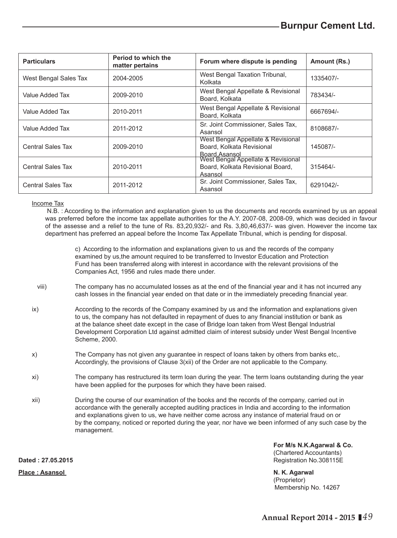| <b>Particulars</b>    | Period to which the<br>matter pertains | Forum where dispute is pending                                                                     | Amount (Rs.) |
|-----------------------|----------------------------------------|----------------------------------------------------------------------------------------------------|--------------|
| West Bengal Sales Tax | 2004-2005                              | West Bengal Taxation Tribunal,<br>Kolkata                                                          | 1335407/-    |
| Value Added Tax       | 2009-2010                              | West Bengal Appellate & Revisional<br>Board, Kolkata                                               | 783434/-     |
| Value Added Tax       | 2010-2011                              | West Bengal Appellate & Revisional<br>Board, Kolkata                                               | 6667694/-    |
| Value Added Tax       | 2011-2012                              | Sr. Joint Commissioner, Sales Tax,<br>Asansol                                                      | 8108687/-    |
| Central Sales Tax     | 2009-2010                              | West Bengal Appellate & Revisional<br>Board, Kolkata Revisional                                    | 145087/-     |
| Central Sales Tax     | 2010-2011                              | Board Asansol<br>West Bengal Appellate & Revisional<br>Board, Kolkata Revisional Board,<br>Asansol | 315464/-     |
| Central Sales Tax     | 2011-2012                              | Sr. Joint Commissioner, Sales Tax,<br>Asansol                                                      | 6291042/-    |

### Income Tax

 N.B. : According to the information and explanation given to us the documents and records examined by us an appeal was preferred before the income tax appellate authorities for the A.Y. 2007-08, 2008-09, which was decided in favour of the assesse and a relief to the tune of Rs. 83,20,932/- and Rs. 3,80,46,637/- was given. However the income tax department has preferred an appeal before the Income Tax Appellate Tribunal, which is pending for disposal.

 c) According to the information and explanations given to us and the records of the company examined by us,the amount required to be transferred to Investor Education and Protection Fund has been transferred along with interest in accordance with the relevant provisions of the Companies Act, 1956 and rules made there under.

- viii) The company has no accumulated losses as at the end of the financial year and it has not incurred any cash losses in the financial year ended on that date or in the immediately preceding financial year.
- ix) According to the records of the Company examined by us and the information and explanations given to us, the company has not defaulted in repayment of dues to any financial institution or bank as at the balance sheet date except in the case of Bridge loan taken from West Bengal Industrial Development Corporation Ltd against admitted claim of interest subsidy under West Bengal Incentive Scheme, 2000.
- x) The Company has not given any guarantee in respect of loans taken by others from banks etc,. Accordingly, the provisions of Clause 3(xii) of the Order are not applicable to the Company.
- xi) The company has restructured its term loan during the year. The term loans outstanding during the year have been applied for the purposes for which they have been raised.
- xii) During the course of our examination of the books and the records of the company, carried out in accordance with the generally accepted auditing practices in India and according to the information and explanations given to us, we have neither come across any instance of material fraud on or by the company, noticed or reported during the year, nor have we been informed of any such case by the management.

**For M/s N.K.Agarwal & Co.** (Chartered Accountants) **Dated : 27.05.2015 Registration No.308115E** 

> (Proprietor) Membership No. 14267

**Place : Asansol N. K. Agarwal**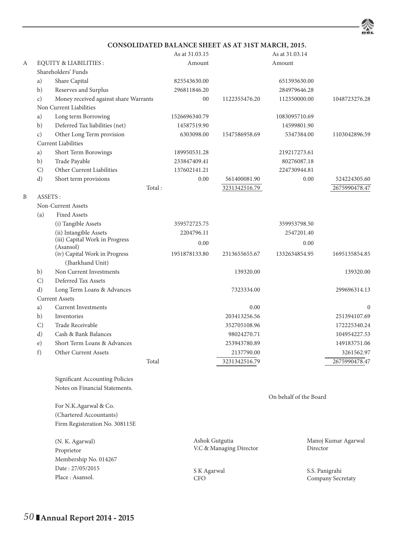

## **CONSOLIDATED BALANCE SHEET AS AT 31ST MARCH, 2015.**

|   |               |                                                   |         | As at 31.03.15 |                         | As at 31.03.14         |                     |
|---|---------------|---------------------------------------------------|---------|----------------|-------------------------|------------------------|---------------------|
| А |               | <b>EQUITY &amp; LIABILITIES:</b>                  |         | Amount         |                         | Amount                 |                     |
|   |               | Shareholders' Funds                               |         |                |                         |                        |                     |
|   | a)            | Share Capital                                     |         | 825543630.00   |                         | 651393630.00           |                     |
|   | b)            | Reserves and Surplus                              |         | 296811846.20   |                         | 284979646.28           |                     |
|   | c)            | Money received against share Warrants             |         | 00             | 1122355476.20           | 112350000.00           | 1048723276.28       |
|   |               | Non Current Liabilities                           |         |                |                         |                        |                     |
|   | a)            | Long term Borrowing                               |         | 1526696340.79  |                         | 1083095710.69          |                     |
|   | b)            | Deferred Tax liabilities (net)                    |         | 14587519.90    |                         | 14599801.90            |                     |
|   | c)            | Other Long Term provision                         |         | 6303098.00     | 1547586958.69           | 5347384.00             | 1103042896.59       |
|   |               | <b>Current Liabilities</b>                        |         |                |                         |                        |                     |
|   | a)            | Short Term Borowings                              |         | 189950531.28   |                         | 219217273.61           |                     |
|   | b)            | Trade Payable                                     |         | 233847409.41   |                         | 80276087.18            |                     |
|   | $\mathcal{C}$ | Other Current Liabilities                         |         | 137602141.21   |                         | 224730944.81           |                     |
|   | d)            | Short term provisions                             |         | 0.00           | 561400081.90            | 0.00                   | 524224305.60        |
|   |               |                                                   | Total : |                | 3231342516.79           |                        | 2675990478.47       |
| Β | ASSETS:       |                                                   |         |                |                         |                        |                     |
|   |               | Non-Current Assets                                |         |                |                         |                        |                     |
|   | (a)           | <b>Fixed Assets</b>                               |         |                |                         |                        |                     |
|   |               | (i) Tangible Assets                               |         | 359572725.75   |                         | 359953798.50           |                     |
|   |               | (ii) Intangible Assets                            |         | 2204796.11     |                         | 2547201.40             |                     |
|   |               | (iii) Capital Work in Progress                    |         | 0.00           |                         | 0.00                   |                     |
|   |               | (Asansol)                                         |         |                |                         |                        |                     |
|   |               | (iv) Capital Work in Progress<br>(Jharkhand Unit) |         | 1951878133.80  | 2313655655.67           | 1332634854.95          | 1695135854.85       |
|   |               | Non Current Investments                           |         |                |                         |                        |                     |
|   | b)            |                                                   |         |                | 139320.00               |                        | 139320.00           |
|   | $\mathcal{C}$ | Deferred Tax Assets                               |         |                |                         |                        |                     |
|   | d)            | Long Term Loans & Advances                        |         |                | 7323334.00              |                        | 299696314.13        |
|   |               | <b>Current Assets</b>                             |         |                |                         |                        |                     |
|   | a)            | <b>Current Investments</b>                        |         |                | 0.00                    |                        | $\mathbf{0}$        |
|   | b)            | Inventories                                       |         |                | 203413256.56            |                        | 251394107.69        |
|   | $\mathcal{C}$ | Trade Receivable                                  |         |                | 352705108.96            |                        | 172225340.24        |
|   | d)            | Cash & Bank Balances                              |         |                | 98024270.71             |                        | 104954227.53        |
|   | e)            | Short Term Loans & Advances                       |         |                | 253943780.89            |                        | 149183751.06        |
|   | f)            | Other Current Assets                              |         |                | 2137790.00              |                        | 3261562.97          |
|   |               |                                                   | Total   |                | 3231342516.79           |                        | 2675990478.47       |
|   |               |                                                   |         |                |                         |                        |                     |
|   |               | Significant Accounting Policies                   |         |                |                         |                        |                     |
|   |               | Notes on Financial Statements.                    |         |                |                         |                        |                     |
|   |               |                                                   |         |                |                         | On behalf of the Board |                     |
|   |               | For N.K.Agarwal & Co.                             |         |                |                         |                        |                     |
|   |               | (Chartered Accountants)                           |         |                |                         |                        |                     |
|   |               | Firm Registeration No. 308115E                    |         |                |                         |                        |                     |
|   |               |                                                   |         |                |                         |                        |                     |
|   |               | (N. K. Agarwal)                                   |         | Ashok Gutgutia | V.C & Managing Director | Director               | Manoj Kumar Agarwal |
|   |               | Proprietor                                        |         |                |                         |                        |                     |
|   |               | Membership No. 014267                             |         |                |                         |                        |                     |
|   |               | Date: 27/05/2015                                  |         | S K Agarwal    |                         |                        | S.S. Panigrahi      |
|   |               | Place: Asansol.                                   |         | <b>CFO</b>     |                         |                        | Company Secretaty   |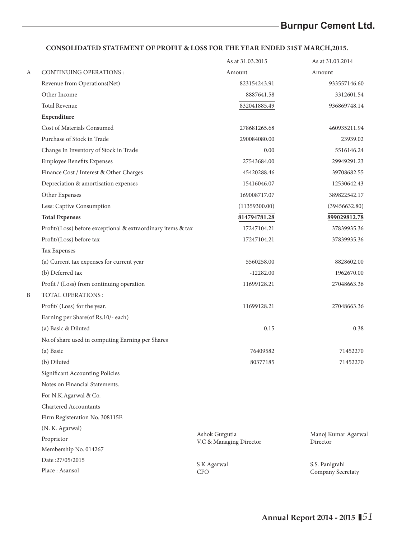## **CONSOLIDATED STATEMENT OF PROFIT & LOSS FOR THE YEAR ENDED 31ST MARCH,2015.**

|   |                                                              | As at 31.03.2015                          | As at 31.03.2014                |
|---|--------------------------------------------------------------|-------------------------------------------|---------------------------------|
| А | <b>CONTINUING OPERATIONS:</b>                                | Amount                                    | Amount                          |
|   | Revenue from Operations (Net)                                | 823154243.91                              | 933557146.60                    |
|   | Other Income                                                 | 8887641.58                                | 3312601.54                      |
|   | <b>Total Revenue</b>                                         | 832041885.49                              | 936869748.14                    |
|   | Expenditure                                                  |                                           |                                 |
|   | Cost of Materials Consumed                                   | 278681265.68                              | 460935211.94                    |
|   | Purchase of Stock in Trade                                   | 290084080.00                              | 23939.02                        |
|   | Change In Inventory of Stock in Trade                        | 0.00                                      | 5516146.24                      |
|   | <b>Employee Benefits Expenses</b>                            | 27543684.00                               | 29949291.23                     |
|   | Finance Cost / Interest & Other Charges                      | 45420288.46                               | 39708682.55                     |
|   | Depreciation & amortisation expenses                         | 15416046.07                               | 12530642.43                     |
|   | Other Expenses                                               | 169008717.07                              | 389822542.17                    |
|   | Less: Captive Consumption                                    | (11359300.00)                             | (39456632.80)                   |
|   | <b>Total Expenses</b>                                        | 814794781.28                              | 899029812.78                    |
|   | Profit/(Loss) before exceptional & extraordinary items & tax | 17247104.21                               | 37839935.36                     |
|   | Profit/(Loss) before tax                                     | 17247104.21                               | 37839935.36                     |
|   | Tax Expenses                                                 |                                           |                                 |
|   | (a) Current tax expenses for current year                    | 5560258.00                                | 8828602.00                      |
|   | (b) Deferred tax                                             | $-12282.00$                               | 1962670.00                      |
|   | Profit / (Loss) from continuing operation                    | 11699128.21                               | 27048663.36                     |
| B | TOTAL OPERATIONS :                                           |                                           |                                 |
|   | Profit/ (Loss) for the year.                                 | 11699128.21                               | 27048663.36                     |
|   | Earning per Share(of Rs.10/- each)                           |                                           |                                 |
|   | (a) Basic & Diluted                                          | 0.15                                      | 0.38                            |
|   | No.of share used in computing Earning per Shares             |                                           |                                 |
|   | (a) Basic                                                    | 76409582                                  | 71452270                        |
|   | (b) Diluted                                                  | 80377185                                  | 71452270                        |
|   | Significant Accounting Policies                              |                                           |                                 |
|   | Notes on Financial Statements.                               |                                           |                                 |
|   | For N.K.Agarwal & Co.                                        |                                           |                                 |
|   | Chartered Accountants                                        |                                           |                                 |
|   | Firm Registeration No. 308115E                               |                                           |                                 |
|   | (N. K. Agarwal)                                              |                                           |                                 |
|   | Proprietor                                                   | Ashok Gutgutia<br>V.C & Managing Director | Manoj Kumar Agarwal<br>Director |
|   | Membership No. 014267                                        |                                           |                                 |
|   | Date:27/05/2015                                              | S K Agarwal                               | S.S. Panigrahi                  |
|   | Place: Asansol                                               | CFO.                                      | Company Secretaty               |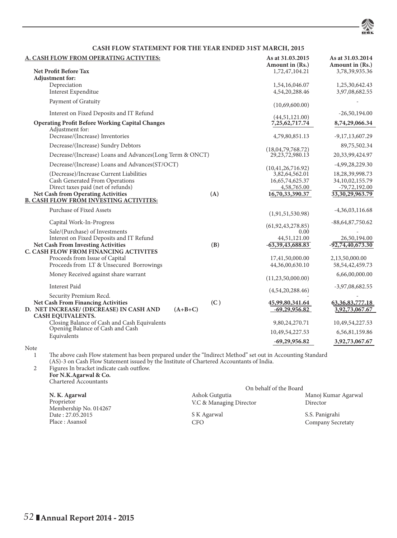

### **CASH FLOW STATEMENT FOR THE YEAR ENDED 31ST MARCH, 2015**

| A. CASH FLOW FROM OPERATING ACTIVTIES:                                           | As at 31.03.2015<br>Amount in (Rs.)      | As at 31.03.2014<br>Amount in (Rs.)   |
|----------------------------------------------------------------------------------|------------------------------------------|---------------------------------------|
| <b>Net Profit Before Tax</b><br><b>Adjustment</b> for:                           | 1,72,47,104.21                           | 3,78,39,935.36                        |
| Depreciation                                                                     | 1,54,16,046.07                           | 1,25,30,642.43                        |
| Interest Expenditue                                                              | 4,54,20,288.46                           | 3,97,08,682.55                        |
| Payment of Gratuity                                                              | (10,69,600.00)                           |                                       |
| Interest on Fixed Deposits and IT Refund                                         | (44,51,121.00)                           | $-26,50,194.00$                       |
| <b>Operating Profit Before Working Capital Changes</b><br>Adjustment for:        | 7,25,62,717.74                           | 8,74,29,066.34                        |
| Decrease/(Increase) Inventories                                                  | 4,79,80,851.13                           | $-9,17,13,607.29$                     |
| Decrease/(Increase) Sundry Debtors                                               |                                          | 89,75,502.34                          |
| Decrease/(Increase) Loans and Advances(Long Term & ONCT)                         | (18,04,79,768,72)<br>29, 23, 72, 980. 13 | 20,33,99,424.97                       |
| Decrease/(Increase) Loans and Advances(ST/OCT)                                   |                                          | $-4,99,28,229.30$                     |
| (Decrease)/Increase Current Liabilities                                          | (10, 41, 26, 716.92)<br>3,82,64,562.01   | 18,28,39,998.73                       |
| Cash Generated From Operations                                                   | 16,65,74,625.37                          | 34,10,02,155.79                       |
| Direct taxes paid (net of refunds)                                               | 4,58,765.00                              | $-79,72,192.00$                       |
| <b>Net Cash from Operating Activities</b><br>(A)                                 | 16,70,33,390.37                          | 33, 30, 29, 963. 79                   |
| <b>B. CASH FLOW FROM INVESTING ACTIVITES:</b>                                    |                                          |                                       |
| Purchase of Fixed Assets                                                         | (1,91,51,530.98)                         | $-4,36,03,116.68$                     |
| Capital Work-In-Progress                                                         | (61, 92, 43, 278, 85)                    | $-88,64,87,750.62$                    |
| Sale/(Purchase) of Investments                                                   | 0.00                                     |                                       |
| Interest on Fixed Deposits and IT Refund                                         | 44,51,121.00                             | 26,50,194.00                          |
| <b>Net Cash From Investing Activities</b><br>(B)                                 | $-63,39,43,688.83$                       | $-92,74,40,673.30$                    |
| C. CASH FLOW FROM FINANCING ACTIVITES                                            |                                          |                                       |
| Proceeds from Issue of Capital<br>Proceeds from LT & Unsecured Borrowings        | 17,41,50,000.00<br>44,36,00,630.10       | 2,13,50,000.00<br>58, 54, 42, 459. 73 |
| Money Received against share warrant                                             |                                          | 6,66,00,000.00                        |
|                                                                                  | (11, 23, 50, 000.00)                     |                                       |
| <b>Interest Paid</b>                                                             | (4,54,20,288.46)                         | $-3,97,08,682.55$                     |
| Security Premium Recd.<br>(C)<br><b>Net Cash From Financing Activities</b>       | 45,99,80,341.64                          | 63, 36, 83, 777. 18                   |
| D. NET INCREASE/ (DECREASE) IN CASH AND<br>$(A+B+C)$                             | $-69,29,956.82$                          | 3,92,73,067.67                        |
| <b>CASH EQUIVALENTS.</b>                                                         |                                          |                                       |
| Closing Balance of Cash and Cash Equivalents<br>Opening Balance of Cash and Cash | 9,80,24,270.71                           | 10,49,54,227.53                       |
| Equivalents                                                                      | 10,49,54,227.53                          | 6,56,81,159.86                        |
|                                                                                  | $-69,29,956.82$                          | 3,92,73,067.67                        |

Note  $\begin{smallmatrix}1\end{smallmatrix}$ 

1 The above cash Flow statement has been prepared under the "Indirect Method" set out in Accounting Standard (AS)-3 on Cash Flow Statement issued by the Institute of Chartered Accountants of India.

2 Figures In bracket indicate cash outflow. **For N.K.Agarwal & Co.** Chartered Accountants

|                                     | On behalf of the Board  |                     |
|-------------------------------------|-------------------------|---------------------|
| N. K. Agarwal                       | Ashok Gutgutia          | Manoj Kumar Agarwal |
| Proprietor<br>Membership No. 014267 | V.C & Managing Director | Director            |
| Date: 27.05.2015                    | S K Agarwal             | S.S. Panigrahi      |
| Place : Asansol                     | CFO                     | Company Secretaty   |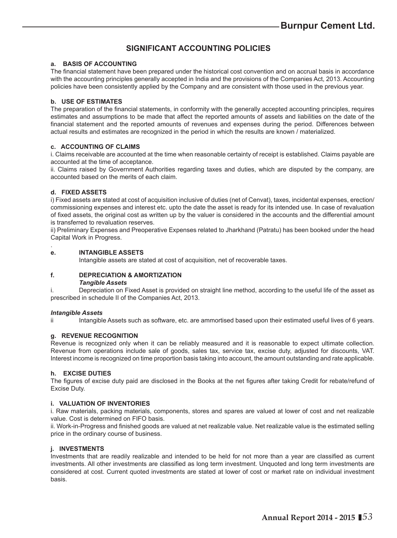## **SIGNIFICANT ACCOUNTING POLICIES**

### **a. BASIS OF ACCOUNTING**

The financial statement have been prepared under the historical cost convention and on accrual basis in accordance with the accounting principles generally accepted in India and the provisions of the Companies Act, 2013. Accounting policies have been consistently applied by the Company and are consistent with those used in the previous year.

#### **b. USE OF ESTIMATES**

The preparation of the financial statements, in conformity with the generally accepted accounting principles, requires estimates and assumptions to be made that affect the reported amounts of assets and liabilities on the date of the financial statement and the reported amounts of revenues and expenses during the period. Differences between actual results and estimates are recognized in the period in which the results are known / materialized.

#### **c. ACCOUNTING OF CLAIMS**

i. Claims receivable are accounted at the time when reasonable certainty of receipt is established. Claims payable are accounted at the time of acceptance.

ii. Claims raised by Government Authorities regarding taxes and duties, which are disputed by the company, are accounted based on the merits of each claim.

#### **d. FIXED ASSETS**

i) Fixed assets are stated at cost of acquisition inclusive of duties (net of Cenvat), taxes, incidental expenses, erection/ commissioning expenses and interest etc. upto the date the asset is ready for its intended use. In case of revaluation of fixed assets, the original cost as written up by the valuer is considered in the accounts and the differential amount is transferred to revaluation reserves.

ii) Preliminary Expenses and Preoperative Expenses related to Jharkhand (Patratu) has been booked under the head Capital Work in Progress.

#### **e. INTANGIBLE ASSETS**

Intangible assets are stated at cost of acquisition, net of recoverable taxes.

#### **f. DEPRECIATION & AMORTIZATION**

#### *Tangible Assets*

i. Depreciation on Fixed Asset is provided on straight line method, according to the useful life of the asset as prescribed in schedule II of the Companies Act, 2013.

#### *Intangible Assets*

.

ii Intangible Assets such as software, etc. are ammortised based upon their estimated useful lives of 6 years.

#### **g. REVENUE RECOGNITION**

Revenue is recognized only when it can be reliably measured and it is reasonable to expect ultimate collection. Revenue from operations include sale of goods, sales tax, service tax, excise duty, adjusted for discounts, VAT. Interest income is recognized on time proportion basis taking into account, the amount outstanding and rate applicable.

#### **h. EXCISE DUTIES**

The figures of excise duty paid are disclosed in the Books at the net figures after taking Credit for rebate/refund of Excise Duty.

#### **i. VALUATION OF INVENTORIES**

i. Raw materials, packing materials, components, stores and spares are valued at lower of cost and net realizable value. Cost is determined on FIFO basis.

ii. Work-in-Progress and finished goods are valued at net realizable value. Net realizable value is the estimated selling price in the ordinary course of business.

#### **j. INVESTMENTS**

Investments that are readily realizable and intended to be held for not more than a year are classified as current investments. All other investments are classified as long term investment. Unquoted and long term investments are considered at cost. Current quoted investments are stated at lower of cost or market rate on individual investment basis.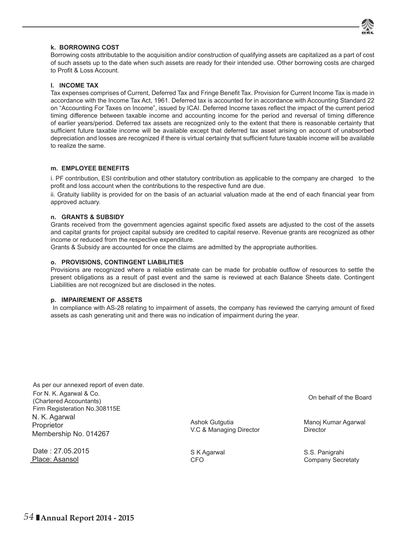

#### **k. BORROWING COST**

Borrowing costs attributable to the acquisition and/or construction of qualifying assets are capitalized as a part of cost of such assets up to the date when such assets are ready for their intended use. Other borrowing costs are charged to Profit & Loss Account.

#### **l. INCOME TAX**

Tax expenses comprises of Current, Deferred Tax and Fringe Benefit Tax. Provision for Current Income Tax is made in accordance with the Income Tax Act, 1961. Deferred tax is accounted for in accordance with Accounting Standard 22 on "Accounting For Taxes on Income", issued by ICAI. Deferred Income taxes reflect the impact of the current period timing difference between taxable income and accounting income for the period and reversal of timing difference of earlier years/period. Deferred tax assets are recognized only to the extent that there is reasonable certainty that sufficient future taxable income will be available except that deferred tax asset arising on account of unabsorbed depreciation and losses are recognized if there is virtual certainty that sufficient future taxable income will be available to realize the same.

#### **m. EMPLOYEE BENEFITS**

i. PF contribution, ESI contribution and other statutory contribution as applicable to the company are charged to the profit and loss account when the contributions to the respective fund are due.

ii. Gratuity liability is provided for on the basis of an actuarial valuation made at the end of each financial year from approved actuary.

#### **n. GRANTS & SUBSIDY**

Grants received from the government agencies against specific fixed assets are adjusted to the cost of the assets and capital grants for project capital subsidy are credited to capital reserve. Revenue grants are recognized as other income or reduced from the respective expenditure.

Grants & Subsidy are accounted for once the claims are admitted by the appropriate authorities.

#### **o. PROVISIONS, CONTINGENT LIABILITIES**

Provisions are recognized where a reliable estimate can be made for probable outflow of resources to settle the present obligations as a result of past event and the same is reviewed at each Balance Sheets date. Contingent Liabilities are not recognized but are disclosed in the notes.

#### **p. IMPAIREMENT OF ASSETS**

In compliance with AS-28 relating to impairment of assets, the company has reviewed the carrying amount of fixed assets as cash generating unit and there was no indication of impairment during the year.

As per our annexed report of even date. For N. K. Agarwal & Co. (Chartered Accountants) Firm Registeration No.308115E N. K. Agarwal **Proprietor** Membership No. 014267

Date : 27.05.2015 Place: Asansol

On behalf of the Board

Ashok Gutgutia **Manoj Kumar Agarwal** V.C & Managing Director Director

S K Agarwal S.S. Panigrahi CFO Company Secretaty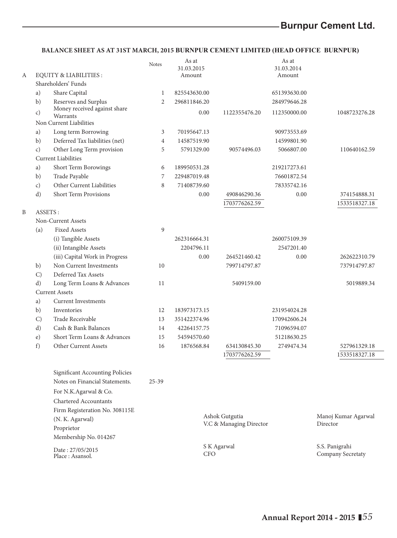## **BALANCE SHEET AS AT 31ST MARCH, 2015 BURNPUR CEMENT LIMITED (HEAD OFFICE BURNPUR)**

|   |                 |                                                                   | Notes          | As at<br>31.03.2015       |                         | As at<br>31.03.2014       |                                     |
|---|-----------------|-------------------------------------------------------------------|----------------|---------------------------|-------------------------|---------------------------|-------------------------------------|
| А |                 | <b>EQUITY &amp; LIABILITIES:</b><br>Shareholders' Funds           |                | Amount                    |                         | Amount                    |                                     |
|   | a)              | Share Capital                                                     | $\mathbf{1}$   | 825543630.00              |                         | 651393630.00              |                                     |
|   | b)              | Reserves and Surplus                                              | $\overline{c}$ | 296811846.20              |                         | 284979646.28              |                                     |
|   | $\mathcal{C}$ ) | Money received against share                                      |                | 0.00                      | 1122355476.20           | 112350000.00              | 1048723276.28                       |
|   |                 | Warrants<br>Non Current Liabilities                               |                |                           |                         |                           |                                     |
|   |                 |                                                                   | 3              |                           |                         |                           |                                     |
|   | a)<br>b)        | Long term Borrowing<br>Deferred Tax liabilities (net)             | $\overline{4}$ | 70195647.13               |                         | 90973553.69               |                                     |
|   | $\mathcal{C}$ ) | Other Long Term provision                                         | 5              | 14587519.90<br>5791329.00 | 90574496.03             | 14599801.90<br>5066807.00 | 110640162.59                        |
|   |                 | <b>Current Liabilities</b>                                        |                |                           |                         |                           |                                     |
|   | a)              | Short Term Borowings                                              | 6              | 189950531.28              |                         | 219217273.61              |                                     |
|   | b)              | Trade Payable                                                     | 7              | 229487019.48              |                         | 76601872.54               |                                     |
|   | $\mathcal{C}$ ) | Other Current Liabilities                                         | 8              | 71408739.60               |                         | 78335742.16               |                                     |
|   | d)              | Short Term Provisions                                             |                | 0.00                      | 490846290.36            | 0.00                      | 374154888.31                        |
|   |                 |                                                                   |                |                           | 1703776262.59           |                           | 1533518327.18                       |
| B | ASSETS:         |                                                                   |                |                           |                         |                           |                                     |
|   |                 | Non-Current Assets                                                |                |                           |                         |                           |                                     |
|   | (a)             | <b>Fixed Assets</b>                                               | 9              |                           |                         |                           |                                     |
|   |                 | (i) Tangible Assets                                               |                | 262316664.31              |                         | 260075109.39              |                                     |
|   |                 | (ii) Intangible Assets                                            |                | 2204796.11                |                         | 2547201.40                |                                     |
|   |                 | (iii) Capital Work in Progress                                    |                | 0.00                      | 264521460.42            | 0.00                      | 262622310.79                        |
|   | b)              | Non Current Investments                                           | 10             |                           | 799714797.87            |                           | 737914797.87                        |
|   | C)              | Deferred Tax Assets                                               |                |                           |                         |                           |                                     |
|   | $\mathbf{d}$    | Long Term Loans & Advances                                        | 11             |                           | 5409159.00              |                           | 5019889.34                          |
|   |                 | <b>Current Assets</b>                                             |                |                           |                         |                           |                                     |
|   | a)              | <b>Current Investments</b>                                        |                |                           |                         |                           |                                     |
|   | b)              | Inventories                                                       | 12             | 183973173.15              |                         | 231954024.28              |                                     |
|   | $\mathcal{C}$   | Trade Receivable                                                  | 13             | 351422374.96              |                         | 170942606.24              |                                     |
|   | $\rm d$ )       | Cash & Bank Balances                                              | 14             | 42264157.75               |                         | 71096594.07               |                                     |
|   | $\epsilon$ )    | Short Term Loans & Advances                                       | 15             | 54594570.60               |                         | 51218630.25               |                                     |
|   | $f$ )           | Other Current Assets                                              | 16             | 1876568.84                | 634130845.30            | 2749474.34                | 527961329.18                        |
|   |                 |                                                                   |                |                           | 1703776262.59           |                           | 1533518327.18                       |
|   |                 |                                                                   |                |                           |                         |                           |                                     |
|   |                 | Significant Accounting Policies<br>Notes on Financial Statements. | $25 - 39$      |                           |                         |                           |                                     |
|   |                 |                                                                   |                |                           |                         |                           |                                     |
|   |                 | For N.K.Agarwal & Co.                                             |                |                           |                         |                           |                                     |
|   |                 | <b>Chartered Accountants</b>                                      |                |                           |                         |                           |                                     |
|   |                 | Firm Registeration No. 308115E                                    |                |                           | Ashok Gutgutia          |                           | Manoj Kumar Agarwal                 |
|   |                 | (N. K. Agarwal)                                                   |                |                           | V.C & Managing Director |                           | Director                            |
|   |                 | Proprietor                                                        |                |                           |                         |                           |                                     |
|   |                 | Membership No. 014267                                             |                |                           |                         |                           |                                     |
|   |                 | Date: 27/05/2015<br>Place : Asansol.                              |                | <b>CFO</b>                | S K Agarwal             |                           | S.S. Panigrahi<br>Company Secretaty |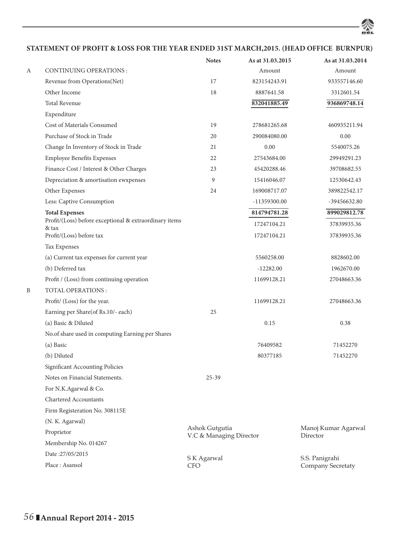**STATEMENT OF PROFIT & LOSS FOR THE YEAR ENDED 31ST MARCH,2015. (HEAD OFFICE BURNPUR)**

ZS

|   |                                                                 | <b>Notes</b>                              | As at 31.03.2015 | As at 31.03.2014                |
|---|-----------------------------------------------------------------|-------------------------------------------|------------------|---------------------------------|
| А | <b>CONTINUING OPERATIONS:</b>                                   |                                           | Amount           | Amount                          |
|   | Revenue from Operations(Net)                                    | 17                                        | 823154243.91     | 933557146.60                    |
|   | Other Income                                                    | 18                                        | 8887641.58       | 3312601.54                      |
|   | <b>Total Revenue</b>                                            |                                           | 832041885.49     | 936869748.14                    |
|   | Expenditure                                                     |                                           |                  |                                 |
|   | Cost of Materials Consumed                                      | 19                                        | 278681265.68     | 460935211.94                    |
|   | Purchase of Stock in Trade                                      | 20                                        | 290084080.00     | 0.00                            |
|   | Change In Inventory of Stock in Trade                           | 21                                        | 0.00             | 5540075.26                      |
|   | <b>Employee Benefits Expenses</b>                               | 22                                        | 27543684.00      | 29949291.23                     |
|   | Finance Cost / Interest & Other Charges                         | 23                                        | 45420288.46      | 39708682.55                     |
|   | Depreciation & amortisation ewxpenses                           | 9                                         | 15416046.07      | 12530642.43                     |
|   | Other Expenses                                                  | 24                                        | 169008717.07     | 389822542.17                    |
|   | Less: Captive Consumption                                       |                                           | -11359300.00     | -39456632.80                    |
|   | <b>Total Expenses</b>                                           |                                           | 814794781.28     | 899029812.78                    |
|   | Profit/(Loss) before exceptional & extraordinary items<br>& tax |                                           | 17247104.21      | 37839935.36                     |
|   | Profit/(Loss) before tax                                        |                                           | 17247104.21      | 37839935.36                     |
|   | Tax Expenses                                                    |                                           |                  |                                 |
|   | (a) Current tax expenses for current year                       |                                           | 5560258.00       | 8828602.00                      |
|   | (b) Deferred tax                                                |                                           | $-12282.00$      | 1962670.00                      |
|   | Profit / (Loss) from continuing operation                       |                                           | 11699128.21      | 27048663.36                     |
| B | <b>TOTAL OPERATIONS:</b>                                        |                                           |                  |                                 |
|   | Profit/ (Loss) for the year.                                    |                                           | 11699128.21      | 27048663.36                     |
|   | Earning per Share(of Rs.10/- each)                              | 25                                        |                  |                                 |
|   | (a) Basic & Diluted                                             |                                           | 0.15             | 0.38                            |
|   | No.of share used in computing Earning per Shares                |                                           |                  |                                 |
|   | (a) Basic                                                       |                                           | 76409582         | 71452270                        |
|   | (b) Diluted                                                     |                                           | 80377185         | 71452270                        |
|   | Significant Accounting Policies                                 |                                           |                  |                                 |
|   | Notes on Financial Statements.                                  | $25 - 39$                                 |                  |                                 |
|   | For N.K.Agarwal & Co.                                           |                                           |                  |                                 |
|   | <b>Chartered Accountants</b>                                    |                                           |                  |                                 |
|   | Firm Registeration No. 308115E                                  |                                           |                  |                                 |
|   | (N. K. Agarwal)                                                 |                                           |                  |                                 |
|   | Proprietor                                                      | Ashok Gutgutia<br>V.C & Managing Director |                  | Manoj Kumar Agarwal<br>Director |
|   | Membership No. 014267                                           |                                           |                  |                                 |
|   | Date:27/05/2015                                                 | S K Agarwal                               |                  | S.S. Panigrahi                  |
|   | Place: Asansol                                                  | CFO                                       |                  | Company Secretaty               |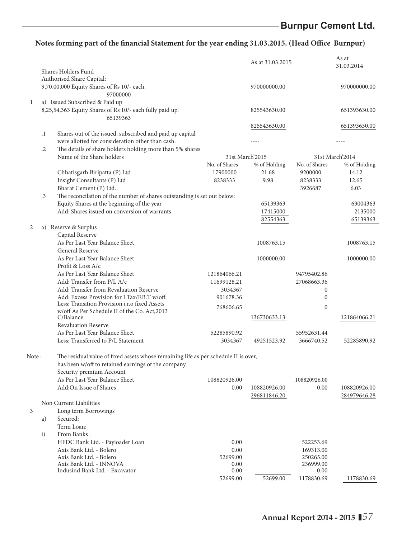|        |            |                                                                                     |               | As at 31.03.2015 |               | As at<br>31.03.2014 |
|--------|------------|-------------------------------------------------------------------------------------|---------------|------------------|---------------|---------------------|
|        |            | Shares Holders Fund<br>Authorised Share Capital:                                    |               |                  |               |                     |
|        |            | 9,70,00,000 Equity Shares of Rs 10/- each.                                          |               | 970000000.00     |               | 970000000.00        |
|        |            | 97000000                                                                            |               |                  |               |                     |
| 1      |            | a) Issued Subscribed & Paid up                                                      |               |                  |               |                     |
|        |            | 8,25,54,363 Equity Shares of Rs 10/- each fully paid up.                            |               | 825543630.00     |               | 651393630.00        |
|        |            | 65139363                                                                            |               |                  |               |                     |
|        |            |                                                                                     |               | 825543630.00     |               | 651393630.00        |
|        | $\cdot$    | Shares out of the issued, subscribed and paid up capital                            |               |                  |               |                     |
|        |            | were allotted for consideration other than cash.                                    |               |                  |               |                     |
|        | $\cdot$ .2 | The details of share holders holding more than 5% shares                            |               |                  |               |                     |
|        |            | Name of the Share holders                                                           |               | 31st March'2015  |               | 31st March'2014     |
|        |            |                                                                                     | No. of Shares | % of Holding     | No. of Shares | % of Holding        |
|        |            | Chhatisgarh Biripatta (P) Ltd                                                       | 17900000      | 21.68            | 9200000       | 14.12               |
|        |            | Insight Consultants (P) Ltd                                                         | 8238333       | 9.98             | 8238333       | 12.65               |
|        |            | Bharat Cement (P) Ltd.                                                              |               |                  | 3926687       | 6.03                |
|        | $\cdot$ 3  | The reconcilation of the number of shares outstanding is set out below:             |               |                  |               |                     |
|        |            | Equity Shares at the beginning of the year                                          |               | 65139363         |               | 63004363            |
|        |            | Add: Shares issued on conversion of warrants                                        |               | 17415000         |               | 2135000             |
|        |            |                                                                                     |               | 82554363         |               | 65139363            |
| 2      |            | a) Reserve & Surplus                                                                |               |                  |               |                     |
|        |            | Capital Reserve                                                                     |               |                  |               |                     |
|        |            | As Per Last Year Balance Sheet                                                      |               | 1008763.15       |               | 1008763.15          |
|        |            | General Reserve                                                                     |               |                  |               |                     |
|        |            | As Per Last Year Balance Sheet                                                      |               | 1000000.00       |               | 1000000.00          |
|        |            | Profit & Loss A/c                                                                   |               |                  |               |                     |
|        |            | As Per Last Year Balance Sheet                                                      | 121864066.21  |                  | 94795402.86   |                     |
|        |            | Add: Transfer from P/L A/c                                                          | 11699128.21   |                  | 27068663.36   |                     |
|        |            | Add: Transfer from Revaluation Reserve                                              | 3034367       |                  | $\mathbf{0}$  |                     |
|        |            | Add: Excess Provision for I.Tax/F.B.T w/off.                                        | 901678.36     |                  | $\mathbf{0}$  |                     |
|        |            | Less: Transition Provision i.r.o fixed Assets                                       |               |                  |               |                     |
|        |            | w/off As Per Schedule II of the Co. Act, 2013                                       | 768606.65     |                  | $\mathbf{0}$  |                     |
|        |            | C/Balance                                                                           |               | 136730633.13     |               | 121864066.21        |
|        |            | <b>Revaluation Reserve</b>                                                          |               |                  |               |                     |
|        |            | As Per Last Year Balance Sheet                                                      | 52285890.92   |                  | 55952631.44   |                     |
|        |            | Less: Transferred to P/L Statement                                                  | 3034367       | 49251523.92      | 3666740.52    | 52285890.92         |
|        |            |                                                                                     |               |                  |               |                     |
| Note : |            | The residual value of fixed assets whose remaining life as per schedule II is over, |               |                  |               |                     |
|        |            | has been w/off to retained earnings of the company                                  |               |                  |               |                     |
|        |            | Security premium Account                                                            |               |                  |               |                     |
|        |            | As Per Last Year Balance Sheet                                                      | 108820926.00  |                  | 108820926.00  |                     |
|        |            | Add:On Issue of Shares                                                              | 0.00          | 108820926.00     | 0.00          | 108820926.00        |
|        |            |                                                                                     |               | 296811846.20     |               | 284979646.28        |
|        |            | Non Current Liabilities                                                             |               |                  |               |                     |
| 3      |            | Long term Borrowings                                                                |               |                  |               |                     |
|        | a)         | Secured:                                                                            |               |                  |               |                     |
|        |            | Term Loan:                                                                          |               |                  |               |                     |
|        | i)         | From Banks:                                                                         |               |                  |               |                     |
|        |            | HFDC Bank Ltd. - Payloader Loan                                                     | 0.00          |                  | 522253.69     |                     |
|        |            | Axis Bank Ltd. - Bolero                                                             | 0.00          |                  | 169313.00     |                     |
|        |            | Axis Bank Ltd. - Bolero                                                             | 52699.00      |                  | 250265.00     |                     |
|        |            | Axis Bank Ltd. - INNOVA                                                             | 0.00          |                  | 236999.00     |                     |
|        |            | Indusind Bank Ltd. - Excavator                                                      | 0.00          |                  | 0.00          |                     |
|        |            |                                                                                     | 52699.00      | 52699.00         | 1178830.69    | 1178830.69          |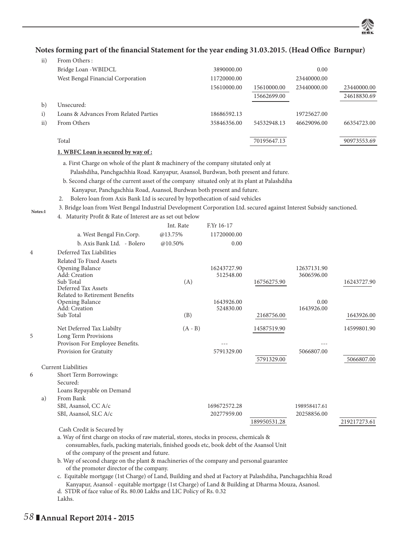| $\rm ii)$    | From Others:                          |             |             |             |             |
|--------------|---------------------------------------|-------------|-------------|-------------|-------------|
|              | Bridge Loan - WBIDCL                  | 3890000.00  |             | 0.00        |             |
|              | West Bengal Financial Corporation     | 11720000.00 |             | 23440000.00 |             |
|              |                                       | 15610000.00 | 15610000.00 | 23440000.00 | 23440000.00 |
|              |                                       |             | 15662699.00 |             | 24618830.69 |
| $\mathbf{b}$ | Unsecured:                            |             |             |             |             |
| i)           | Loans & Advances From Related Parties | 18686592.13 |             | 19725627.00 |             |
| ii)          | From Others                           | 35846356.00 | 54532948.13 | 46629096.00 | 66354723.00 |
|              |                                       |             |             |             |             |
|              | Total                                 |             | 70195647.13 |             | 90973553.69 |

#### **1. WBFC Loan is secured by way of :**

a. First Charge on whole of the plant & machinery of the company situtated only at

Palashdiha, Panchgachhia Road. Kanyapur, Asansol, Burdwan, both present and future.

b. Second charge of the current asset of the company situated only at its plant at Palashdiha

- Kanyapur, Panchgachhia Road, Asansol, Burdwan both present and future.
- 2. Bolero loan from Axis Bank Ltd is secured by hypothecation of said vehicles
- 3. Bridge loan from West Bengal Industrial Development Corporation Ltd. secured against Interest Subsidy sanctioned. **Notes:1**
	- 4. Maturity Profit & Rate of Interest are as set out below

|                |                                                                                                                                                                                      | Int. Rate | F.Yr 16-17   |              |              |              |
|----------------|--------------------------------------------------------------------------------------------------------------------------------------------------------------------------------------|-----------|--------------|--------------|--------------|--------------|
|                | a. West Bengal Fin.Corp.                                                                                                                                                             | @13.75%   | 11720000.00  |              |              |              |
|                | b. Axis Bank Ltd. - Bolero                                                                                                                                                           | @10.50%   | 0.00         |              |              |              |
| $\overline{4}$ | Deferred Tax Liabilities                                                                                                                                                             |           |              |              |              |              |
|                | <b>Related To Fixed Assets</b>                                                                                                                                                       |           |              |              |              |              |
|                | Opening Balance                                                                                                                                                                      |           | 16243727.90  |              | 12637131.90  |              |
|                | Add: Creation<br>Sub Total                                                                                                                                                           | (A)       | 512548.00    | 16756275.90  | 3606596.00   | 16243727.90  |
|                | Deferred Tax Assets                                                                                                                                                                  |           |              |              |              |              |
|                | Related to Retirement Benefits                                                                                                                                                       |           |              |              |              |              |
|                | Opening Balance                                                                                                                                                                      |           | 1643926.00   |              | 0.00         |              |
|                | Add: Creation                                                                                                                                                                        |           | 524830.00    |              | 1643926.00   |              |
|                | Sub Total                                                                                                                                                                            | (B)       |              | 2168756.00   |              | 1643926.00   |
|                | Net Deferred Tax Liabilty                                                                                                                                                            | $(A - B)$ |              | 14587519.90  |              | 14599801.90  |
| 5              | Long Term Provisions                                                                                                                                                                 |           |              |              |              |              |
|                | Provison For Employee Benefits.                                                                                                                                                      |           |              |              |              |              |
|                | Provision for Gratuity                                                                                                                                                               |           | 5791329.00   |              | 5066807.00   |              |
|                |                                                                                                                                                                                      |           |              | 5791329.00   |              | 5066807.00   |
|                | <b>Current Liabilities</b>                                                                                                                                                           |           |              |              |              |              |
| 6              | Short Term Borrowings:<br>Secured:                                                                                                                                                   |           |              |              |              |              |
|                | Loans Repayable on Demand<br>From Bank<br>a)                                                                                                                                         |           |              |              |              |              |
|                | SBI, Asansol, CC A/c                                                                                                                                                                 |           | 169672572.28 |              | 198958417.61 |              |
|                | SBI, Asansol, SLC A/c                                                                                                                                                                |           | 20277959.00  |              | 20258856.00  |              |
|                |                                                                                                                                                                                      |           |              | 189950531.28 |              | 219217273.61 |
|                | Cash Credit is Secured by                                                                                                                                                            |           |              |              |              |              |
|                | a. Way of first charge on stocks of raw material, stores, stocks in process, chemicals &<br>consumables, fuels, packing materials, finished goods etc, book debt of the Asansol Unit |           |              |              |              |              |
|                | of the company of the present and future.                                                                                                                                            |           |              |              |              |              |
|                | b. Way of second charge on the plant & machineries of the company and personal guarantee                                                                                             |           |              |              |              |              |
|                | of the promoter director of the company.                                                                                                                                             |           |              |              |              |              |

c. Equitable mortgage (1st Charge) of Land, Building and shed at Factory at Palashdiha, Panchagachhia Road Kanyapur, Asansol - equitable mortgage (1st Charge) of Land & Building at Dharma Mouza, Asanosl.

d. STDR of face value of Rs. 80.00 Lakhs and LIC Policy of Rs. 0.32

Lakhs.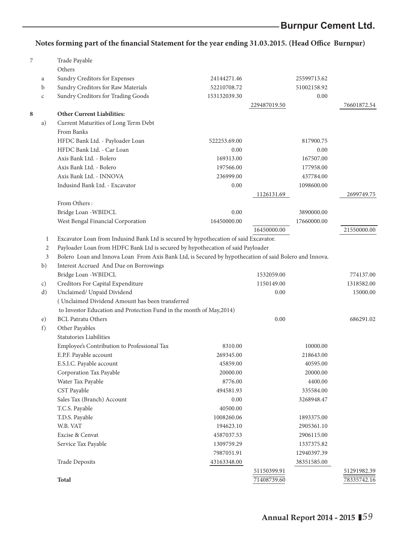| 7 |                | Trade Payable                                                                                          |              |              |             |
|---|----------------|--------------------------------------------------------------------------------------------------------|--------------|--------------|-------------|
|   |                | Others                                                                                                 |              |              |             |
|   | a              | Sundry Creditors for Expenses                                                                          | 24144271.46  | 25599713.62  |             |
|   | b              | Sundry Creditors for Raw Materials                                                                     | 52210708.72  | 51002158.92  |             |
|   | C              | Sundry Creditors for Trading Goods                                                                     | 153132039.30 | 0.00         |             |
|   |                |                                                                                                        |              | 229487019.50 | 76601872.54 |
| 8 |                | <b>Other Current Liabilities:</b>                                                                      |              |              |             |
|   | a)             | Current Maturities of Long Term Debt                                                                   |              |              |             |
|   |                | From Banks                                                                                             |              |              |             |
|   |                | HFDC Bank Ltd. - Payloader Loan                                                                        | 522253.69.00 | 817900.75    |             |
|   |                | HFDC Bank Ltd. - Car Loan                                                                              | 0.00         | 0.00         |             |
|   |                | Axis Bank Ltd. - Bolero                                                                                | 169313.00    | 167507.00    |             |
|   |                | Axis Bank Ltd. - Bolero                                                                                | 197566.00    | 177958.00    |             |
|   |                | Axis Bank Ltd. - INNOVA                                                                                | 236999.00    | 437784.00    |             |
|   |                | Indusind Bank Ltd. - Excavator                                                                         | 0.00         | 1098600.00   |             |
|   |                |                                                                                                        |              | 1126131.69   | 2699749.75  |
|   |                | From Others:                                                                                           |              |              |             |
|   |                | Bridge Loan - WBIDCL                                                                                   | 0.00         | 3890000.00   |             |
|   |                | West Bengal Financial Corporation                                                                      | 16450000.00  | 17660000.00  |             |
|   |                |                                                                                                        |              | 16450000.00  | 21550000.00 |
|   | 1              | Excavator Loan from Indusind Bank Ltd is secured by hypothecation of said Excavator.                   |              |              |             |
|   | $\overline{2}$ | Payloader Loan from HDFC Bank Ltd is secured by hypothecation of said Payloader                        |              |              |             |
|   | 3              | Bolero Loan and Innova Loan From Axis Bank Ltd, is Secured by hypothecation of said Bolero and Innova. |              |              |             |
|   | b)             | Interest Accrued And Due on Borrowings                                                                 |              |              |             |
|   |                | Bridge Loan - WBIDCL                                                                                   |              | 1532059.00   | 774137.00   |
|   | c)             | Creditors For Capital Expenditure                                                                      |              | 1150149.00   | 1318582.00  |
|   | d)             | Unclaimed/ Unpaid Dividend                                                                             |              | 0.00         | 15000.00    |
|   |                | (Unclaimed Dividend Amount has been transferred                                                        |              |              |             |
|   |                | to Investor Education and Protection Fund in the month of May, 2014)                                   |              |              |             |
|   | e)             | <b>BCL Patratu Others</b>                                                                              |              | 0.00         | 686291.02   |
|   | f)             | Other Payables                                                                                         |              |              |             |
|   |                | <b>Statutories Liabilities</b>                                                                         |              |              |             |
|   |                | Employee's Contribution to Professional Tax                                                            | 8310.00      | 10000.00     |             |
|   |                | E.P.F. Payable account                                                                                 | 269345.00    | 218643.00    |             |
|   |                | E.S.I.C. Payable account                                                                               | 45859.00     | 40595.00     |             |
|   |                | Corporation Tax Payable                                                                                | 20000.00     | 20000.00     |             |
|   |                | Water Tax Payable                                                                                      | 8776.00      | 4400.00      |             |
|   |                | CST Payable                                                                                            | 494581.93    | 335584.00    |             |
|   |                | Sales Tax (Branch) Account                                                                             | 0.00         | 3268948.47   |             |
|   |                | T.C.S. Payable                                                                                         | 40500.00     |              |             |
|   |                | T.D.S. Payable                                                                                         | 1008260.06   | 1893375.00   |             |
|   |                | W.B. VAT                                                                                               | 194623.10    | 2905361.10   |             |
|   |                | Excise & Cenvat                                                                                        | 4587037.53   | 2906115.00   |             |
|   |                | Service Tax Payable                                                                                    | 1309759.29   | 1337375.82   |             |
|   |                |                                                                                                        | 7987051.91   | 12940397.39  |             |
|   |                | <b>Trade Deposits</b>                                                                                  | 43163348.00  | 38351585.00  |             |
|   |                |                                                                                                        |              | 51150399.91  | 51291982.39 |
|   |                | Total                                                                                                  |              | 71408739.60  | 78335742.16 |
|   |                |                                                                                                        |              |              |             |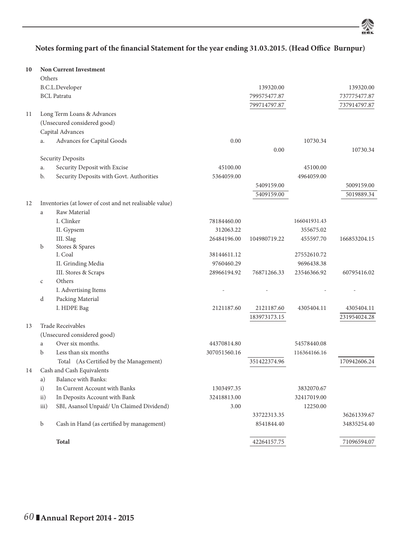烾

| 10 |              | <b>Non Current Investment</b>                           |              |              |              |              |
|----|--------------|---------------------------------------------------------|--------------|--------------|--------------|--------------|
|    | Others       |                                                         |              |              |              |              |
|    |              | B.C.L.Developer                                         |              | 139320.00    |              | 139320.00    |
|    |              | <b>BCL</b> Patratu                                      |              | 799575477.87 |              | 737775477.87 |
|    |              |                                                         |              | 799714797.87 |              | 737914797.87 |
| 11 |              | Long Term Loans & Advances                              |              |              |              |              |
|    |              | (Unsecured considered good)                             |              |              |              |              |
|    |              | Capital Advances                                        |              |              |              |              |
|    | a.           | Advances for Capital Goods                              | 0.00         |              | 10730.34     |              |
|    |              |                                                         |              | 0.00         |              | 10730.34     |
|    |              | Security Deposits                                       |              |              |              |              |
|    | a.           | Security Deposit with Excise                            | 45100.00     |              | 45100.00     |              |
|    | b.           | Security Deposits with Govt. Authorities                | 5364059.00   |              | 4964059.00   |              |
|    |              |                                                         |              | 5409159.00   |              | 5009159.00   |
|    |              |                                                         |              | 5409159.00   |              | 5019889.34   |
| 12 |              | Inventories (at lower of cost and net realisable value) |              |              |              |              |
|    | a            | Raw Material                                            |              |              |              |              |
|    |              | I. Clinker                                              | 78184460.00  |              | 166041931.43 |              |
|    |              | II. Gypsem                                              | 312063.22    |              | 355675.02    |              |
|    |              | III. Slag                                               | 26484196.00  | 104980719.22 | 455597.70    | 166853204.15 |
|    | b            | Stores & Spares                                         |              |              |              |              |
|    |              | I. Coal                                                 | 38144611.12  |              | 27552610.72  |              |
|    |              | II. Grinding Media                                      | 9760460.29   |              | 9696438.38   |              |
|    |              | III. Stores & Scraps                                    | 28966194.92  | 76871266.33  | 23546366.92  | 60795416.02  |
|    | $\mathsf{C}$ | Others                                                  |              |              |              |              |
|    |              | I. Advertising Items                                    |              |              |              |              |
|    | d            | Packing Material                                        |              |              |              |              |
|    |              | I. HDPE Bag                                             | 2121187.60   | 2121187.60   | 4305404.11   | 4305404.11   |
|    |              |                                                         |              | 183973173.15 |              | 231954024.28 |
| 13 |              | <b>Trade Receivables</b>                                |              |              |              |              |
|    |              | (Unsecured considered good)                             |              |              |              |              |
|    | a            | Over six months.                                        | 44370814.80  |              | 54578440.08  |              |
|    | $\mathbf b$  | Less than six months                                    | 307051560.16 |              | 116364166.16 |              |
|    |              | Total (As Certified by the Management)                  |              | 351422374.96 |              | 170942606.24 |
| 14 |              | Cash and Cash Equivalents                               |              |              |              |              |
|    | a)           | Balance with Banks:                                     |              |              |              |              |
|    | i)           | In Current Account with Banks                           | 1303497.35   |              | 3832070.67   |              |
|    | ii)          | In Deposits Account with Bank                           | 32418813.00  |              | 32417019.00  |              |
|    | iii)         | SBI, Asansol Unpaid/ Un Claimed Dividend)               | 3.00         |              | 12250.00     |              |
|    |              |                                                         |              | 33722313.35  |              | 36261339.67  |
|    | b            | Cash in Hand (as certified by management)               |              | 8541844.40   |              | 34835254.40  |
|    |              |                                                         |              |              |              |              |
|    |              | Total                                                   |              | 42264157.75  |              | 71096594.07  |
|    |              |                                                         |              |              |              |              |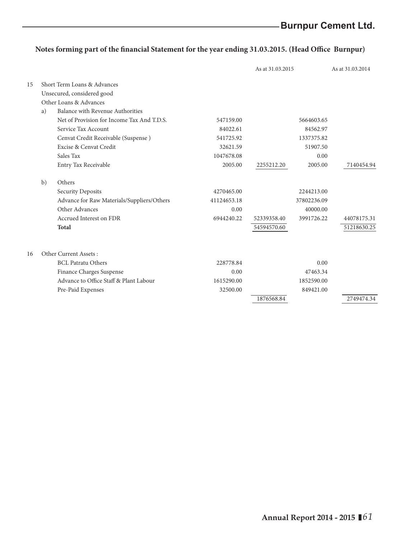|    |    |                                            |             | As at 31.03.2015 |             | As at 31.03.2014 |
|----|----|--------------------------------------------|-------------|------------------|-------------|------------------|
| 15 |    | Short Term Loans & Advances                |             |                  |             |                  |
|    |    | Unsecured, considered good                 |             |                  |             |                  |
|    |    | Other Loans & Advances                     |             |                  |             |                  |
|    | a) | Balance with Revenue Authorities           |             |                  |             |                  |
|    |    | Net of Provision for Income Tax And T.D.S. | 547159.00   |                  | 5664603.65  |                  |
|    |    | Service Tax Account                        | 84022.61    |                  | 84562.97    |                  |
|    |    | Cenvat Credit Receivable (Suspense)        | 541725.92   |                  | 1337375.82  |                  |
|    |    | Excise & Cenvat Credit                     | 32621.59    |                  | 51907.50    |                  |
|    |    | Sales Tax                                  | 1047678.08  |                  | 0.00        |                  |
|    |    | Entry Tax Receivable                       | 2005.00     | 2255212.20       | 2005.00     | 7140454.94       |
|    | b) | Others                                     |             |                  |             |                  |
|    |    | Security Deposits                          | 4270465.00  |                  | 2244213.00  |                  |
|    |    | Advance for Raw Materials/Suppliers/Others | 41124653.18 |                  | 37802236.09 |                  |
|    |    | Other Advances                             | 0.00        |                  | 40000.00    |                  |
|    |    | Accrued Interest on FDR                    | 6944240.22  | 52339358.40      | 3991726.22  | 44078175.31      |
|    |    | Total                                      |             | 54594570.60      |             | 51218630.25      |
| 16 |    | Other Current Assets:                      |             |                  |             |                  |
|    |    | <b>BCL Patratu Others</b>                  | 228778.84   |                  | 0.00        |                  |
|    |    | Finance Charges Suspense                   | 0.00        |                  | 47463.34    |                  |
|    |    | Advance to Office Staff & Plant Labour     | 1615290.00  |                  | 1852590.00  |                  |
|    |    | Pre-Paid Expenses                          | 32500.00    |                  | 849421.00   |                  |
|    |    |                                            |             | 1876568.84       |             | 2749474.34       |
|    |    |                                            |             |                  |             |                  |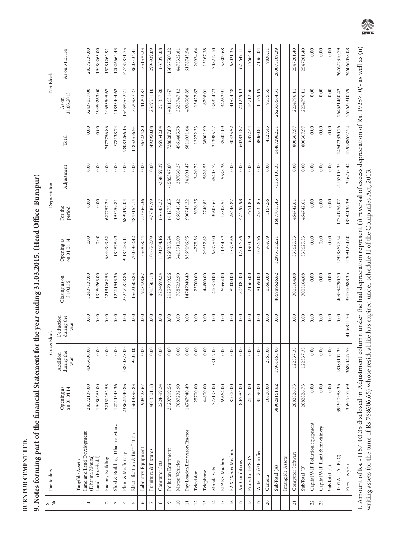**BURNPUR CEMENT LTD.**

| l<br>ſ<br>١                                      |
|--------------------------------------------------|
|                                                  |
| i                                                |
|                                                  |
|                                                  |
| ļ                                                |
| $\frac{1}{2}$ $\frac{1}{2}$<br>l                 |
|                                                  |
| រំ                                               |
|                                                  |
| j                                                |
|                                                  |
|                                                  |
|                                                  |
| $\vdots$                                         |
| l uie mianciai statement ior uie ye              |
|                                                  |
|                                                  |
|                                                  |
|                                                  |
|                                                  |
| I                                                |
|                                                  |
|                                                  |
|                                                  |
|                                                  |
|                                                  |
|                                                  |
|                                                  |
| j                                                |
|                                                  |
|                                                  |
| İ                                                |
|                                                  |
| ֖֖֖֖֖֖֖֖֖֖ׅ֪ׅ֖ׅ֪ׅ֖֧֪֪֪ׅ֚֚֚֚֚֚֚֚֚֚֚֚֚֚֚֚֚֚֚֚֬֝֝֓֞ |
| N<br>S                                           |
|                                                  |

| ದ <mark>ದ</mark>         | Particulars                                 |                                         |                                | Gross Block                     |                             |                             | Deprectaion       |               |              |                     | Net Block      |
|--------------------------|---------------------------------------------|-----------------------------------------|--------------------------------|---------------------------------|-----------------------------|-----------------------------|-------------------|---------------|--------------|---------------------|----------------|
|                          |                                             | $\frac{as}{14}$<br>Opening<br>on 01.04. | during the<br>Addition<br>year | during the<br>Deduction<br>year | Closing as on<br>$31.03.15$ | Opening as<br>on $01.04.14$ | For the<br>period | Adjustment    | Total        | 31.03.2015<br>As on | As on 31.03.14 |
|                          | Tangible Assets                             |                                         |                                |                                 |                             |                             |                   |               |              |                     |                |
| $\overline{ }$           | Land and Land Development<br>(Dharma Mouza) | 28372137.00                             | 4065000.00                     | 0.00                            | 32437137.00                 | $0.00\,$                    | 0.00              | 0.00          | 0.00         | 32437137.00         | 28372137.00    |
|                          | Land (Freehold)                             | 19480263.00                             | 0.00                           | 0.00                            | 19480263.00                 | 0.00                        | 0.00              | 0.00          | 0.00         | 19480263.00         | 19480263.00    |
| $\sim$                   | Factory Building                            | 22131262.53                             | 0.00                           | 0.00                            | 22131262.53                 | 6849999.62                  | 627757.24         | 0.00          | 7477756.86   | 14653505.67         | 15281262.91    |
| $\sim$                   | Shed & Building-Dharma Mouza                | 12211543.36                             | 0.00                           | 0.00                            | 12211543.36                 | 184878.93                   | 193259.81         | 0.00          | 378138.74    | 11833404.62         | 12026664.43    |
| 4                        | Plant & Machinery                           | 238621940.86                            | 13850878.00                    | 0.00                            | 252472818.86                | 91184069.11                 | 6899197.04        | 0.00          | 98083266.15  | 154389552.71        | 147437871.75   |
| LO.                      | Electrification & Installation              | 15613896.83                             | 9607.00                        | 0.00                            | 15623503.83                 | 7005362.42                  | 1847154.14        | 0.00          | 11852516.56  | 3770987.27          | 8608534.41     |
| $\circ$                  | Laboratry Equipment                         | .8.67<br>90842                          | 0.00                           | 0.00                            | 908428.67                   | 556858.44                   | 210366.36         | 0.00          | 767224.80    | 141203.87           | 351570.23      |
| $\overline{\phantom{a}}$ | Furniture & Fixtures                        | 4013501.18                              | 0.00                           | 0.00                            | 4013501.18                  | 1016562.09                  | 477387.99         | 0.00          | 1493950.08   | 2519551.10          | 2996939.09     |
| ${}^{\circ}$             | Computer Sets                               | 2224699.24                              | 0.00                           | 0.00                            | 2224699.24                  | 1591604.16                  | 636607.27         | 258869.39     | 1969342.04   | 255357.20           | 633095.08      |
| $\circ$                  | Pollution Equipment                         | 9.56<br>2129791                         | 0.00                           | 0.00                            | 21297919.56                 | 8260359.24                  | 611275.65         | $-1585347.00$ | 7286287.89   | 14011631.67         | .3037560.32    |
| $\Xi$                    | Motor Vehicles                              | 7887232.90                              | 0.00                           | 0.00                            | 7887232.90                  | 3413910.09                  | 860545.42         | 287030.27     | 1561485.78   | 3325747.12          | 4473322.81     |
| Ξ                        | Pay Loader/Excavator/Tractor                | 14747940.49                             | $0.00\,$                       | 0.00                            | 14747940.49                 | 8569196.95                  | 900743.22         | 341091.47     | 9811031.64   | 1936908.85          | 6178743.54     |
| $\overline{12}$          | Television                                  | 25700.00                                | 0.00                           | 0.00                            | 25700.00                    | 4775.36                     | 5076.25           | 2420.72       | 12272.33     | 13427.67            | 20924.64       |
| $\overline{13}$          | Telephone                                   | 44800.00                                | 0.00                           | 0.00                            | 44800.00                    | 29632.62                    | 2740.81           | 5628.55       | 38001.99     | 6798.01             | 15167.38       |
| 14                       | Mobile Sets                                 | 377193.00                               | 33117.00                       | 0.00                            | 410310.00                   | 68975.90                    | 99605.61          | 45403.77      | 213985.27    | 196324.73           | 308217.10      |
| 15                       | EPABX Machine                               | 69664.00                                | 0.00                           | 0.00                            | 69664.00                    | 11354.32                    | 18508.51          | 5538.26       | 35401.09     | 34262.91            | 58309.68       |
| $\overline{16}$          | FAX/Xerox Machine                           | 82000.00                                | 0.00                           | 0.00                            | 82000.00                    | 13978.65                    | 26446.87          | 0.00          | 40425.52     | 41574.48            | 68021.35       |
| $\overline{\phantom{a}}$ | Air Conditions                              | 804084.00                               | 0.00                           | 0.00                            | 804084.00                   | 178436.89                   | 424397.98         | 0.00          | 602834.87    | 201249.13           | 625647.11      |
| $18\,$                   | Projector EPSON                             | 21565.00                                | 0.00                           | 0.00                            | 21565.00                    | 1900.59                     | 4951.85           | 0.00          | 6852.44      | 14712.56            | 19664.41       |
| $\overline{19}$          | Water Tank/Purifier                         | 81590.00                                | 0.00                           | 0.00                            | 81590.00                    | 10226.96                    | 27833.85          | 0.00          | 38060.81     | 43529.19            | 71363.04       |
| $20\,$                   | Camera                                      | 10800.00                                | 2863.00                        | 0.00                            | 13663.00                    | 969.89                      | 3157.56           | 0.00          | 4127.45      | 9535.55             | 9830.11        |
|                          | SubTotal (A)                                | 389028161.62                            | 17961465.00                    | 0.00                            | 406989626.62                | 128953052.21                | 16877013.45       | $-1157103.35$ | 144672962.31 | 262316664.31        | 260075109.39   |
|                          | Intangible Assets                           |                                         |                                |                                 |                             |                             |                   |               |              |                     |                |
| $\overline{21}$          | Computer Software                           | 2882826.73                              | 122337.35                      | 0.00                            | 3005164.08                  | 335625.33                   | 464742.61         | 0.00          | 800367.97    | 2204796.11          | 2547201.40     |
|                          | SubTotal (B)                                | 2882826.73                              | 122337.35                      | 0.00                            | 3005164.08                  | 335625.33                   | 464742.61         | 0.00          | 800367.97    | 2204796.11          | 2547201.40     |
| 22                       | Capital WIP Pollution equipment             | $0.00\,$                                | 0.00                           | 0.00                            | $0.00$                      | $0.00$                      | 0.00              | 0.00          | 0.00         | 0.00                | 0.00           |
| $23\,$                   | Capital WIP Plant & machinery               | $0.00\,$                                | 0.00                           | 0.00                            | 0.00                        | $0.00\,$                    | $0.00$            | 0.00          | 0.00         | 0.00                | $0.00\,$       |
|                          | SubTotal (C)                                | $0.00\,$                                | 0.00                           | 0.00                            | 0.00                        | $0.00\,$                    | $0.00$            | 0.00          | 0.00         | 0.00                | $0.00$         |
|                          | TOTAL (A+B+C)                               | 391910988.35                            | 18083102.35                    | 0.00                            | 40994790.70                 | 129288677.54                | 17341756.07       | $-1157103.35$ | 145473330.26 | 264521460.42        | 262622310.79   |
|                          | Previous year                               | 35917352.69                             | 36870447.59                    | 4116811.93                      | 391910988.35                | 113091294.60                | 18394136.39       | 216753.44     | 129288677.54 | 262622310.79        | 246066058.08   |



writing assets (to the tune of Rs.768606.65) whose residual life has expired under schedule II of the Companies Act, 2013.

writing assets (to the tune of Rs.768606.65) whose residual life has expired under schedule II of the Companies Act, 2013.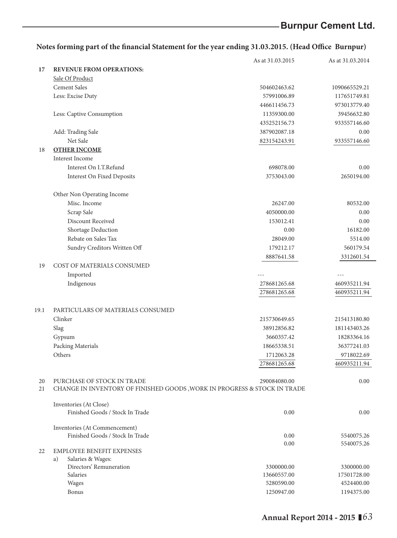|      |                                                                          | As at 31.03.2015 | As at 31.03.2014 |
|------|--------------------------------------------------------------------------|------------------|------------------|
| 17   | <b>REVENUE FROM OPERATIONS:</b>                                          |                  |                  |
|      | Sale Of Product                                                          |                  |                  |
|      | <b>Cement Sales</b>                                                      | 504602463.62     | 1090665529.21    |
|      | Less: Excise Duty                                                        | 57991006.89      | 117651749.81     |
|      |                                                                          | 446611456.73     | 973013779.40     |
|      | Less: Captive Consumption                                                | 11359300.00      | 39456632.80      |
|      |                                                                          | 435252156.73     | 933557146.60     |
|      | Add: Trading Sale                                                        | 387902087.18     | 0.00             |
|      | Net Sale                                                                 | 823154243.91     | 933557146.60     |
| 18   | <b>OTHER INCOME</b>                                                      |                  |                  |
|      | Interest Income                                                          |                  |                  |
|      | Interest On I.T.Refund                                                   | 698078.00        | 0.00             |
|      | <b>Interest On Fixed Deposits</b>                                        | 3753043.00       | 2650194.00       |
|      |                                                                          |                  |                  |
|      | Other Non Operating Income                                               |                  |                  |
|      | Misc. Income                                                             | 26247.00         | 80532.00         |
|      | Scrap Sale                                                               | 4050000.00       | 0.00             |
|      | Discount Received                                                        | 153012.41        | 0.00             |
|      | Shortage Deduction                                                       | 0.00             | 16182.00         |
|      | Rebate on Sales Tax                                                      | 28049.00         | 5514.00          |
|      | Sundry Creditors Written Off                                             | 179212.17        | 560179.54        |
|      |                                                                          | 8887641.58       | 3312601.54       |
| 19   | COST OF MATERIALS CONSUMED                                               |                  |                  |
|      | Imported                                                                 |                  |                  |
|      | Indigenous                                                               | 278681265.68     | 460935211.94     |
|      |                                                                          | 278681265.68     | 460935211.94     |
|      |                                                                          |                  |                  |
| 19.1 | PARTICULARS OF MATERIALS CONSUMED                                        |                  |                  |
|      | Clinker                                                                  | 215730649.65     | 215413180.80     |
|      | Slag                                                                     | 38912856.82      | 181143403.26     |
|      | Gypsum                                                                   | 3660357.42       | 18283364.16      |
|      | Packing Materials                                                        | 18665338.51      | 36377241.03      |
|      | Others                                                                   | 1712063.28       | 9718022.69       |
|      |                                                                          | 278681265.68     | 460935211.94     |
|      |                                                                          |                  |                  |
| 20   | PURCHASE OF STOCK IN TRADE                                               | 290084080.00     | 0.00             |
| 21   | CHANGE IN INVENTORY OF FINISHED GOODS, WORK IN PROGRESS & STOCK IN TRADE |                  |                  |
|      |                                                                          |                  |                  |
|      | Inventories (At Close)                                                   |                  |                  |
|      | Finished Goods / Stock In Trade                                          | 0.00             | 0.00             |
|      |                                                                          |                  |                  |
|      | Inventories (At Commencement)<br>Finished Goods / Stock In Trade         | 0.00             | 5540075.26       |
|      |                                                                          | 0.00             | 5540075.26       |
| 22   | <b>EMPLOYEE BENEFIT EXPENSES</b>                                         |                  |                  |
|      | a)<br>Salaries & Wages:                                                  |                  |                  |
|      | Directors' Remuneration                                                  | 3300000.00       | 3300000.00       |
|      | Salaries                                                                 | 13660557.00      | 17501728.00      |
|      | Wages                                                                    | 5280590.00       | 4524400.00       |
|      | Bonus                                                                    | 1250947.00       | 1194375.00       |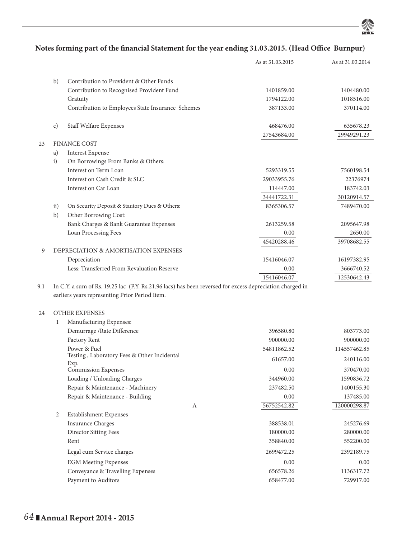

|     |               |                                                                                                          | As at 31.03.2015 | As at 31.03.2014 |
|-----|---------------|----------------------------------------------------------------------------------------------------------|------------------|------------------|
|     | b)            | Contribution to Provident & Other Funds                                                                  |                  |                  |
|     |               | Contribution to Recognised Provident Fund                                                                | 1401859.00       | 1404480.00       |
|     |               | Gratuity                                                                                                 | 1794122.00       | 1018516.00       |
|     |               | Contribution to Employees State Insurance Schemes                                                        | 387133.00        | 370114.00        |
|     |               |                                                                                                          |                  |                  |
|     | c)            | Staff Welfare Expenses                                                                                   | 468476.00        | 635678.23        |
|     |               |                                                                                                          | 27543684.00      | 29949291.23      |
| 23  |               | <b>FINANCE COST</b>                                                                                      |                  |                  |
|     | a)            | <b>Interest Expense</b>                                                                                  |                  |                  |
|     | i)            | On Borrowings From Banks & Others:                                                                       |                  |                  |
|     |               | Interest on Term Loan                                                                                    | 5293319.55       | 7560198.54       |
|     |               | Interest on Cash Credit & SLC                                                                            | 29033955.76      | 22376974         |
|     |               | Interest on Car Loan                                                                                     | 114447.00        | 183742.03        |
|     |               |                                                                                                          | 34441722.31      | 30120914.57      |
|     | $\mathbf{ii}$ | On Security Deposit & Stautory Dues & Others:                                                            | 8365306.57       | 7489470.00       |
|     | b)            | Other Borrowing Cost:                                                                                    |                  |                  |
|     |               | Bank Charges & Bank Guarantee Expenses                                                                   | 2613259.58       | 2095647.98       |
|     |               | Loan Processing Fees                                                                                     | 0.00             | 2650.00          |
|     |               |                                                                                                          | 45420288.46      | 39708682.55      |
| 9   |               | DEPRECIATION & AMORTISATION EXPENSES                                                                     |                  |                  |
|     |               | Depreciation                                                                                             | 15416046.07      | 16197382.95      |
|     |               | Less: Transferred From Revaluation Reserve                                                               | 0.00             | 3666740.52       |
|     |               |                                                                                                          | 15416046.07      | 12530642.43      |
| 9.1 |               | In C.Y. a sum of Rs. 19.25 lac (P.Y. Rs.21.96 lacs) has been reversed for excess depreciation charged in |                  |                  |
|     |               | earliers years representing Prior Period Item.                                                           |                  |                  |
|     |               |                                                                                                          |                  |                  |
| 24  |               | <b>OTHER EXPENSES</b>                                                                                    |                  |                  |
|     | 1             | Manufacturing Expenses:                                                                                  |                  |                  |
|     |               | Demurrage / Rate Difference                                                                              | 396580.80        | 803773.00        |
|     |               | Factory Rent                                                                                             | 900000.00        | 900000.00        |
|     |               | Power & Fuel<br>Testing, Laboratory Fees & Other Incidental                                              | 54811862.52      | 114557462.85     |
|     |               | Exp.                                                                                                     | 61657.00         | 240116.00        |
|     |               | <b>Commission Expenses</b>                                                                               | 0.00             | 370470.00        |
|     |               | Loading / Unloading Charges                                                                              | 344960.00        | 1590836.72       |
|     |               | Repair & Maintenance - Machinery                                                                         | 237482.50        | 1400155.30       |
|     |               | Repair & Maintenance - Building                                                                          | 0.00             | 137485.00        |
|     |               |                                                                                                          | 56752542.82<br>А | 120000298.87     |
|     | 2             | Establishment Expenses                                                                                   |                  |                  |
|     |               | <b>Insurance Charges</b>                                                                                 | 388538.01        | 245276.69        |
|     |               | <b>Director Sitting Fees</b>                                                                             | 180000.00        | 280000.00        |
|     |               | Rent                                                                                                     | 358840.00        | 552200.00        |
|     |               | Legal cum Service charges                                                                                | 2699472.25       | 2392189.75       |
|     |               | <b>EGM Meeting Expenses</b>                                                                              | 0.00             | 0.00             |
|     |               | Conveyance & Travelling Expenses                                                                         | 656578.26        | 1136317.72       |
|     |               | Payment to Auditors                                                                                      | 658477.00        | 729917.00        |
|     |               |                                                                                                          |                  |                  |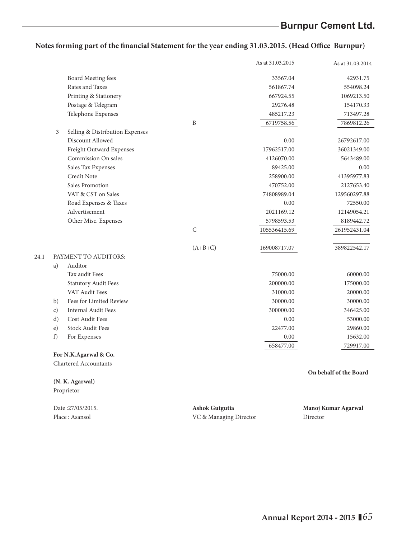|    |                                 |              | As at 31.03.2015 | As at 31.03.2014       |
|----|---------------------------------|--------------|------------------|------------------------|
|    | Board Meeting fees              |              | 33567.04         | 42931.75               |
|    | Rates and Taxes                 |              | 561867.74        | 554098.24              |
|    | Printing & Stationery           |              | 667924.55        | 1069213.50             |
|    | Postage & Telegram              |              | 29276.48         | 154170.33              |
|    | Telephone Expenses              |              | 485217.23        | 713497.28              |
|    |                                 | B            | 6719758.56       | 7869812.26             |
| 3  | Selling & Distribution Expenses |              |                  |                        |
|    | Discount Allowed                |              | 0.00             | 26792617.00            |
|    | Freight Outward Expenses        |              | 17962517.00      | 36021349.00            |
|    | Commission On sales             |              | 4126070.00       | 5643489.00             |
|    | Sales Tax Expenses              |              | 89425.00         | 0.00                   |
|    | Credit Note                     |              | 258900.00        | 41395977.83            |
|    | Sales Promotion                 |              | 470752.00        | 2127653.40             |
|    | VAT & CST on Sales              |              | 74808989.04      | 129560297.88           |
|    | Road Expenses & Taxes           |              | 0.00             | 72550.00               |
|    | Advertisement                   |              | 2021169.12       | 12149054.21            |
|    | Other Misc. Expenses            |              | 5798593.53       | 8189442.72             |
|    |                                 | $\mathsf{C}$ | 105536415.69     | 261952431.04           |
|    |                                 | $(A+B+C)$    | 169008717.07     | 389822542.17           |
|    | PAYMENT TO AUDITORS:            |              |                  |                        |
| a) | Auditor                         |              |                  |                        |
|    | Tax audit Fees                  |              | 75000.00         | 60000.00               |
|    | <b>Statutory Audit Fees</b>     |              | 200000.00        | 175000.00              |
|    | VAT Audit Fees                  |              | 31000.00         | 20000.00               |
| b) | Fees for Limited Review         |              | 30000.00         | 30000.00               |
| c) | Internal Audit Fees             |              | 300000.00        | 346425.00              |
| d) | <b>Cost Audit Fees</b>          |              | 0.00             | 53000.00               |
| e) | <b>Stock Audit Fees</b>         |              | 22477.00         | 29860.00               |
| f) | For Expenses                    |              | 0.00             | 15632.00               |
|    |                                 |              | 658477.00        | 729917.00              |
|    | For N.K.Agarwal & Co.           |              |                  |                        |
|    | Chartered Accountants           |              |                  |                        |
|    |                                 |              |                  | On behalf of the Board |
|    | (N. K. Agarwal)                 |              |                  |                        |
|    | Proprietor                      |              |                  |                        |
|    |                                 |              |                  |                        |

 $24.1$ 

| Date:27/05/2015. | Ashok Gutgutia         | Manoj Kumar Agarwal |
|------------------|------------------------|---------------------|
| Place: Asansol   | VC & Managing Director | Director            |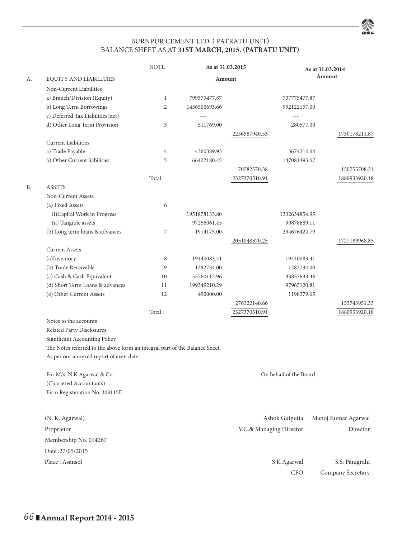## BURNPUR CEMENT LTD. ( PATRATU UNIT) BALANCE SHEET AS AT **31ST MARCH, 2015. (PATRATU UNIT)**

谷

|    |                                                                             | <b>NOTE</b>    |               | As at 31.03.2015        |                        | As at 31.03.2014    |
|----|-----------------------------------------------------------------------------|----------------|---------------|-------------------------|------------------------|---------------------|
| А. | EQUITY AND LIABILITIES                                                      |                |               | Amount                  |                        | Amount              |
|    | Non-Current Liabilities                                                     |                |               |                         |                        |                     |
|    | a) Branch/Division (Equity)                                                 | $\mathbf{1}$   | 799575477.87  |                         | 737775477.87           |                     |
|    | b) Long Term Borrowings                                                     | 2              | 1456500693.66 |                         | 992122157.00           |                     |
|    | c) Deferred Tax Liabilities(net)                                            |                | $- - -$       |                         | $- - -$                |                     |
|    | d) Other Long Term Provision                                                | 3              | 511769.00     |                         | 280577.00              |                     |
|    |                                                                             |                |               | 2256587940.53           |                        | 1730178211.87       |
|    | <b>Current Liabilities</b>                                                  |                |               |                         |                        |                     |
|    | a) Trade Payable                                                            | $\overline{4}$ | 4360389.93    |                         | 3674214.64             |                     |
|    | b) Other Current liabilities                                                | 5              | 66422180.45   |                         | 147081493.67           |                     |
|    |                                                                             |                |               | 70782570.38             |                        | 150755708.31        |
|    |                                                                             | Total:         |               | 2327370510.91           |                        | 1880933920.18       |
| В. | <b>ASSETS</b>                                                               |                |               |                         |                        |                     |
|    | Non-Current Assets                                                          |                |               |                         |                        |                     |
|    | (a) Fixed Assets                                                            | 6              |               |                         |                        |                     |
|    | (i)Capital Work in Progress                                                 |                | 1951878133.80 |                         | 1332634854.95          |                     |
|    | (ii) Tangible assets                                                        |                | 97256061.45   |                         | 99878689.11            |                     |
|    | (b) Long term loans & advances                                              | 7              | 1914175.00    |                         | 294676424.79           |                     |
|    |                                                                             |                |               | 2051048370.25           |                        | 1727189968.85       |
|    | <b>Current Assets</b>                                                       |                |               |                         |                        |                     |
|    | (a)Inventory                                                                | 8              | 19440083.41   |                         | 19440083.41            |                     |
|    | (b) Trade Receivable                                                        | 9              | 1282734.00    |                         | 1282734.00             |                     |
|    | (c) Cash & Cash Equivalent                                                  | 10             | 55760112.96   |                         | 33857633.46            |                     |
|    | (d) Short Term Loans & advances                                             | 11             | 199349210.29  |                         | 97965120.81            |                     |
|    | (e) Other Current Assets                                                    | 12             | 490000.00     |                         | 1198379.65             |                     |
|    |                                                                             |                |               | 276322140.66            |                        | 153743951.33        |
|    |                                                                             | Total:         |               | 2327370510.91           |                        | 1880933920.18       |
|    | Notes to the accounts                                                       |                |               |                         |                        |                     |
|    | Related Party Disclosures                                                   |                |               |                         |                        |                     |
|    | Significant Accounting Policy                                               |                |               |                         |                        |                     |
|    | The Notes referred to the above form an integral part of the Balance Sheet. |                |               |                         |                        |                     |
|    | As per our annexed report of even date                                      |                |               |                         |                        |                     |
|    |                                                                             |                |               |                         |                        |                     |
|    | For M/s. N.K.Agarwal & Co.                                                  |                |               |                         | On behalf of the Board |                     |
|    | (Chartered Accountants)                                                     |                |               |                         |                        |                     |
|    | Firm Registeration No. 308115E                                              |                |               |                         |                        |                     |
|    | (N. K. Agarwal)                                                             |                |               |                         | Ashok Gutgutia         | Manoj Kumar Agarwal |
|    | Proprietor                                                                  |                |               | V.C.& Managing Director |                        | Director            |
|    | Membership No. 014267                                                       |                |               |                         |                        |                     |
|    | Date:27/05/2015                                                             |                |               |                         |                        |                     |
|    | Place: Asansol                                                              |                |               |                         | S K Agarwal            | S.S. Panigrahi      |
|    |                                                                             |                |               |                         | CFO                    | Company Secretary   |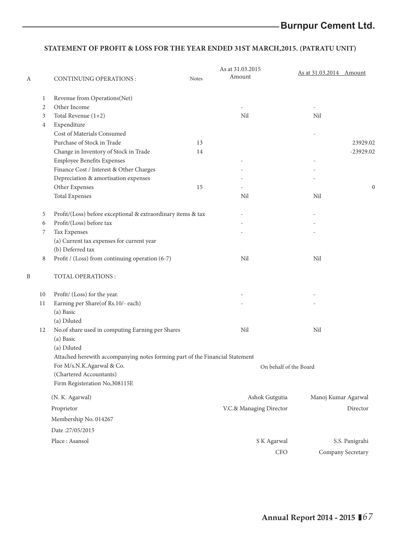## **STATEMENT OF PROFIT & LOSS FOR THE YEAR ENDED 31ST MARCH,2015. (PATRATU UNIT)**

| $\mathbf{1}$<br>Revenue from Operations(Net)<br>$\overline{2}$<br>Other Income<br>$\overline{3}$<br>Total Revenue $(1+2)$<br>Nil<br>Nil<br>$\overline{4}$<br>Expenditure<br>Cost of Materials Consumed<br>Purchase of Stock in Trade<br>13<br>Change in Inventory of Stock in Trade<br>14<br>Employee Benefits Expenses<br>Finance Cost / Interest & Other Charges<br>Depreciation & amortisation expenses<br>Other Expenses<br>15<br>Nil<br><b>Total Expenses</b><br>Nil<br>5<br>Profit/(Loss) before exceptional & extraordinary items & tax<br>6<br>Profit/(Loss) before tax<br>7<br>Tax Expenses<br>(a) Current tax expenses for current year<br>(b) Deferred tax<br>Profit / (Loss) from continuing operation (6-7)<br>Nil<br>Nil<br>8<br>B<br>TOTAL OPERATIONS:<br>10<br>Profit/ (Loss) for the year.<br>Earning per Share(of Rs.10/- each)<br>11<br>(a) Basic<br>(a) Diluted<br>No.of share used in computing Earning per Shares<br>Nil<br>Nil<br>12<br>(a) Basic<br>(a) Diluted<br>Attached herewith accompanying notes forming part of the Financial Statement<br>For M/s.N.K.Agarwal & Co.<br>On behalf of the Board<br>(Chartered Accountants)<br>Firm Registeration No, 308115E<br>(N. K. Agarwal)<br>Ashok Gutgutia<br>Proprietor<br>V.C.& Managing Director<br>Membership No. 014267<br>Date:27/05/2015 | A | <b>CONTINUING OPERATIONS:</b> | <b>Notes</b> | As at 31.03.2015<br>Amount | As at 31.03.2014 Amount |                     |
|-----------------------------------------------------------------------------------------------------------------------------------------------------------------------------------------------------------------------------------------------------------------------------------------------------------------------------------------------------------------------------------------------------------------------------------------------------------------------------------------------------------------------------------------------------------------------------------------------------------------------------------------------------------------------------------------------------------------------------------------------------------------------------------------------------------------------------------------------------------------------------------------------------------------------------------------------------------------------------------------------------------------------------------------------------------------------------------------------------------------------------------------------------------------------------------------------------------------------------------------------------------------------------------------------------------------------|---|-------------------------------|--------------|----------------------------|-------------------------|---------------------|
|                                                                                                                                                                                                                                                                                                                                                                                                                                                                                                                                                                                                                                                                                                                                                                                                                                                                                                                                                                                                                                                                                                                                                                                                                                                                                                                       |   |                               |              |                            |                         |                     |
|                                                                                                                                                                                                                                                                                                                                                                                                                                                                                                                                                                                                                                                                                                                                                                                                                                                                                                                                                                                                                                                                                                                                                                                                                                                                                                                       |   |                               |              |                            |                         |                     |
|                                                                                                                                                                                                                                                                                                                                                                                                                                                                                                                                                                                                                                                                                                                                                                                                                                                                                                                                                                                                                                                                                                                                                                                                                                                                                                                       |   |                               |              |                            |                         |                     |
|                                                                                                                                                                                                                                                                                                                                                                                                                                                                                                                                                                                                                                                                                                                                                                                                                                                                                                                                                                                                                                                                                                                                                                                                                                                                                                                       |   |                               |              |                            |                         |                     |
|                                                                                                                                                                                                                                                                                                                                                                                                                                                                                                                                                                                                                                                                                                                                                                                                                                                                                                                                                                                                                                                                                                                                                                                                                                                                                                                       |   |                               |              |                            |                         |                     |
|                                                                                                                                                                                                                                                                                                                                                                                                                                                                                                                                                                                                                                                                                                                                                                                                                                                                                                                                                                                                                                                                                                                                                                                                                                                                                                                       |   |                               |              |                            |                         | 23929.02            |
|                                                                                                                                                                                                                                                                                                                                                                                                                                                                                                                                                                                                                                                                                                                                                                                                                                                                                                                                                                                                                                                                                                                                                                                                                                                                                                                       |   |                               |              |                            |                         | $-23929.02$         |
|                                                                                                                                                                                                                                                                                                                                                                                                                                                                                                                                                                                                                                                                                                                                                                                                                                                                                                                                                                                                                                                                                                                                                                                                                                                                                                                       |   |                               |              |                            |                         |                     |
|                                                                                                                                                                                                                                                                                                                                                                                                                                                                                                                                                                                                                                                                                                                                                                                                                                                                                                                                                                                                                                                                                                                                                                                                                                                                                                                       |   |                               |              |                            |                         |                     |
|                                                                                                                                                                                                                                                                                                                                                                                                                                                                                                                                                                                                                                                                                                                                                                                                                                                                                                                                                                                                                                                                                                                                                                                                                                                                                                                       |   |                               |              |                            |                         |                     |
|                                                                                                                                                                                                                                                                                                                                                                                                                                                                                                                                                                                                                                                                                                                                                                                                                                                                                                                                                                                                                                                                                                                                                                                                                                                                                                                       |   |                               |              |                            |                         | $\mathbf{0}$        |
|                                                                                                                                                                                                                                                                                                                                                                                                                                                                                                                                                                                                                                                                                                                                                                                                                                                                                                                                                                                                                                                                                                                                                                                                                                                                                                                       |   |                               |              |                            |                         |                     |
|                                                                                                                                                                                                                                                                                                                                                                                                                                                                                                                                                                                                                                                                                                                                                                                                                                                                                                                                                                                                                                                                                                                                                                                                                                                                                                                       |   |                               |              |                            |                         |                     |
|                                                                                                                                                                                                                                                                                                                                                                                                                                                                                                                                                                                                                                                                                                                                                                                                                                                                                                                                                                                                                                                                                                                                                                                                                                                                                                                       |   |                               |              |                            |                         |                     |
|                                                                                                                                                                                                                                                                                                                                                                                                                                                                                                                                                                                                                                                                                                                                                                                                                                                                                                                                                                                                                                                                                                                                                                                                                                                                                                                       |   |                               |              |                            |                         |                     |
|                                                                                                                                                                                                                                                                                                                                                                                                                                                                                                                                                                                                                                                                                                                                                                                                                                                                                                                                                                                                                                                                                                                                                                                                                                                                                                                       |   |                               |              |                            |                         |                     |
|                                                                                                                                                                                                                                                                                                                                                                                                                                                                                                                                                                                                                                                                                                                                                                                                                                                                                                                                                                                                                                                                                                                                                                                                                                                                                                                       |   |                               |              |                            |                         |                     |
|                                                                                                                                                                                                                                                                                                                                                                                                                                                                                                                                                                                                                                                                                                                                                                                                                                                                                                                                                                                                                                                                                                                                                                                                                                                                                                                       |   |                               |              |                            |                         |                     |
|                                                                                                                                                                                                                                                                                                                                                                                                                                                                                                                                                                                                                                                                                                                                                                                                                                                                                                                                                                                                                                                                                                                                                                                                                                                                                                                       |   |                               |              |                            |                         |                     |
|                                                                                                                                                                                                                                                                                                                                                                                                                                                                                                                                                                                                                                                                                                                                                                                                                                                                                                                                                                                                                                                                                                                                                                                                                                                                                                                       |   |                               |              |                            |                         |                     |
|                                                                                                                                                                                                                                                                                                                                                                                                                                                                                                                                                                                                                                                                                                                                                                                                                                                                                                                                                                                                                                                                                                                                                                                                                                                                                                                       |   |                               |              |                            |                         |                     |
|                                                                                                                                                                                                                                                                                                                                                                                                                                                                                                                                                                                                                                                                                                                                                                                                                                                                                                                                                                                                                                                                                                                                                                                                                                                                                                                       |   |                               |              |                            |                         |                     |
|                                                                                                                                                                                                                                                                                                                                                                                                                                                                                                                                                                                                                                                                                                                                                                                                                                                                                                                                                                                                                                                                                                                                                                                                                                                                                                                       |   |                               |              |                            |                         |                     |
|                                                                                                                                                                                                                                                                                                                                                                                                                                                                                                                                                                                                                                                                                                                                                                                                                                                                                                                                                                                                                                                                                                                                                                                                                                                                                                                       |   |                               |              |                            |                         |                     |
|                                                                                                                                                                                                                                                                                                                                                                                                                                                                                                                                                                                                                                                                                                                                                                                                                                                                                                                                                                                                                                                                                                                                                                                                                                                                                                                       |   |                               |              |                            |                         |                     |
|                                                                                                                                                                                                                                                                                                                                                                                                                                                                                                                                                                                                                                                                                                                                                                                                                                                                                                                                                                                                                                                                                                                                                                                                                                                                                                                       |   |                               |              |                            |                         |                     |
|                                                                                                                                                                                                                                                                                                                                                                                                                                                                                                                                                                                                                                                                                                                                                                                                                                                                                                                                                                                                                                                                                                                                                                                                                                                                                                                       |   |                               |              |                            |                         |                     |
|                                                                                                                                                                                                                                                                                                                                                                                                                                                                                                                                                                                                                                                                                                                                                                                                                                                                                                                                                                                                                                                                                                                                                                                                                                                                                                                       |   |                               |              |                            |                         |                     |
|                                                                                                                                                                                                                                                                                                                                                                                                                                                                                                                                                                                                                                                                                                                                                                                                                                                                                                                                                                                                                                                                                                                                                                                                                                                                                                                       |   |                               |              |                            |                         |                     |
|                                                                                                                                                                                                                                                                                                                                                                                                                                                                                                                                                                                                                                                                                                                                                                                                                                                                                                                                                                                                                                                                                                                                                                                                                                                                                                                       |   |                               |              |                            |                         |                     |
|                                                                                                                                                                                                                                                                                                                                                                                                                                                                                                                                                                                                                                                                                                                                                                                                                                                                                                                                                                                                                                                                                                                                                                                                                                                                                                                       |   |                               |              |                            |                         | Manoj Kumar Agarwal |
|                                                                                                                                                                                                                                                                                                                                                                                                                                                                                                                                                                                                                                                                                                                                                                                                                                                                                                                                                                                                                                                                                                                                                                                                                                                                                                                       |   |                               |              |                            |                         | Director            |
|                                                                                                                                                                                                                                                                                                                                                                                                                                                                                                                                                                                                                                                                                                                                                                                                                                                                                                                                                                                                                                                                                                                                                                                                                                                                                                                       |   |                               |              |                            |                         |                     |
|                                                                                                                                                                                                                                                                                                                                                                                                                                                                                                                                                                                                                                                                                                                                                                                                                                                                                                                                                                                                                                                                                                                                                                                                                                                                                                                       |   |                               |              |                            |                         |                     |
| Place: Asansol<br>S K Agarwal                                                                                                                                                                                                                                                                                                                                                                                                                                                                                                                                                                                                                                                                                                                                                                                                                                                                                                                                                                                                                                                                                                                                                                                                                                                                                         |   |                               |              |                            |                         | S.S. Panigrahi      |
| <b>CFO</b>                                                                                                                                                                                                                                                                                                                                                                                                                                                                                                                                                                                                                                                                                                                                                                                                                                                                                                                                                                                                                                                                                                                                                                                                                                                                                                            |   |                               |              |                            |                         | Company Secretary   |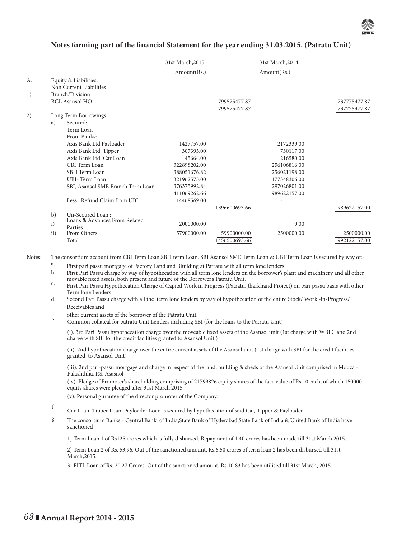## Notes forming part of the financial Statement for the year ending 31.03.2015. (Patratu Unit)

|    |     |                                                  | 31st March, 2015 |               | 31st March, 2014 |              |
|----|-----|--------------------------------------------------|------------------|---------------|------------------|--------------|
|    |     |                                                  | Amount(Rs.)      |               | Amount(Rs.)      |              |
| A. |     | Equity & Liabilities:<br>Non Current Liabilities |                  |               |                  |              |
| 1) |     | Branch/Division                                  |                  |               |                  |              |
|    |     | <b>BCL Asansol HO</b>                            |                  | 799575477.87  |                  | 737775477.87 |
|    |     |                                                  |                  | 799575477.87  |                  | 737775477.87 |
| 2) |     | Long Term Borrowings                             |                  |               |                  |              |
|    | a)  | Secured:                                         |                  |               |                  |              |
|    |     | Term Loan                                        |                  |               |                  |              |
|    |     | From Banks:                                      |                  |               |                  |              |
|    |     | Axis Bank Ltd.Payloader                          | 1427757.00       |               | 2172339.00       |              |
|    |     | Axis Bank Ltd. Tipper                            | 307395.00        |               | 730117.00        |              |
|    |     | Axis Bank Ltd. Car Loan                          | 45664.00         |               | 216580.00        |              |
|    |     | CBI Term Loan                                    | 322898202.00     |               | 256106816.00     |              |
|    |     | SBH Term Loan                                    | 388051676.82     |               | 256021198.00     |              |
|    |     | UBI-Term Loan                                    | 321962575.00     |               | 177348306.00     |              |
|    |     | SBI, Asansol SME Branch Term Loan                | 376375992.84     |               | 297026801.00     |              |
|    |     |                                                  | 1411069262.66    |               | 989622157.00     |              |
|    |     | Less: Refund Claim from UBI                      | 14468569.00      |               |                  |              |
|    |     |                                                  |                  | 1396600693.66 |                  | 989622157.00 |
|    | b)  | Un-Secured Loan:                                 |                  |               |                  |              |
|    | i)  | Loans & Advances From Related<br>Parties         | 2000000.00       |               | 0.00             |              |
|    | ii) | From Others                                      | 57900000.00      | 59900000.00   | 2500000.00       | 2500000.00   |
|    |     | Total                                            |                  | 1456500693.66 |                  | 992122157.00 |

Notes: The consortium account from CBI Term Loan,SBH term Loan, SBI Asansol SME Term Loan & UBI Term Loan is secured by way of:-

- a. First pari passu mortgage of Factory Land and Biuilding at Patratu with all term lone lenders.
- b. First Pari Passu charge by way of hypothecation with all term lone lenders on the borrower's plant and machinery and all other
- c. First Pari Passu Hypothecation Charge of Capital Work in Progress (Patratu, Jharkhand Project) on pari passu basis with other Term lone Lenders
- d. Second Pari Passu charge with all the term lone lenders by way of hypothecation of the entire Stock/ Work -in-Progress/ Receivables and

other current assets of the borrower of the Patratu Unit.<br>
e. Common collateal for patratu Unit Lenders including SBI (for the loans to the Patratu Unit)

(i). 3rd Pari Passu hypothecation charge over the moveable fixed assets of the Asansol unit (1st charge with WBFC and 2nd charge with SBI for the credit facilities granted to Asansol Unit.)

(ii). 2nd hypothecation charge over the entire current assets of the Asansol unit (1st charge with SBI for the credit facilities granted to Asansol Unit)

(iii). 2nd pari-passu mortgage and charge in respect of the land, building & sheds of the Asansol Unit comprised in Mouza - Palashdiha, P.S. Asasnol

(iv). Pledge of Promoter's shareholding comprising of 21799826 equity shares of the face value of Rs.10 each; of which 150000 equity shares were pledged after 31st March, 2015

(v). Personal gurantee of the director promoter of the Company.

- <sup>f</sup> Car Loan, Tipper Loan, Payloader Loan is secured by hypothecation of said Car, Tipper & Payloader.
- g Th e consortium Banks:- Central Bank of India,State Bank of Hyderabad,State Bank of India & United Bank of India have sanctioned

1] Term Loan 1 of Rs125 crores which is fully disbursed. Repayment of 1.40 crores has been made till 31st March,2015.

2] Term Loan 2 of Rs. 53.96. Out of the sanctioned amount, Rs.6.50 crores of term loan 2 has been disbursed till 31st March,2015.

3] FITL Loan of Rs. 20.27 Crores. Out of the sanctioned amount, Rs.10.83 has been utilised till 31st March, 2015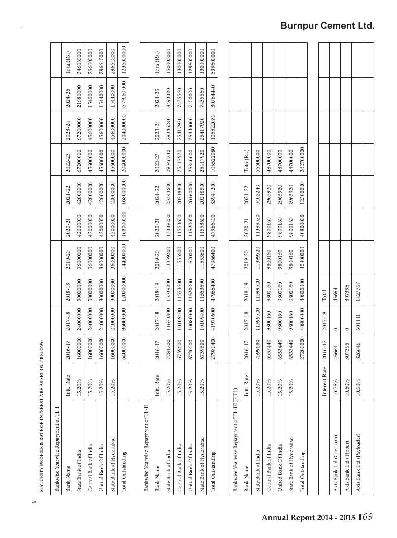| Bankwise Yearwise Repayment of TL-I       |               |          |          |           |           |             |             |                                            |           |             |            |
|-------------------------------------------|---------------|----------|----------|-----------|-----------|-------------|-------------|--------------------------------------------|-----------|-------------|------------|
| <b>Bank Name</b>                          | Intt. Rate    | 2016-17  | 2017-18  | 2018-19   | 2019-20   | 2020-21     | 2021-22     | 2022-23                                    | 2023-24   | 2024-25     | Total(Rs.) |
| State Bank of India                       | 15.20%        | 16000000 | 24000000 | 30000000  | 36000000  | 42000000    | 42000000    | 67200000                                   | 67200000  | 21680000    | 346080000  |
| Central Bank of India                     | 15.20%        | 16000000 | 24000000 | 30000000  | 36000000  | 42000000    | 42000000    | 45600000                                   | 45600000  | 15400000    | 296600000  |
| United Bank Of India                      | 15.20%        | 16000000 | 24000000 | 30000000  | 36000000  | 42000000    | 42000000    | 45600000                                   | 45600000  | 15440000    | 296640000  |
| State Bank of Hyderabad                   | 15.20%        | 16000000 | 24000000 | 30000000  | 36000000  | 42000000    | 42000000    | 45600000                                   | 45600000  | 15440000    | 296640000  |
| Total Outstanding                         |               | 64000000 | 96000000 | 120000000 | 144000000 | 168000000   | 168000000   | 204000000                                  | 204000000 | 6.79.60.000 | 1236000000 |
|                                           |               |          |          |           |           |             |             |                                            |           |             |            |
| Bankwise Yearwise Repayment of TL-II      |               |          |          |           |           |             |             |                                            |           |             |            |
| <b>Bank Name</b>                          | Intt. Rate    | 2016-17  | 2017-18  | 2018-19   | 2019-20   | $2020 - 21$ | $2021 - 22$ | 2022-23                                    | 2023-24   | 2024-25     | Total(Rs.) |
| State Bank of India                       | 15.20%        | 7781200  | 11671800 | 13339200  | 13339200  | 13339200    | 23343600    | 29346240                                   | 29346240  | 8493320     | 150000000  |
| Central Bank of India                     | 15.20%        | 6739600  | 10109400 | 11553600  | 11553600  | 11553600    | 20218800    | 25417920                                   | 25417920  | 7435560     | 130000000  |
| United Bank Of India                      | 15.20%        | 6720000  | 10080000 | 11520000  | 11520000  | 11520000    | 20160000    | 25340000                                   | 25340000  | 7400000     | 129600000  |
| State Bank of Hyderabad                   | 15.20%        | 6739600  | 10109400 | 11553600  | 11553600  | 11553600    | 20218800    | 25417920                                   | 25417920  | 7435560     | 130000000  |
| Total Outstanding                         |               | 27980400 | 41970600 | 47966400  | 47966400  | 47966400    | 83941200    | 105522080                                  | 105522080 | 30764440    | 539600000  |
|                                           |               |          |          |           |           |             |             |                                            |           |             |            |
| Bankwise Yearwise Repayment of TL-III(FIT | $\Box$        |          |          |           |           |             |             |                                            |           |             |            |
| <b>Bank Name</b>                          | Intt. Rate    | 2016-17  | 2017-18  | 2018-19   | 2019-20   | 2020-21     | $2021 - 22$ | $\operatorname{Total}(\operatorname{Rs.})$ |           |             |            |
| State Bank of India                       | 15.20%        | 7599680  | 11399520 | 11399520  | 11399520  | 11399520    | 3402240     | 56600000                                   |           |             |            |
| Central Bank of India                     | 15.20%        | 6533440  | 9800160  | 9800160   | 9800160   | 9800160     | 2965920     | 48700000                                   |           |             |            |
| United Bank Of India                      | 15.20%        | 6533440  | 9800160  | 9800160   | 9800160   | 9800160     | 2965920     | 48700000                                   |           |             |            |
| State Bank of Hyderabad                   | 15.20%        | 6533440  | 9800160  | 9800160   | 9800160   | 9800160     | 2965920     | 48700000                                   |           |             |            |
| Total Outstanding                         |               | 27200000 | 40800000 | 40800000  | 40800000  | 4080000     | 12300000    | 202700000                                  |           |             |            |
|                                           |               |          |          |           |           |             |             |                                            |           |             |            |
|                                           | Interest Rate | 2016-17  | 2017-18  | Total     |           |             |             |                                            |           |             |            |
| Axis Bank Ltd (Car Loan)                  | 10.75%        | 45664    | $\circ$  | 45664     |           |             |             |                                            |           |             |            |
| Axis Bank Ltd (Tipper)                    | 10.50%        | 307395   | $\circ$  | 307395    |           |             |             |                                            |           |             |            |
| Axis Bank Ltd (Payloader)                 | 10.50%        | 826646   | 601111   | 1427757   |           |             |             |                                            |           |             |            |
|                                           |               |          |          |           |           |             |             |                                            |           |             |            |

MATURITY PROFILE & RATE OF INTEREST ARE AS SET OUT BELOW:-**MATURITY PROFILE & RATE OF INTEREST ARE AS SET OUT BELOW:-**

-Burnpur Cement Ltd.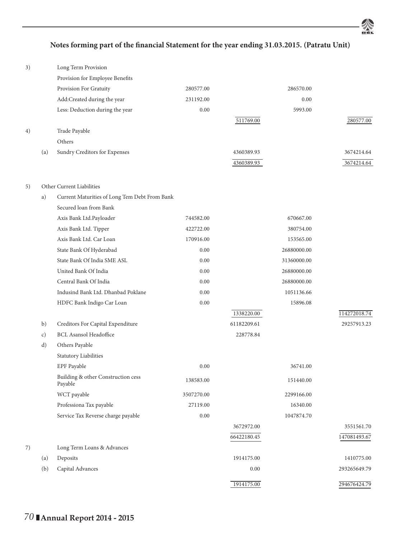

## Notes forming part of the financial Statement for the year ending 31.03.2015. (Patratu Unit)

| 3) |     | Long Term Provision                           |            |             |             |              |
|----|-----|-----------------------------------------------|------------|-------------|-------------|--------------|
|    |     | Provision for Employee Benefits               |            |             |             |              |
|    |     | Provision For Gratuity                        | 280577.00  |             | 286570.00   |              |
|    |     | Add:Created during the year                   | 231192.00  |             | 0.00        |              |
|    |     | Less: Deduction during the year               | 0.00       |             | 5993.00     |              |
|    |     |                                               |            | 511769.00   |             | 280577.00    |
| 4) |     | Trade Payable                                 |            |             |             |              |
|    |     | Others                                        |            |             |             |              |
|    | (a) | Sundry Creditors for Expenses                 |            | 4360389.93  |             | 3674214.64   |
|    |     |                                               |            | 4360389.93  |             | 3674214.64   |
| 5) |     | Other Current Liabilities                     |            |             |             |              |
|    | a)  | Current Maturities of Long Tem Debt From Bank |            |             |             |              |
|    |     | Secured loan from Bank                        |            |             |             |              |
|    |     | Axis Bank Ltd.Payloader                       | 744582.00  |             | 670667.00   |              |
|    |     | Axis Bank Ltd. Tipper                         | 422722.00  |             | 380754.00   |              |
|    |     | Axis Bank Ltd. Car Loan                       | 170916.00  |             | 153565.00   |              |
|    |     | State Bank Of Hyderabad                       | 0.00       |             | 26880000.00 |              |
|    |     | State Bank Of India SME ASL                   | 0.00       |             | 31360000.00 |              |
|    |     | United Bank Of India                          | 0.00       |             | 26880000.00 |              |
|    |     | Central Bank Of India                         | 0.00       |             | 26880000.00 |              |
|    |     | Indusind Bank Ltd. Dhanbad Poklane            | 0.00       |             | 1051136.66  |              |
|    |     | HDFC Bank Indigo Car Loan                     | 0.00       |             | 15896.08    |              |
|    |     |                                               |            | 1338220.00  |             | 114272018.74 |
|    | b)  | Creditors For Capital Expenditure             |            | 61182209.61 |             | 29257913.23  |
|    | c)  | <b>BCL Asansol Headoffice</b>                 |            | 228778.84   |             |              |
|    | d)  | Others Payable                                |            |             |             |              |
|    |     | Statutory Liabilities                         |            |             |             |              |
|    |     | EPF Payable                                   | 0.00       |             | 36741.00    |              |
|    |     | Building & other Construction cess<br>Payable | 138583.00  |             | 151440.00   |              |
|    |     | WCT payable                                   | 3507270.00 |             | 2299166.00  |              |
|    |     | Professiona Tax payable                       | 27119.00   |             | 16340.00    |              |
|    |     | Service Tax Reverse charge payable            | 0.00       |             | 1047874.70  |              |
|    |     |                                               |            | 3672972.00  |             | 3551561.70   |
|    |     |                                               |            | 66422180.45 |             | 147081493.67 |
| 7) |     | Long Term Loans & Advances                    |            |             |             |              |
|    | (a) | Deposits                                      |            | 1914175.00  |             | 1410775.00   |
|    | (b) | Capital Advances                              |            | $0.00\,$    |             | 293265649.79 |
|    |     |                                               |            | 1914175.00  |             | 294676424.79 |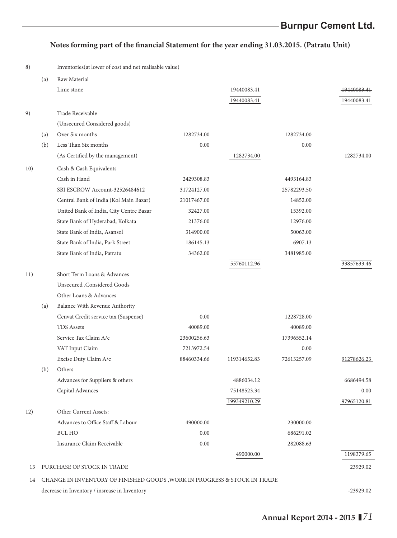# Notes forming part of the financial Statement for the year ending 31.03.2015. (Patratu Unit)

8) Inventories(at lower of cost and net realisable value)

|     | (a) | Raw Material                                                                 |             |              |             |             |
|-----|-----|------------------------------------------------------------------------------|-------------|--------------|-------------|-------------|
|     |     | Lime stone                                                                   |             | 19440083.41  |             | 19440083.41 |
|     |     |                                                                              |             | 19440083.41  |             | 19440083.41 |
| 9)  |     | Trade Receivable                                                             |             |              |             |             |
|     |     | (Unsecured Considered goods)                                                 |             |              |             |             |
|     | (a) | Over Six months                                                              | 1282734.00  |              | 1282734.00  |             |
|     | (b) | Less Than Six months                                                         | 0.00        |              | 0.00        |             |
|     |     | (As Certified by the management)                                             |             | 1282734.00   |             | 1282734.00  |
| 10) |     | Cash & Cash Equivalents                                                      |             |              |             |             |
|     |     | Cash in Hand                                                                 | 2429308.83  |              | 4493164.83  |             |
|     |     | SBI ESCROW Account-32526484612                                               | 31724127.00 |              | 25782293.50 |             |
|     |     | Central Bank of India (Kol Main Bazar)                                       | 21017467.00 |              | 14852.00    |             |
|     |     | United Bank of India, City Centre Bazar                                      | 32427.00    |              | 15392.00    |             |
|     |     | State Bank of Hyderabad, Kolkata                                             | 21376.00    |              | 12976.00    |             |
|     |     | State Bank of India, Asansol                                                 | 314900.00   |              | 50063.00    |             |
|     |     | State Bank of India, Park Street                                             | 186145.13   |              | 6907.13     |             |
|     |     | State Bank of India, Patratu                                                 | 34362.00    |              | 3481985.00  |             |
|     |     |                                                                              |             | 55760112.96  |             | 33857633.46 |
| 11) |     | Short Term Loans & Advances                                                  |             |              |             |             |
|     |     | <b>Unsecured</b> , Considered Goods                                          |             |              |             |             |
|     |     | Other Loans & Advances                                                       |             |              |             |             |
|     | (a) | Balance With Revenue Authority                                               |             |              |             |             |
|     |     | Cenvat Credit service tax (Suspense)                                         | 0.00        |              | 1228728.00  |             |
|     |     | <b>TDS Assets</b>                                                            | 40089.00    |              | 40089.00    |             |
|     |     | Service Tax Claim A/c                                                        | 23600256.63 |              | 17396552.14 |             |
|     |     | VAT Input Claim                                                              | 7213972.54  |              | 0.00        |             |
|     |     | Excise Duty Claim A/c                                                        | 88460334.66 | 119314652.83 | 72613257.09 | 91278626.23 |
|     | (b) | Others                                                                       |             |              |             |             |
|     |     | Advances for Suppliers & others                                              |             | 4886034.12   |             | 6686494.58  |
|     |     | Capital Advances                                                             |             | 75148523.34  |             | 0.00        |
|     |     |                                                                              |             | 199349210.29 |             | 97965120.81 |
| 12) |     | Other Current Assets:                                                        |             |              |             |             |
|     |     | Advances to Office Staff & Labour                                            | 490000.00   |              | 230000.00   |             |
|     |     | <b>BCL HO</b>                                                                | 0.00        |              | 686291.02   |             |
|     |     | Insurance Claim Receivable                                                   | 0.00        |              | 282088.63   |             |
|     |     |                                                                              |             | 490000.00    |             | 1198379.65  |
| 13  |     | PURCHASE OF STOCK IN TRADE                                                   |             |              |             | 23929.02    |
|     |     | 14 CHANGE IN INVENTORY OF FINISHED GOODS , WORK IN PROGRESS & STOCK IN TRADE |             |              |             |             |
|     |     | decrease in Inventory / insrease in Inventory                                |             |              |             | $-23929.02$ |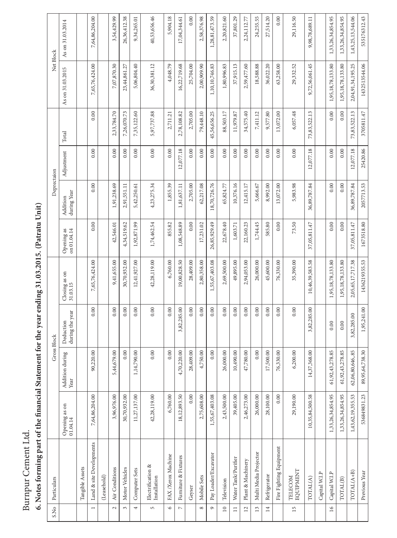# Burnpur Cement Ltd.

# **6. Notes forming part of the fi nancial Statement for the year ending 31.03.2015. (Patratu Unit)**

| Particulars                       |                           |                         |                              |                          |                             |                         |            |              | Net Block         |                   |
|-----------------------------------|---------------------------|-------------------------|------------------------------|--------------------------|-----------------------------|-------------------------|------------|--------------|-------------------|-------------------|
|                                   | Opening as on<br>01.04.14 | Addition during<br>Year | during the year<br>Deduction | Closing as on $31.03.15$ | Opening as<br>on $01.04.14$ | during Year<br>Addition | Adjustment | Total        | As on 31.03.2015  | As on 31.03.2014  |
| Tangible Assets                   |                           |                         |                              |                          |                             |                         |            |              |                   |                   |
| Land & site Developments          | 7,64,86,204.00            | 90,220.00               | 0.00                         | 7,65,76,424.00           | 0.00                        | 0.00                    | 0.00       | 0.00         | 7,65,76,424.00    | 7,64,86,204.00    |
| (Leasehold)                       |                           |                         |                              |                          |                             |                         |            |              |                   |                   |
| Air Conditions                    | 3,96,976.00               | 5,44,679.00             | 0.00                         | 9,41,655.00              | 42,546.01                   | 1,91,238.69             | 0.00       | 2,33,784.70  | 7,07,870.30       | 3,54,429.99       |
| Motor Vehicles                    | 30,70,932.00              | 0.00                    | 0.00                         | 30,70,932.00             | 4,34,519.62                 | 2,91,551.11             | 0.00       | 7,26,070.73  | 23,44,861.27      | 26,36,412.38      |
| Computer Sets                     | 11,27,137.00              | 790.00<br>1,14,7        | 0.00                         | 12,41,927.00             | 1,92,871.99                 | 5,42,250.61             | 0.00       | 7,35,122.60  | 5,06,804.40       | 9,34,265.01       |
| ${\rm Electronic A}$ Installation | 42,28,119.00              | 0.00                    | $0.00\,$                     | 42,28,119.00             | 1,74,462.54                 | 4,23,275.34             | 0.00       | 5,97,737.88  | 36,30,381.12      | 40,53,656.46      |
| FAX/Xerox Machine                 | 6,760.00                  | 0.00                    | 0.00                         | 6,760.00                 | 855.82                      | 1,855.39                | 0.00       | 2,711.21     | 4,048.79          | 5,904.18          |
| Furniture & Fixtures              | 18,12,893.50              | 4,70,220.00             | 3,82,285.00                  | 19,00,828.50             | 1,08,548.89                 | 1,81,637.11             | 12,077.18  | 2,78,108.82  | 16,22,719.68      | 17,04,344.61      |
| Geyser                            | $0.00\,$                  | 28,409.00               | 0.00                         | 28,409.00                | 0.00                        | 2,705.00                | 0.00       | 2,705.00     | 25,704.00         | 0.00              |
| Mobile Sets                       | 2,75,608.00               | '50.00<br>47            | 0.00                         | 2,80,358.00              | 17,231.02                   | 62,217.08               | 0.00       | 79,448.10    | 2,00,909.90       | 2,58,376.98       |
| Pay Loader/Excavator              | 1,55,67,403.08            | 0.00                    | 0.00                         | 1,55,67,403.08           | 26,85,929.49                | 18,70,726.76            | 0.00       | 45,56,656.25 | 1,10,10,746.83    | 1,28,81,473.59    |
| Television                        | 2,43,500.00               | 26,000.00               | 0.00                         | 2,69,500.00              | 22,678.40                   | 65,824.77               | 0.00       | 88,503.17    | 1,80,996.83       | 2,20,821.60       |
| Water Tank/Purifier               | 39,405.00                 | 10,490.00               | 0.00                         | 49,895.00                | 1,603.71                    | 10,376.16               | 0.00       | 11,979.87    | 37,915.13         | 37,801.29         |
| Plant & Machinery                 | 2,46,273.00               | 780.00<br>47,7          | 0.00                         | 2,94,053.00              | 22,160.23                   | 12,415.17               | 0.00       | 34,575.40    | 2,59,477.60       | 2,24,112.77       |
| Multi Media Projector             | 26,000.00                 | 0.00                    | 0.00                         | 26,000.00                | 1,744.45                    | 5,666.67                | 0.00       | 7,411.12     | 18,588.88         | 24,255.55         |
| Refrigerator                      | 28,100.00                 | 17,500.00               | 0.00                         | 45,600.00                | 585.80                      | 8,992.00                | 0.00       | 9,577.80     | 36,022.20         | 27,514.20         |
| Fire Fighting Equipment           | 0.00                      | 76,330.00               | 0.00                         | 76,330.00                | 0.00                        | 13,072.00               | 0.00       | 13,072.00    | 63,258.00         | 0.00              |
| EQUIPMENT<br>TELECOM              | 29,190.00                 | 6,200.00                | 0.00                         | 35,390.00                | 73.50                       | 5,983.98                | 0.00       | 6,057.48     | 29,332.52         | 29,116.50         |
| TOTAL(A)                          | 10,35,84,500.58           | 368.00<br>14,37,3       | 3,82,285.00                  | 10,46,39,583.58          | 37,05,811.47                | 36,89,787.84            | 12,077.18  | 73,83,522.13 | 9,72,56,061.45    | 9,98,78,689.11    |
| Capital W.I.P                     |                           |                         |                              |                          |                             |                         |            |              |                   |                   |
| Capital W.I.P                     | 1,33,26,34,854.95         | 61,92,43,278.85         | 0.00                         | 1,95,18,78,133.80        | 0.00                        | 0.00                    | 0.00       | 0.00         | 1,95,18,78,133.80 | 1,33,26,34,854.95 |
| TOTAL(B)                          | 1,33,26,34,854.95         | 61,92,43,278.85         | 0.00                         | 1,95,18,78,133.80        | 0.00                        | 0.00                    | 0.00       | 0.00         | 1,95,18,78,133.80 | 1,33,26,34,854.95 |
| TOTAL(A+B)                        | 1,43,62,19,355.53         | 62,06,80,646,.85        | 3,82,285.00                  | 2,05,65,17,717.38        | 37,05,811.47                | 36,89,787.84            | 12,077.18  | 73,83,522.13 | 2,04,91,34,195.25 | 1,43,25,13,544.06 |
| Previous Year                     | 536849831.23              | 89,95,64,738.30         | 1,95,241.00                  | 1436219355.53            | 1673518.80                  | 2057713.53              | 25420.86   | 3705811.47   | 1432513544.06     | 535176312.43      |
|                                   |                           |                         |                              | Gross Block              |                             |                         |            | Deprectaion  |                   |                   |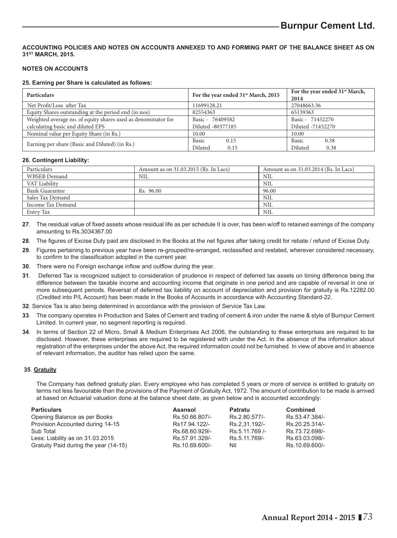### **ACCOUNTING POLICIES AND NOTES ON ACCOUNTS ANNEXED TO AND FORMING PART OF THE BALANCE SHEET AS ON 31ST MARCH, 2015.**

### **NOTES ON ACCOUNTS**

### **25. Earning per Share is calculated as follows:**

| <b>Particulars</b>                                            | For the year ended 31 <sup>st</sup> March, 2015 | For the year ended 31 <sup>st</sup> March, |
|---------------------------------------------------------------|-------------------------------------------------|--------------------------------------------|
|                                                               |                                                 | 2014                                       |
| Net Profit/Loss after Tax                                     | 11699128.21                                     | 27048663.36                                |
| Equity Shares outstanding at the period end (in nos)          | 82554363                                        | 65139363                                   |
| Weighted average no. of equity shares used as denominator for | Basic - 76409582                                | Basic - 71452270                           |
| calculating basic and diluted EPS                             | Diluted -80377185                               | Diluted -71452270                          |
| Nominal value per Equity Share (in Rs.)                       | 10.00                                           | 10.00                                      |
|                                                               | Basic<br>0.15                                   | <b>Basic</b><br>0.38                       |
| Earning per share (Basic and Diluted) (in Rs.)                | Diluted<br>0.15                                 | Diluted<br>0.38                            |

### **26. Contingent Liability:**

| Particulars           | Amount as on 31.03.2015 (Rs. In Lacs) | Amount as on 31.03.2014 (Rs. In Lacs) |
|-----------------------|---------------------------------------|---------------------------------------|
| WBSEB Demand          | NIL                                   | NIL                                   |
| VAT Liability         |                                       | NIL                                   |
| <b>Bank Guarantee</b> | Rs. 96.00                             | 96.00                                 |
| Sales Tax Demand      |                                       | NIL                                   |
| Income Tax Demand     |                                       | NIL                                   |
| Entry Tax             |                                       | NIL                                   |

27. The residual value of fixed assets whose residual life as per schedule II is over, has been w/off to retained earnings of the company amounting to Rs.3034367.00

- 28. The figures of Excise Duty paid are disclosed in the Books at the net figures after taking credit for rebate / refund of Excise Duty.
- 29. Figures pertaining to previous year have been re-grouped/re-arranged, reclassified and restated, wherever considered necessary, to confirm to the classification adopted in the current year.
- **30**. There were no Foreign exchange inflow and outflow during the year.
- **31**. Deferred Tax is recognized subject to consideration of prudence in respect of deferred tax assets on timing difference being the difference between the taxable income and accounting income that originate in one period and are capable of reversal in one or more subsequent periods. Reversal of deferred tax liability on account of depreciation and provision for gratuity is Rs.12282.00 (Credited into P/L Account) has been made in the Books of Accounts in accordance with Accounting Standard-22.
- **32**. Service Tax is also being determined in accordance with the provision of Service Tax Law.
- **33**. The company operates in Production and Sales of Cement and trading of cement & iron under the name & style of Burnpur Cement Limited. In current year, no segment reporting is required.
- **34**. In terms of Section 22 of Micro, Small & Medium Enterprises Act 2006, the outstanding to these enterprises are required to be disclosed. However, these enterprises are required to be registered with under the Act. In the absence of the information about registration of the enterprises under the above Act, the required information could not be furnished. In view of above and in absence of relevant information, the auditor has relied upon the same.

### **35**. **Gratuity**

The Company has defined gratuity plan. Every employee who has completed 5 years or more of service is entitled to gratuity on terms not less favourable than the provisions of the Payment of Gratuity Act, 1972. The amount of contribution to be made is arrived at based on Actuarial valuation done at the balance sheet date, as given below and is accounted accordingly:

| <b>Particulars</b>                    | Asansol        | Patratu       | Combined       |
|---------------------------------------|----------------|---------------|----------------|
| Opening Balance as per Books          | Rs.50.66.807/- | Rs.2.80.577/- | Rs.53.47.384/- |
| Provision Accounted during 14-15      | Rs17.94.122/-  | Rs.2.31.192/- | Rs.20.25.314/- |
| Sub Total                             | Rs.68.60.929/- | Rs.5.11.769/- | Rs.73.72.698/- |
| Less: Liability as on 31.03.2015      | Rs.57.91.329/- | Rs.5.11.769/- | Rs.63.03.098/- |
| Gratuity Paid during the year (14-15) | Rs.10.69.600/- | Nil           | Rs.10.69.600/- |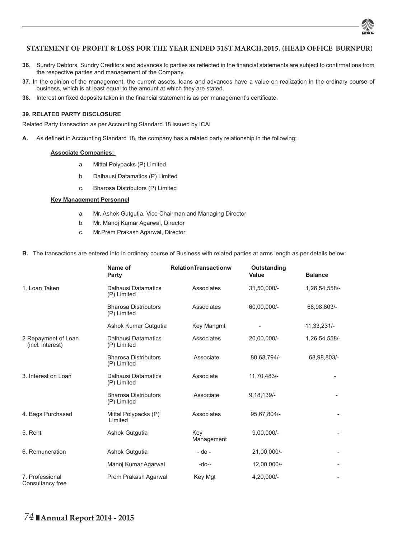

### **STATEMENT OF PROFIT & LOSS FOR THE YEAR ENDED 31ST MARCH,2015. (HEAD OFFICE BURNPUR)**

- 36. Sundry Debtors, Sundry Creditors and advances to parties as reflected in the financial statements are subject to confirmations from the respective parties and management of the Company.
- **37**. In the opinion of the management, the current assets, loans and advances have a value on realization in the ordinary course of business, which is at least equal to the amount at which they are stated.
- **38.** Interest on fixed deposits taken in the financial statement is as per management's certificate.

### **39. RELATED PARTY DISCLOSURE**

Related Party transaction as per Accounting Standard 18 issued by ICAI

A. As defined in Accounting Standard 18, the company has a related party relationship in the following:

### **Associate Companies:**

- a. Mittal Polypacks (P) Limited.
- b. Dalhausi Datamatics (P) Limited
- c. Bharosa Distributors (P) Limited

### **Key Management Personnel**

- a. Mr. Ashok Gutgutia, Vice Chairman and Managing Director
- b. Mr. Manoj Kumar Agarwal, Director
- c. Mr.Prem Prakash Agarwal, Director

### **B.** The transactions are entered into in ordinary course of Business with related parties at arms length as per details below:

|                                         | Name of<br>Party                           | <b>RelationTransactionw</b> | Outstanding<br>Value | <b>Balance</b> |
|-----------------------------------------|--------------------------------------------|-----------------------------|----------------------|----------------|
| 1. Loan Taken                           | <b>Dalhausi Datamatics</b><br>(P) Limited  | Associates                  | 31,50,000/-          | 1,26,54,558/-  |
|                                         | <b>Bharosa Distributors</b><br>(P) Limited | Associates                  | 60.00.000/-          | 68,98,803/-    |
|                                         | Ashok Kumar Gutgutia                       | Key Mangmt                  |                      | 11,33,231/-    |
| 2 Repayment of Loan<br>(incl. interest) | <b>Dalhausi Datamatics</b><br>(P) Limited  | Associates                  | 20,00,000/-          | 1,26,54,558/-  |
|                                         | <b>Bharosa Distributors</b><br>(P) Limited | Associate                   | 80,68,794/-          | 68,98,803/-    |
| 3. Interest on Loan                     | <b>Dalhausi Datamatics</b><br>(P) Limited  | Associate                   | 11,70,483/-          |                |
|                                         | <b>Bharosa Distributors</b><br>(P) Limited | Associate                   | $9,18,139/-$         |                |
| 4. Bags Purchased                       | Mittal Polypacks (P)<br>Limited            | Associates                  | 95,67,804/-          |                |
| 5. Rent                                 | Ashok Gutgutia                             | Key<br>Management           | $9,00,000/-$         |                |
| 6. Remuneration                         | Ashok Gutgutia                             | $-$ do $-$                  | 21,00,000/-          |                |
|                                         | Manoj Kumar Agarwal                        | -do--                       | 12,00,000/-          |                |
| 7. Professional<br>Consultancy free     | Prem Prakash Agarwal                       | Key Mgt                     | 4,20,000/-           |                |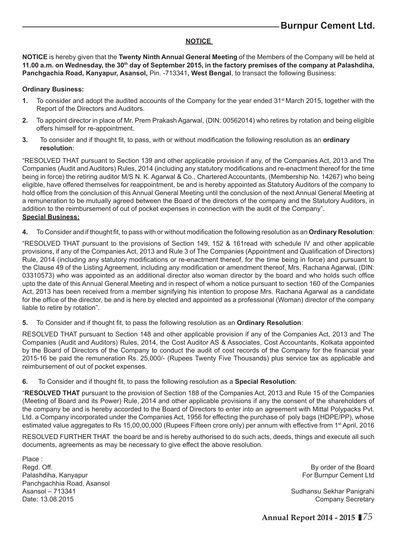### **NOTICE**

**NOTICE** is hereby given that the **Twenty Ninth Annual General Meeting** of the Members of the Company will be held at **11.00 a.m. on Wednesday, the 30th day of September 2015, in the factory premises of the company at Palashdiha, Panchgachia Road, Kanyapur, Asansol,** Pin. -713341**, West Bengal**, to transact the following Business:

### **Ordinary Business:**

- **1.** To consider and adopt the audited accounts of the Company for the year ended 31<sup>st</sup> March 2015, together with the Report of the Directors and Auditors.
- **2.** To appoint director in place of Mr. Prem Prakash Agarwal, (DIN: 00562014) who retires by rotation and being eligible offers himself for re-appointment.
- **3.** To consider and if thought fit, to pass, with or without modification the following resolution as an **ordinary resolution**:

"RESOLVED THAT pursuant to Section 139 and other applicable provision if any, of the Companies Act, 2013 and The Companies (Audit and Auditors) Rules, 2014 (including any statutory modifications and re-enactment thereof for the time being in force) the retiring auditor M/S N. K. Agarwal & Co., Chartered Accountants, (Membership No. 14267) who being eligible, have offered themselves for reappointment, be and is hereby appointed as Statutory Auditors of the company to hold office from the conclusion of this Annual General Meeting until the conclusion of the next Annual General Meeting at a remuneration to be mutually agreed between the Board of the directors of the company and the Statutory Auditors, in addition to the reimbursement of out of pocket expenses in connection with the audit of the Company". **Special Business:**

**4.** To Consider and if thought fit, to pass with or without modification the following resolution as an Ordinary Resolution:

"RESOLVED THAT pursuant to the provisions of Section 149, 152 & 161read with schedule IV and other applicable provisions, if any of the Companies Act, 2013 and Rule 3 of The Companies (Appointment and Qualification of Directors) Rule, 2014 (including any statutory modifications or re-enactment thereof, for the time being in force) and pursuant to the Clause 49 of the Listing Agreement, including any modification or amendment thereof, Mrs. Rachana Agarwal, (DIN: 03310573) who was appointed as an additional director also woman director by the board and who holds such office upto the date of this Annual General Meeting and in respect of whom a notice pursuant to section 160 of the Companies Act, 2013 has been received from a member signifying his intention to propose Mrs. Rachana Agarwal as a candidate for the office of the director, be and is here by elected and appointed as a professional (Woman) director of the company liable to retire by rotation".

**5.** To Consider and if thought fit, to pass the following resolution as an **Ordinary Resolution**:

RESOLVED THAT pursuant to Section 148 and other applicable provision if any of the Companies Act, 2013 and The Companies (Audit and Auditors) Rules, 2014, the Cost Auditor AS & Associates, Cost Accountants, Kolkata appointed by the Board of Directors of the Company to conduct the audit of cost records of the Company for the financial year 2015-16 be paid the remuneration Rs. 25,000/- (Rupees Twenty Five Thousands) plus service tax as applicable and reimbursement of out of pocket expenses.

**6.** To Consider and if thought fit, to pass the following resolution as a **Special Resolution**:

"**RESOLVED THAT** pursuant to the provision of Section 188 of the Companies Act, 2013 and Rule 15 of the Companies (Meeting of Board and its Power) Rule, 2014 and other applicable provisions if any the consent of the shareholders of the company be and is hereby accorded to the Board of Directors to enter into an agreement with Mittal Polypacks Pvt. Ltd. a Company incorporated under the Companies Act, 1956 for effecting the purchase of poly bags (HDPE/PP), whose estimated value aggregates to Rs 15,00,00,000 (Rupees Fifteen crore only) per annum with effective from 1<sup>st</sup> April, 2016

RESOLVED FURTHER THAT the board be and is hereby authorised to do such acts, deeds, things and execute all such documents, agreements as may be necessary to give effect the above resolution.

Place : Regd. Off. **By order of the Board** Palashdiha, Kanyapur For Burnpur Cement Ltd Panchgachhia Road, Asansol Asansol – 713341 Sudhansu Sekhar Panigrahi Date: 13.08.2015 Company Secretary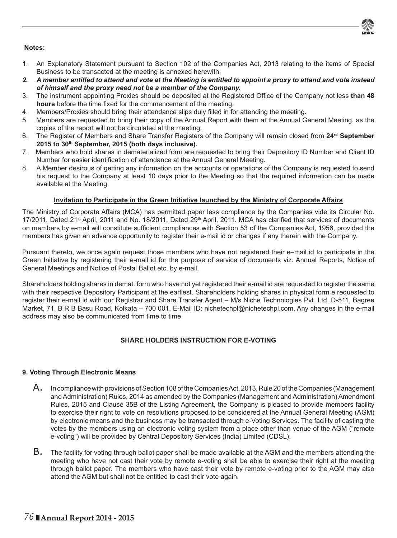

### **Notes:**

- 1. An Explanatory Statement pursuant to Section 102 of the Companies Act, 2013 relating to the items of Special Business to be transacted at the meeting is annexed herewith.
- *2. A member entitled to attend and vote at the Meeting is entitled to appoint a proxy to attend and vote instead of himself and the proxy need not be a member of the Company.*
- 3. The instrument appointing Proxies should be deposited at the Registered Office of the Company not less than 48 **hours** before the time fixed for the commencement of the meeting.
- 4. Members/Proxies should bring their attendance slips duly filled in for attending the meeting.
- 5. Members are requested to bring their copy of the Annual Report with them at the Annual General Meeting, as the copies of the report will not be circulated at the meeting.
- 6. The Register of Members and Share Transfer Registers of the Company will remain closed from 24<sup>rd</sup> September **2015 to 30th September, 2015 (both days inclusive).**
- 7. Members who hold shares in dematerialized form are requested to bring their Depository ID Number and Client ID Number for easier identification of attendance at the Annual General Meeting.
- 8. A Member desirous of getting any information on the accounts or operations of the Company is requested to send his request to the Company at least 10 days prior to the Meeting so that the required information can be made available at the Meeting.

### **Invitation to Participate in the Green Initiative launched by the Ministry of Corporate Affairs**

The Ministry of Corporate Affairs (MCA) has permitted paper less compliance by the Companies vide its Circular No.  $17/2011$ , Dated 21<sup>st</sup> April, 2011 and No. 18/2011, Dated 29<sup>th</sup> April, 2011. MCA has clarified that services of documents on members by e-mail will constitute sufficient compliances with Section 53 of the Companies Act, 1956, provided the members has given an advance opportunity to register their e-mail id or changes if any therein with the Company.

Pursuant thereto, we once again request those members who have not registered their e–mail id to participate in the Green Initiative by registering their e-mail id for the purpose of service of documents viz. Annual Reports, Notice of General Meetings and Notice of Postal Ballot etc. by e-mail.

Shareholders holding shares in demat. form who have not yet registered their e-mail id are requested to register the same with their respective Depository Participant at the earliest. Shareholders holding shares in physical form e requested to register their e-mail id with our Registrar and Share Transfer Agent – M/s Niche Technologies Pvt. Ltd. D-511, Bagree Market, 71, B R B Basu Road, Kolkata – 700 001, E-Mail ID: nichetechpl@nichetechpl.com. Any changes in the e-mail address may also be communicated from time to time.

### **SHARE HOLDERS INSTRUCTION FOR E-VOTING**

### **9. Voting Through Electronic Means**

- A. In compliance with provisions of Section 108 of the Companies Act, 2013, Rule 20 of the Companies (Management and Administration) Rules, 2014 as amended by the Companies (Management and Administration) Amendment Rules, 2015 and Clause 35B of the Listing Agreement, the Company is pleased to provide members facility to exercise their right to vote on resolutions proposed to be considered at the Annual General Meeting (AGM) by electronic means and the business may be transacted through e-Voting Services. The facility of casting the votes by the members using an electronic voting system from a place other than venue of the AGM ("remote e-voting") will be provided by Central Depository Services (India) Limited (CDSL).
- B. The facility for voting through ballot paper shall be made available at the AGM and the members attending the meeting who have not cast their vote by remote e-voting shall be able to exercise their right at the meeting through ballot paper. The members who have cast their vote by remote e-voting prior to the AGM may also attend the AGM but shall not be entitled to cast their vote again.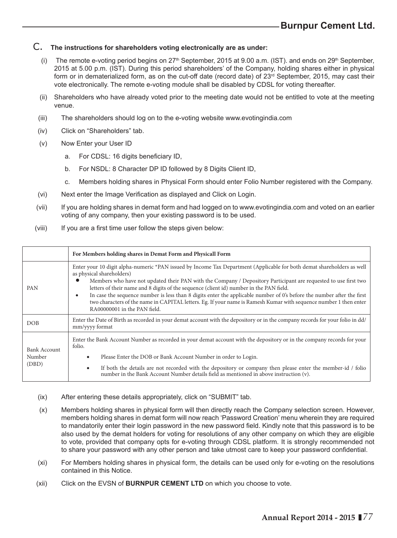### C. **The instructions for shareholders voting electronically are as under:**

- (i) The remote e-voting period begins on  $27<sup>th</sup>$  September, 2015 at 9.00 a.m. (IST). and ends on  $29<sup>th</sup>$  September, 2015 at 5.00 p.m. (IST). During this period shareholders' of the Company, holding shares either in physical form or in dematerialized form, as on the cut-off date (record date) of  $23<sup>rd</sup>$  September, 2015, may cast their vote electronically. The remote e-voting module shall be disabled by CDSL for voting thereafter.
- (ii) Shareholders who have already voted prior to the meeting date would not be entitled to vote at the meeting venue.
- (iii) The shareholders should log on to the e-voting website www.evotingindia.com
- (iv) Click on "Shareholders" tab.
- (v) Now Enter your User ID
	- a. For CDSL: 16 digits beneficiary ID,
	- b. For NSDL: 8 Character DP ID followed by 8 Digits Client ID,
	- c. Members holding shares in Physical Form should enter Folio Number registered with the Company.
- (vi) Next enter the Image Verification as displayed and Click on Login.
- (vii) If you are holding shares in demat form and had logged on to www.evotingindia.com and voted on an earlier voting of any company, then your existing password is to be used.
- (viii) If you are a first time user follow the steps given below:

|                                 | For Members holding shares in Demat Form and Physicall Form                                                                                                                                                                                                                                                                                                                                                                                                                                                                                                                                                                                                   |  |  |  |  |
|---------------------------------|---------------------------------------------------------------------------------------------------------------------------------------------------------------------------------------------------------------------------------------------------------------------------------------------------------------------------------------------------------------------------------------------------------------------------------------------------------------------------------------------------------------------------------------------------------------------------------------------------------------------------------------------------------------|--|--|--|--|
| PAN                             | Enter your 10 digit alpha-numeric *PAN issued by Income Tax Department (Applicable for both demat shareholders as well<br>as physical shareholders)<br>Members who have not updated their PAN with the Company / Depository Participant are requested to use first two<br>letters of their name and 8 digits of the sequence (client id) number in the PAN field.<br>In case the sequence number is less than 8 digits enter the applicable number of 0's before the number after the first<br>$\bullet$<br>two characters of the name in CAPITAL letters. Eg. If your name is Ramesh Kumar with sequence number 1 then enter<br>RA00000001 in the PAN field. |  |  |  |  |
| <b>DOB</b>                      | Enter the Date of Birth as recorded in your demat account with the depository or in the company records for your folio in dd/<br>mm/yyyy format                                                                                                                                                                                                                                                                                                                                                                                                                                                                                                               |  |  |  |  |
| Bank Account<br>Number<br>(DBD) | Enter the Bank Account Number as recorded in your demat account with the depository or in the company records for your<br>folio.<br>Please Enter the DOB or Bank Account Number in order to Login.<br>٠<br>If both the details are not recorded with the depository or company then please enter the member-id / folio<br>$\bullet$<br>number in the Bank Account Number details field as mentioned in above instruction (v).                                                                                                                                                                                                                                 |  |  |  |  |

- (ix) After entering these details appropriately, click on "SUBMIT" tab.
- (x) Members holding shares in physical form will then directly reach the Company selection screen. However, members holding shares in demat form will now reach 'Password Creation' menu wherein they are required to mandatorily enter their login password in the new password field. Kindly note that this password is to be also used by the demat holders for voting for resolutions of any other company on which they are eligible to vote, provided that company opts for e-voting through CDSL platform. It is strongly recommended not to share your password with any other person and take utmost care to keep your password confidential.
- (xi) For Members holding shares in physical form, the details can be used only for e-voting on the resolutions contained in this Notice.
- (xii) Click on the EVSN of **BURNPUR CEMENT LTD** on which you choose to vote.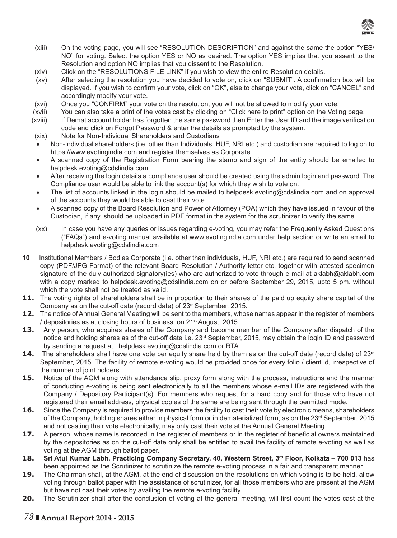

- (xiii) On the voting page, you will see "RESOLUTION DESCRIPTION" and against the same the option "YES/ NO" for voting. Select the option YES or NO as desired. The option YES implies that you assent to the Resolution and option NO implies that you dissent to the Resolution.
- (xiv) Click on the "RESOLUTIONS FILE LINK" if you wish to view the entire Resolution details.
- (xv) After selecting the resolution you have decided to vote on, click on "SUBMIT". A confirmation box will be displayed. If you wish to confirm your vote, click on "OK", else to change your vote, click on "CANCEL" and accordingly modify your vote.
- (xvi) Once you "CONFIRM" your vote on the resolution, you will not be allowed to modify your vote.
- (xvii) You can also take a print of the votes cast by clicking on "Click here to print" option on the Voting page.
- (xviii) If Demat account holder has forgotten the same password then Enter the User ID and the image verification code and click on Forgot Password & enter the details as prompted by the system.
- (xix) Note for Non-Individual Shareholders and Custodians
- Non-Individual shareholders (i.e. other than Individuals, HUF, NRI etc.) and custodian are required to log on to https://www.evotingindia.com and register themselves as Corporate.
- A scanned copy of the Registration Form bearing the stamp and sign of the entity should be emailed to helpdesk.evoting@cdslindia.com.
- After receiving the login details a compliance user should be created using the admin login and password. The Compliance user would be able to link the account(s) for which they wish to vote on.
- The list of accounts linked in the login should be mailed to helpdesk.evoting@cdslindia.com and on approval of the accounts they would be able to cast their vote.
- A scanned copy of the Board Resolution and Power of Attorney (POA) which they have issued in favour of the Custodian, if any, should be uploaded in PDF format in the system for the scrutinizer to verify the same.
- (xx) In case you have any queries or issues regarding e-voting, you may refer the Frequently Asked Questions ("FAQs") and e-voting manual available at www.evotingindia.com under help section or write an email to helpdesk.evoting@cdslindia.com
- **10** Institutional Members / Bodies Corporate (i.e. other than individuals, HUF, NRI etc.) are required to send scanned copy (PDF/JPG Format) of the relevant Board Resolution / Authority letter etc. together with attested specimen signature of the duly authorized signatory(ies) who are authorized to vote through e-mail at aklabh@aklabh.com with a copy marked to helpdesk.evoting@cdslindia.com on or before September 29, 2015, upto 5 pm. without which the vote shall not be treated as valid.
- **11.** The voting rights of shareholders shall be in proportion to their shares of the paid up equity share capital of the Company as on the cut-off date (record date) of 23rd September, 2015.
- **12.** The notice of Annual General Meeting will be sent to the members, whose names appear in the register of members / depositories as at closing hours of business, on 21st August, 2015.
- **13.** Any person, who acquires shares of the Company and become member of the Company after dispatch of the notice and holding shares as of the cut-off date i.e. 23<sup>rd</sup> September, 2015, may obtain the login ID and password by sending a request at helpdesk.evoting@cdslindia.com or RTA.
- 14. The shareholders shall have one vote per equity share held by them as on the cut-off date (record date) of 23<sup>rd</sup> September, 2015. The facility of remote e-voting would be provided once for every folio / client id, irrespective of the number of joint holders.
- **15.** Notice of the AGM along with attendance slip, proxy form along with the process, instructions and the manner of conducting e-voting is being sent electronically to all the members whose e-mail IDs are registered with the Company / Depository Participant(s). For members who request for a hard copy and for those who have not registered their email address, physical copies of the same are being sent through the permitted mode.
- **16.** Since the Company is required to provide members the facility to cast their vote by electronic means, shareholders of the Company, holding shares either in physical form or in dematerialized form, as on the 23<sup>rd</sup> September, 2015 and not casting their vote electronically, may only cast their vote at the Annual General Meeting.
- **17.** A person, whose name is recorded in the register of members or in the register of beneficial owners maintained by the depositories as on the cut-off date only shall be entitled to avail the facility of remote e-voting as well as voting at the AGM through ballot paper.
- **18.** Sri Atul Kumar Labh, Practicing Company Secretary, 40, Western Street, 3<sup>rd</sup> Floor, Kolkata 700 013 has been appointed as the Scrutinizer to scrutinize the remote e-voting process in a fair and transparent manner.
- **19.** The Chairman shall, at the AGM, at the end of discussion on the resolutions on which voting is to be held, allow voting through ballot paper with the assistance of scrutinizer, for all those members who are present at the AGM but have not cast their votes by availing the remote e-voting facility.
- **20.** The Scrutinizer shall after the conclusion of voting at the general meeting, will first count the votes cast at the

# *78* **Annual Report 2014 - 2015**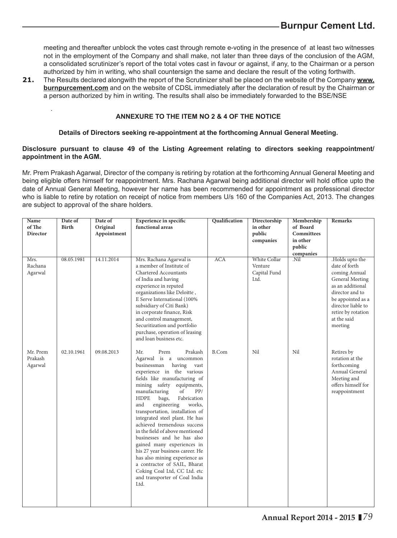meeting and thereafter unblock the votes cast through remote e-voting in the presence of at least two witnesses not in the employment of the Company and shall make, not later than three days of the conclusion of the AGM, a consolidated scrutinizer's report of the total votes cast in favour or against, if any, to the Chairman or a person authorized by him in writing, who shall countersign the same and declare the result of the voting forthwith.

**21.** The Results declared alongwith the report of the Scrutinizer shall be placed on the website of the Company **www. burnpurcement.com** and on the website of CDSL immediately after the declaration of result by the Chairman or a person authorized by him in writing. The results shall also be immediately forwarded to the BSE/NSE

### **ANNEXURE TO THE ITEM NO 2 & 4 OF THE NOTICE**

.

### **Details of Directors seeking re-appointment at the forthcoming Annual General Meeting.**

### **Disclosure pursuant to clause 49 of the Listing Agreement relating to directors seeking reappointment/ appointment in the AGM.**

Mr. Prem Prakash Agarwal, Director of the company is retiring by rotation at the forthcoming Annual General Meeting and being eligible offers himself for reappointment. Mrs. Rachana Agarwal being additional director will hold office upto the date of Annual General Meeting, however her name has been recommended for appointment as professional director who is liable to retire by rotation on receipt of notice from members U/s 160 of the Companies Act, 2013. The changes are subject to approval of the share holders.

| <b>Name</b><br>of The<br>Director<br>Mrs.<br>Rachana<br>Agarwal | Date of<br>Birth<br>08.05.1981 | Date of<br>Original<br>Appointment<br>14.11.2014 | <b>Experience in specific</b><br>functional areas<br>Mrs. Rachana Agarwal is<br>a member of Institute of<br><b>Chartered Accountants</b><br>of India and having<br>experience in reputed<br>organizations like Deloitte,<br>E Serve International (100%<br>subsidiary of Citi Bank)<br>in corporate finance, Risk<br>and control management,<br>Securitization and portfolio<br>purchase, operation of leasing                                                                                                                                                                                                                                                                            | Qualification<br><b>ACA</b> | Directorship<br>in other<br>public<br>companies<br>White Collar<br>Venture<br>Capital Fund<br>Ltd. | Membership<br>of Board<br><b>Committees</b><br>in other<br>public<br>companies<br>Nil. | <b>Remarks</b><br>.Holds upto the<br>date of forth<br>coming Annual<br>General Meeting<br>as an additional<br>director and to<br>be appointed as a<br>director liable to<br>retire by rotation<br>at the said<br>meeting |
|-----------------------------------------------------------------|--------------------------------|--------------------------------------------------|-------------------------------------------------------------------------------------------------------------------------------------------------------------------------------------------------------------------------------------------------------------------------------------------------------------------------------------------------------------------------------------------------------------------------------------------------------------------------------------------------------------------------------------------------------------------------------------------------------------------------------------------------------------------------------------------|-----------------------------|----------------------------------------------------------------------------------------------------|----------------------------------------------------------------------------------------|--------------------------------------------------------------------------------------------------------------------------------------------------------------------------------------------------------------------------|
| Mr. Prem<br>Prakash<br>Agarwal                                  | 02.10.1961                     | 09.08.2013                                       | and loan business etc.<br>Mr.<br>Prem<br>Prakash<br>Agarwal is a uncommon<br>businessman<br>having<br>vast<br>experience in the various<br>fields like manufacturing of<br>mining safety equipments,<br>manufacturing<br>of<br>PP/<br><b>HDPE</b><br>bags,<br>Fabrication<br>engineering<br>and<br>works,<br>transportation, installation of<br>integrated steel plant. He has<br>achieved tremendous success<br>in the field of above mentioned<br>businesses and he has also<br>gained many experiences in<br>his 27 year business career. He<br>has also mining experience as<br>a contractor of SAIL, Bharat<br>Coking Coal Ltd, CC Ltd. etc<br>and transporter of Coal India<br>Ltd. | <b>B.Com</b>                | Nil                                                                                                | Nil                                                                                    | Retires by<br>rotation at the<br>forthcoming<br>Annual General<br>Meeting and<br>offers himself for<br>reappointment                                                                                                     |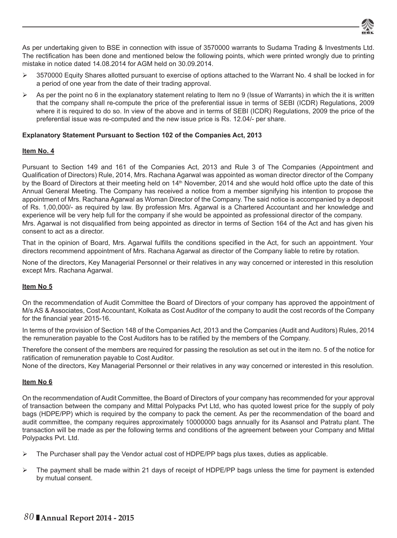

As per undertaking given to BSE in connection with issue of 3570000 warrants to Sudama Trading & Investments Ltd. The rectification has been done and mentioned below the following points, which were printed wrongly due to printing mistake in notice dated 14.08.2014 for AGM held on 30.09.2014.

- $\triangleright$  3570000 Equity Shares allotted pursuant to exercise of options attached to the Warrant No. 4 shall be locked in for a period of one year from the date of their trading approval.
- As per the point no 6 in the explanatory statement relating to Item no 9 (Issue of Warrants) in which the it is written that the company shall re-compute the price of the preferential issue in terms of SEBI (ICDR) Regulations, 2009 where it is required to do so. In view of the above and in terms of SEBI (ICDR) Regulations, 2009 the price of the preferential issue was re-computed and the new issue price is Rs. 12.04/- per share.

### **Explanatory Statement Pursuant to Section 102 of the Companies Act, 2013**

### **Item No. 4**

Pursuant to Section 149 and 161 of the Companies Act, 2013 and Rule 3 of The Companies (Appointment and Qualification of Directors) Rule, 2014, Mrs. Rachana Agarwal was appointed as woman director director of the Company by the Board of Directors at their meeting held on 14<sup>th</sup> November, 2014 and she would hold office upto the date of this Annual General Meeting. The Company has received a notice from a member signifying his intention to propose the appointment of Mrs. Rachana Agarwal as Woman Director of the Company. The said notice is accompanied by a deposit of Rs. 1,00,000/- as required by law. By profession Mrs. Agarwal is a Chartered Accountant and her knowledge and experience will be very help full for the company if she would be appointed as professional director of the company. Mrs. Agarwal is not disqualified from being appointed as director in terms of Section 164 of the Act and has given his consent to act as a director.

That in the opinion of Board, Mrs. Agarwal fulfills the conditions specified in the Act, for such an appointment. Your directors recommend appointment of Mrs. Rachana Agarwal as director of the Company liable to retire by rotation.

None of the directors, Key Managerial Personnel or their relatives in any way concerned or interested in this resolution except Mrs. Rachana Agarwal.

### **Item No 5**

On the recommendation of Audit Committee the Board of Directors of your company has approved the appointment of M/s AS & Associates, Cost Accountant, Kolkata as Cost Auditor of the company to audit the cost records of the Company for the financial year 2015-16.

In terms of the provision of Section 148 of the Companies Act, 2013 and the Companies (Audit and Auditors) Rules, 2014 the remuneration payable to the Cost Auditors has to be ratified by the members of the Company.

Therefore the consent of the members are required for passing the resolution as set out in the item no. 5 of the notice for ratification of remuneration payable to Cost Auditor.

None of the directors, Key Managerial Personnel or their relatives in any way concerned or interested in this resolution.

### **Item No 6**

On the recommendation of Audit Committee, the Board of Directors of your company has recommended for your approval of transaction between the company and Mittal Polypacks Pvt Ltd, who has quoted lowest price for the supply of poly bags (HDPE/PP) which is required by the company to pack the cement. As per the recommendation of the board and audit committee, the company requires approximately 10000000 bags annually for its Asansol and Patratu plant. The transaction will be made as per the following terms and conditions of the agreement between your Company and Mittal Polypacks Pvt. Ltd.

- $\triangleright$  The Purchaser shall pay the Vendor actual cost of HDPE/PP bags plus taxes, duties as applicable.
- $\triangleright$  The payment shall be made within 21 days of receipt of HDPE/PP bags unless the time for payment is extended by mutual consent.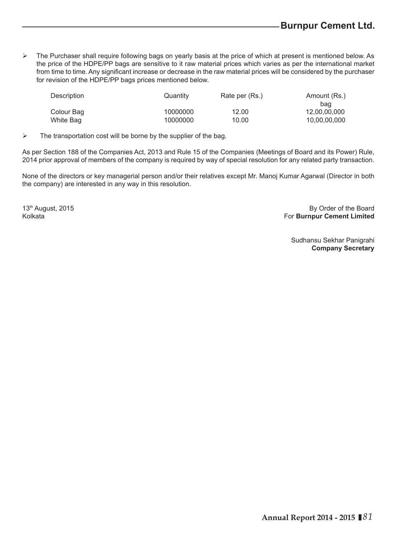$\triangleright$  The Purchaser shall require following bags on yearly basis at the price of which at present is mentioned below. As the price of the HDPE/PP bags are sensitive to it raw material prices which varies as per the international market from time to time. Any significant increase or decrease in the raw material prices will be considered by the purchaser for revision of the HDPE/PP bags prices mentioned below.

| Description | Quantity | Rate per (Rs.) | Amount (Rs.) |
|-------------|----------|----------------|--------------|
|             |          |                | bag          |
| Colour Bag  | 10000000 | 12.00          | 12,00,00,000 |
| White Bag   | 10000000 | 10.00          | 10,00,00,000 |

 $\triangleright$  The transportation cost will be borne by the supplier of the bag.

As per Section 188 of the Companies Act, 2013 and Rule 15 of the Companies (Meetings of Board and its Power) Rule, 2014 prior approval of members of the company is required by way of special resolution for any related party transaction.

None of the directors or key managerial person and/or their relatives except Mr. Manoj Kumar Agarwal (Director in both the company) are interested in any way in this resolution.

13th August, 2015 **By Order of the Board** Kolkata For **Burnpur Cement Limited**

> Sudhansu Sekhar Panigrahi **Company Secretary**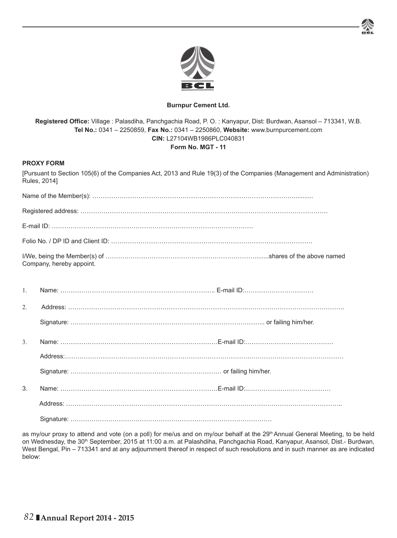

### **Burnpur Cement Ltd.**

**Registered Offi ce:** Village : Palasdiha, Panchgachia Road, P. O. : Kanyapur, Dist: Burdwan, Asansol – 713341, W.B. **Tel No.:** 0341 – 2250859, **Fax No.:** 0341 – 2250860, **Website:** www.burnpurcement.com **CIN:** L27104WB1986PLC040831 **Form No. MGT - 11**

### **PROXY FORM**

[Pursuant to Section 105(6) of the Companies Act, 2013 and Rule 19(3) of the Companies (Management and Administration) Rules, 2014]

|                  | Company, hereby appoint. |  |
|------------------|--------------------------|--|
| $\mathbf{1}$ .   |                          |  |
| $2$ .            |                          |  |
|                  |                          |  |
| $\overline{3}$ . |                          |  |
|                  |                          |  |
| 3.               |                          |  |
|                  |                          |  |
|                  |                          |  |

as my/our proxy to attend and vote (on a poll) for me/us and on my/our behalf at the 29<sup>th</sup> Annual General Meeting, to be held on Wednesday, the 30<sup>th</sup> September, 2015 at 11:00 a.m. at Palashdiha, Panchgachia Road, Kanyapur, Asansol, Dist.- Burdwan, West Bengal, Pin – 713341 and at any adjournment thereof in respect of such resolutions and in such manner as are indicated below: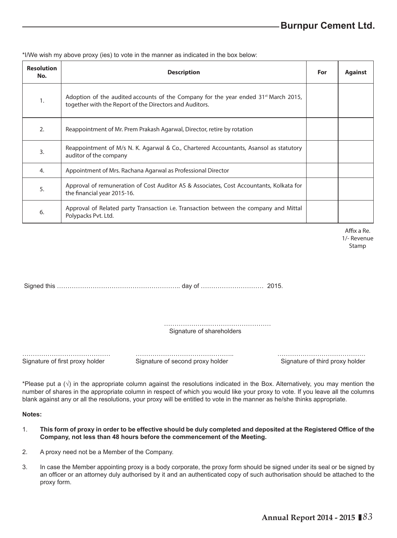**Resolution No. Description For Against**  $\frac{1}{1}$  Adoption of the audited accounts of the Company for the year ended 31<sup>st</sup> March 2015, together with the Report of the Directors and Auditors. 2. Reappointment of Mr. Prem Prakash Agarwal, Director, retire by rotation  $\mathcal{B}_{3}$  Reappointment of M/s N. K. Agarwal & Co., Chartered Accountants, Asansol as statutory auditor of the company 4. Appointment of Mrs. Rachana Agarwal as Professional Director 5. Approval of remuneration of Cost Auditor AS & Associates, Cost Accountants, Kolkata for the financial year 2015-16. 6. Approval of Related party Transaction i.e. Transaction between the company and Mittal Polypacks Pvt. Ltd.

\*I/We wish my above proxy (ies) to vote in the manner as indicated in the box below:

Affix a Re. 1/- Revenue Stamp

Signed this ………………………………………………….. day of ………………………… 2015.

…………………………………………… Signature of shareholders

…………………………………… ……………………………………….. ……………………………………

Signature of first proxy holder Signature of second proxy holder Signature of third proxy holder

\*Please put a  $(\sqrt{)}$  in the appropriate column against the resolutions indicated in the Box. Alternatively, you may mention the number of shares in the appropriate column in respect of which you would like your proxy to vote. If you leave all the columns blank against any or all the resolutions, your proxy will be entitled to vote in the manner as he/she thinks appropriate.

**Notes:**

- 1. **This form of proxy in order to be effective should be duly completed and deposited at the Registered Offi ce of the Company, not less than 48 hours before the commencement of the Meeting.**
- 2. A proxy need not be a Member of the Company.
- 3. In case the Member appointing proxy is a body corporate, the proxy form should be signed under its seal or be signed by an officer or an attorney duly authorised by it and an authenticated copy of such authorisation should be attached to the proxy form.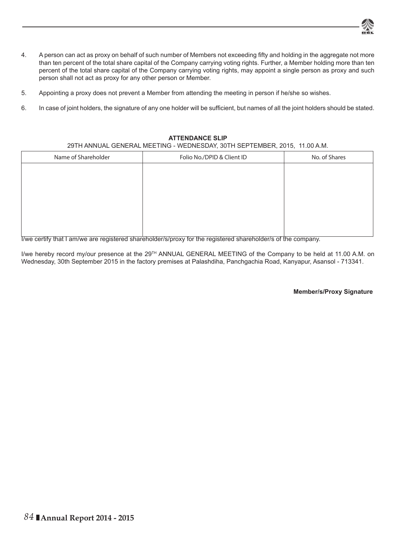

- 4. A person can act as proxy on behalf of such number of Members not exceeding fifty and holding in the aggregate not more than ten percent of the total share capital of the Company carrying voting rights. Further, a Member holding more than ten percent of the total share capital of the Company carrying voting rights, may appoint a single person as proxy and such person shall not act as proxy for any other person or Member.
- 5. Appointing a proxy does not prevent a Member from attending the meeting in person if he/she so wishes.
- 6. In case of joint holders, the signature of any one holder will be sufficient, but names of all the joint holders should be stated.

### **ATTENDANCE SLIP**

29TH ANNUAL GENERAL MEETING - WEDNESDAY, 30TH SEPTEMBER, 2015, 11.00 A.M.

| Folio No./DPID & Client ID | No. of Shares |
|----------------------------|---------------|
|                            |               |
|                            |               |
|                            |               |
|                            |               |
|                            |               |
|                            |               |
|                            |               |

I/we certify that I am/we are registered shareholder/s/proxy for the registered shareholder/s of the company.

I/we hereby record my/our presence at the 29<sup>TH</sup> ANNUAL GENERAL MEETING of the Company to be held at 11.00 A.M. on Wednesday, 30th September 2015 in the factory premises at Palashdiha, Panchgachia Road, Kanyapur, Asansol - 713341.

### **Member/s/Proxy Signature**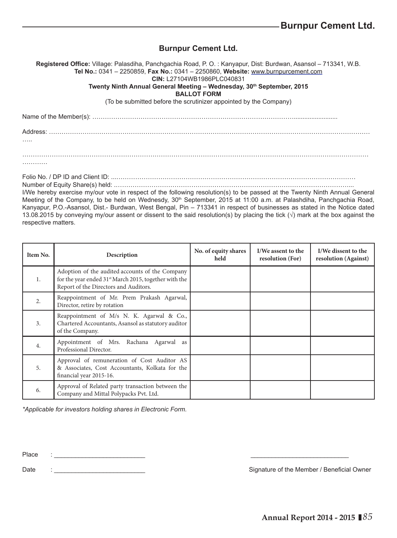# **Burnpur Cement Ltd.**

**Registered Offi ce:** Village: Palasdiha, Panchgachia Road, P. O. : Kanyapur, Dist: Burdwan, Asansol – 713341, W.B. **Tel No.:** 0341 – 2250859, **Fax No.:** 0341 – 2250860, **Website:** www.burnpurcement.com **CIN:** L27104WB1986PLC040831 Twenty Ninth Annual General Meeting - Wednesday, 30<sup>th</sup> September, 2015 **BALLOT FORM** (To be submitted before the scrutinizer appointed by the Company) Name of the Member(s): ……………………………………………………………………………………......................... Address: ……………………………………………………………………………………………………………………………………… ……

Folio No. / DP ID and Client ID: ...……………………………………………………………………………………………………

Number of Equity Share(s) held: .…………………………………………………………………………………………………... I/We hereby exercise my/our vote in respect of the following resolution(s) to be passed at the Twenty Ninth Annual General Meeting of the Company, to be held on Wednesdy, 30<sup>th</sup> September, 2015 at 11:00 a.m. at Palashdiha, Panchgachia Road, Kanyapur, P.O.-Asansol, Dist.- Burdwan, West Bengal, Pin – 713341 in respect of businesses as stated in the Notice dated 13.08.2015 by conveying my/our assent or dissent to the said resolution(s) by placing the tick (**√**) mark at the box against the

| Item No.         | Description                                                                                                                                                   | No. of equity shares<br>held | I/We assent to the<br>resolution (For) | I/We dissent to the<br>resolution (Against) |
|------------------|---------------------------------------------------------------------------------------------------------------------------------------------------------------|------------------------------|----------------------------------------|---------------------------------------------|
| 1.               | Adoption of the audited accounts of the Company<br>for the year ended 31 <sup>st</sup> March 2015, together with the<br>Report of the Directors and Auditors. |                              |                                        |                                             |
| $\overline{2}$ . | Reappointment of Mr. Prem Prakash Agarwal,<br>Director, retire by rotation                                                                                    |                              |                                        |                                             |
| 3.               | Reappointment of M/s N. K. Agarwal & Co.,<br>Chartered Accountants, Asansol as statutory auditor<br>of the Company.                                           |                              |                                        |                                             |
| 4.               | Appointment of Mrs. Rachana Agarwal as<br>Professional Director.                                                                                              |                              |                                        |                                             |
| 5.               | Approval of remuneration of Cost Auditor AS<br>& Associates, Cost Accountants, Kolkata for the<br>financial year 2015-16.                                     |                              |                                        |                                             |
| 6.               | Approval of Related party transaction between the<br>Company and Mittal Polypacks Pvt. Ltd.                                                                   |                              |                                        |                                             |

*\*Applicable for investors holding shares in Electronic Form.*

Place :

respective matters.

Date : contract the Member / Beneficial Owner in the Member / Beneficial Owner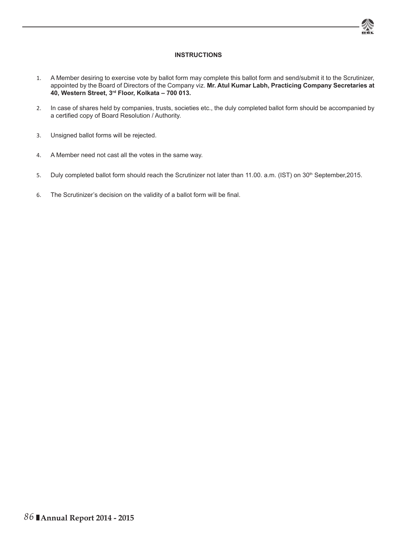

### **INSTRUCTIONS**

- 1. A Member desiring to exercise vote by ballot form may complete this ballot form and send/submit it to the Scrutinizer, appointed by the Board of Directors of the Company viz. **Mr. Atul Kumar Labh, Practicing Company Secretaries at 40, Western Street, 3rd Floor, Kolkata – 700 013.**
- 2. In case of shares held by companies, trusts, societies etc., the duly completed ballot form should be accompanied by a certified copy of Board Resolution / Authority.
- 3. Unsigned ballot forms will be rejected.
- 4. A Member need not cast all the votes in the same way.
- 5. Duly completed ballot form should reach the Scrutinizer not later than 11.00. a.m. (IST) on 30<sup>th</sup> September,2015.
- 6. The Scrutinizer's decision on the validity of a ballot form will be final.